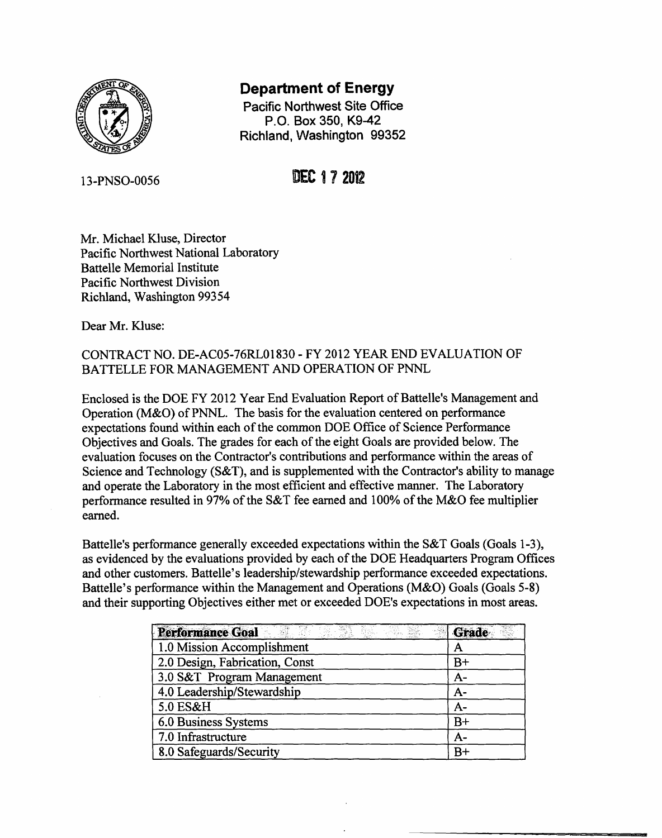

## **Department of Energy**

Pacific Northwest Site Office P.O. Box 350, K9-42 Richland, Washington 99352

13-PNS0-0056

## DEC 17 2012

Mr. Michael Kluse, Director Pacific Northwest National Laboratory Battelle Memorial Institute Pacific Northwest Division Richland, Washington 99354

Dear Mr. Kluse:

## CONTRACT NO. DE-AC05-76RL01830- FY 2012 YEAR END EVALUATION OF BATTELLE FOR MANAGEMENT AND OPERATION OF PNNL

Enclosed is the DOE FY 2012 Year End Evaluation Report of Battelle's Management and Operation (M&O) of PNNL. The basis for the evaluation centered on performance expectations found within each of the common DOE Office of Science Performance Objectives and Goals. The grades for each of the eight Goals are provided below. The evaluation focuses on the Contractor's contributions and performance within the areas of Science and Technology (S&T), and is supplemented with the Contractor's ability to manage and operate the Laboratory in the most efficient and effective manner. The Laboratory performance resulted in 97% of the S&T fee earned and 100% of the M&O fee multiplier earned.

Battelle's performance generally exceeded expectations within the S&T Goals (Goals 1-3), as evidenced by the evaluations provided by each of the DOE Headquarters Program Offices and other customers. Battelle's leadership/stewardship performance exceeded expectations. Battelle's performance within the Management and Operations (M&O) Goals (Goals 5-8) and their supporting Objectives either met or exceeded DOE's expectations in most areas.

| Performance Goal<br>전문도 남자의 호텔 | Grade |
|--------------------------------|-------|
| 1.0 Mission Accomplishment     | A     |
| 2.0 Design, Fabrication, Const | B+    |
| 3.0 S&T Program Management     | A-    |
| 4.0 Leadership/Stewardship     | А-    |
| 5.0 ES&H                       | A-    |
| 6.0 Business Systems           | $B+$  |
| 7.0 Infrastructure             | A-    |
| 8.0 Safeguards/Security        | R+    |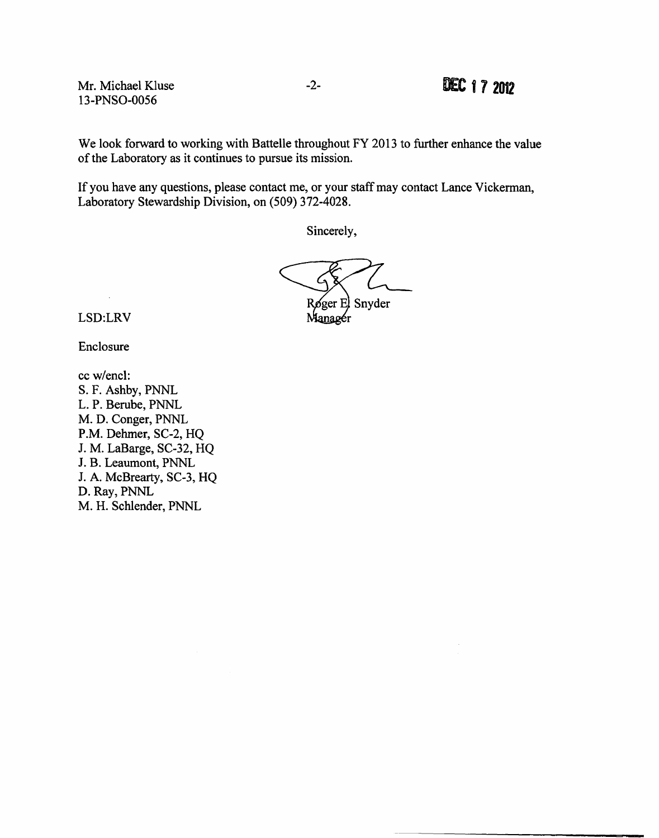Mr. Michael Kluse 13-PNS0-0056

We look forward to working with Battelle throughout FY 2013 to further enhance the value of the Laboratory as it continues to pursue its mission.

-2-

If you have any questions, please contact me, or your staff may contact Lance Vickerman, Laboratory Stewardship Division, on (509) 372-4028.

Sincerely,

ger El Snyder Managér

LSD:LRV

 $\mathbb{R}^2$ 

Enclosure

cc w/encl: S. F. Ashby, PNNL L.P.Berube,PNNL M.D. Conger, PNNL P.M. Dehmer, SC-2, HQ J. M. LaBarge, SC-32, HQ J. B. Leaumont, PNNL J. A. McBrearty, SC-3, HQ D. Ray, PNNL M. H. Schlender, PNNL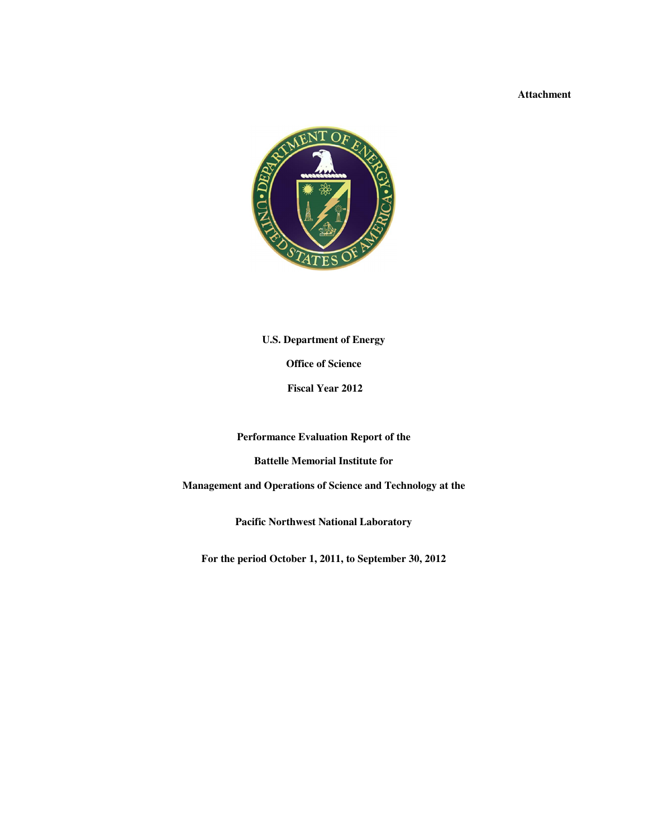## **Attachment**



**U.S. Department of Energy**

**Office of Science**

 **Fiscal Year 2012**

**Performance Evaluation Report of the**

**Battelle Memorial Institute for**

**Management and Operations of Science and Technology at the**

**Pacific Northwest National Laboratory**

**For the period October 1, 2011, to September 30, 2012**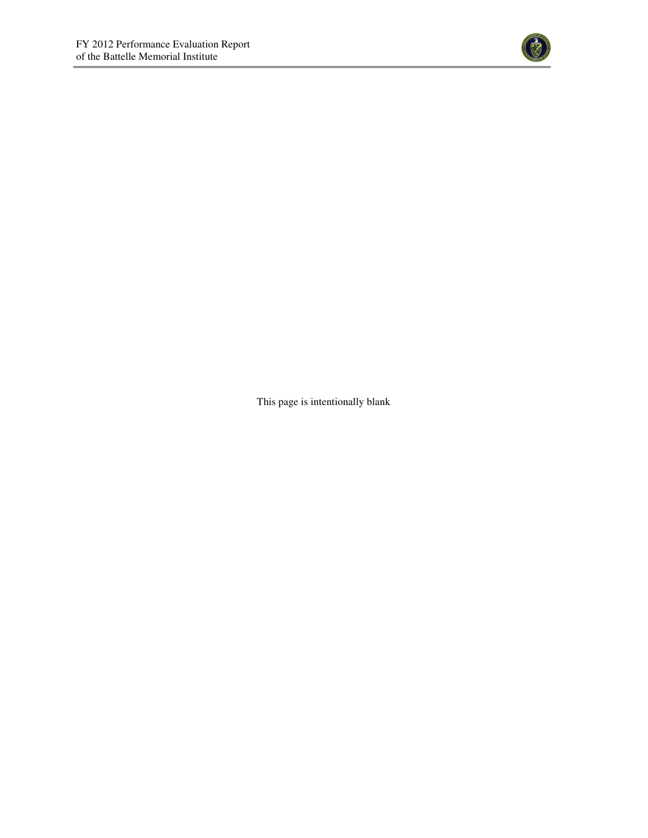

This page is intentionally blank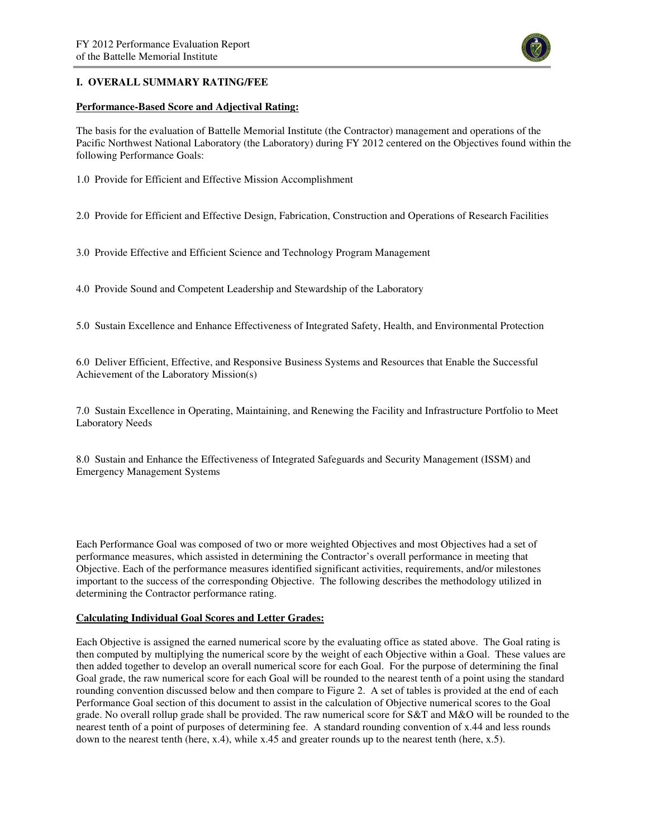

## **I. OVERALL SUMMARY RATING/FEE**

## **Performance-Based Score and Adjectival Rating:**

The basis for the evaluation of Battelle Memorial Institute (the Contractor) management and operations of the Pacific Northwest National Laboratory (the Laboratory) during FY 2012 centered on the Objectives found within the following Performance Goals:

1.0 Provide for Efficient and Effective Mission Accomplishment

2.0 Provide for Efficient and Effective Design, Fabrication, Construction and Operations of Research Facilities

- 3.0 Provide Effective and Efficient Science and Technology Program Management
- 4.0 Provide Sound and Competent Leadership and Stewardship of the Laboratory
- 5.0 Sustain Excellence and Enhance Effectiveness of Integrated Safety, Health, and Environmental Protection

6.0 Deliver Efficient, Effective, and Responsive Business Systems and Resources that Enable the Successful Achievement of the Laboratory Mission(s)

7.0 Sustain Excellence in Operating, Maintaining, and Renewing the Facility and Infrastructure Portfolio to Meet Laboratory Needs

8.0 Sustain and Enhance the Effectiveness of Integrated Safeguards and Security Management (ISSM) and Emergency Management Systems

Each Performance Goal was composed of two or more weighted Objectives and most Objectives had a set of performance measures, which assisted in determining the Contractor's overall performance in meeting that Objective. Each of the performance measures identified significant activities, requirements, and/or milestones important to the success of the corresponding Objective. The following describes the methodology utilized in determining the Contractor performance rating.

## **Calculating Individual Goal Scores and Letter Grades:**

Each Objective is assigned the earned numerical score by the evaluating office as stated above. The Goal rating is then computed by multiplying the numerical score by the weight of each Objective within a Goal. These values are then added together to develop an overall numerical score for each Goal. For the purpose of determining the final Goal grade, the raw numerical score for each Goal will be rounded to the nearest tenth of a point using the standard rounding convention discussed below and then compare to Figure 2. A set of tables is provided at the end of each Performance Goal section of this document to assist in the calculation of Objective numerical scores to the Goal grade. No overall rollup grade shall be provided. The raw numerical score for S&T and M&O will be rounded to the nearest tenth of a point of purposes of determining fee. A standard rounding convention of x.44 and less rounds down to the nearest tenth (here, x.4), while x.45 and greater rounds up to the nearest tenth (here, x.5).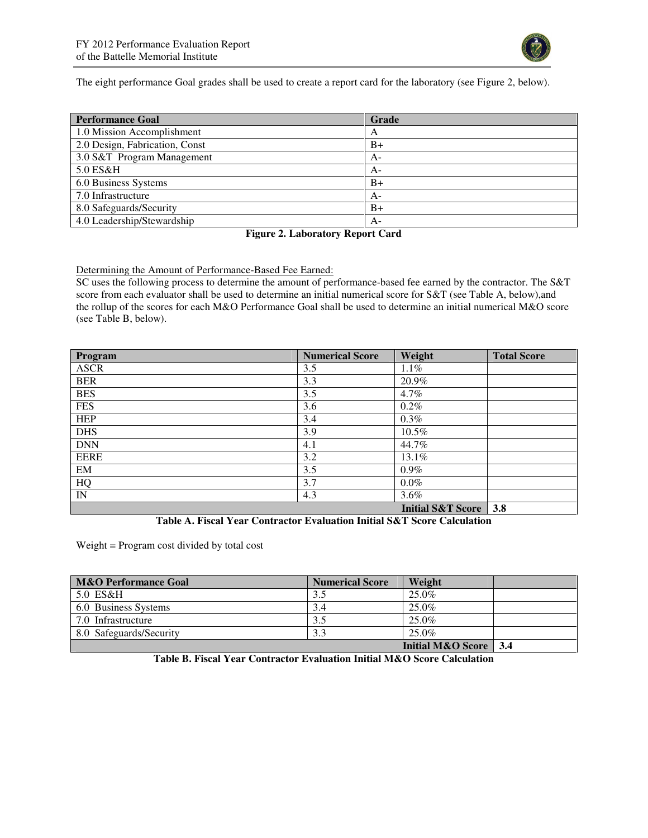

The eight performance Goal grades shall be used to create a report card for the laboratory (see Figure 2, below).

| <b>Performance Goal</b>        | Grade |
|--------------------------------|-------|
| 1.0 Mission Accomplishment     | A     |
| 2.0 Design, Fabrication, Const | $B+$  |
| 3.0 S&T Program Management     | $A-$  |
| 5.0 ES&H                       | $A-$  |
| 6.0 Business Systems           | $B+$  |
| 7.0 Infrastructure             | $A-$  |
| 8.0 Safeguards/Security        | $B+$  |
| 4.0 Leadership/Stewardship     | A-    |

**Figure 2. Laboratory Report Card**

Determining the Amount of Performance-Based Fee Earned:

SC uses the following process to determine the amount of performance-based fee earned by the contractor. The S&T score from each evaluator shall be used to determine an initial numerical score for S&T (see Table A, below),and the rollup of the scores for each M&O Performance Goal shall be used to determine an initial numerical M&O score (see Table B, below).

| Program     | <b>Numerical Score</b> | Weight                       | <b>Total Score</b> |
|-------------|------------------------|------------------------------|--------------------|
| ASCR        | 3.5                    | $1.1\%$                      |                    |
| <b>BER</b>  | 3.3                    | 20.9%                        |                    |
| <b>BES</b>  | 3.5                    | 4.7%                         |                    |
| <b>FES</b>  | 3.6                    | $0.2\%$                      |                    |
| <b>HEP</b>  | 3.4                    | $0.3\%$                      |                    |
| <b>DHS</b>  | 3.9                    | 10.5%                        |                    |
| <b>DNN</b>  | 4.1                    | 44.7%                        |                    |
| <b>EERE</b> | 3.2                    | 13.1%                        |                    |
| EM          | 3.5                    | $0.9\%$                      |                    |
| HQ          | 3.7                    | $0.0\%$                      |                    |
| IN          | 4.3                    | $3.6\%$                      |                    |
|             |                        | <b>Initial S&amp;T Score</b> | 3.8                |

**Table A. Fiscal Year Contractor Evaluation Initial S&T Score Calculation**

Weight = Program cost divided by total cost

| <b>M&amp;O Performance Goal</b> | <b>Numerical Score</b> | Weight                  |  |
|---------------------------------|------------------------|-------------------------|--|
| 5.0 ES&H                        | 3.5                    | 25.0%                   |  |
| 6.0 Business Systems            | 3.4                    | 25.0%                   |  |
| 7.0 Infrastructure              | 3.5                    | 25.0%                   |  |
| 8.0 Safeguards/Security         | 3.3                    | 25.0%                   |  |
|                                 |                        | Initial M&O Score   3.4 |  |

**Table B. Fiscal Year Contractor Evaluation Initial M&O Score Calculation**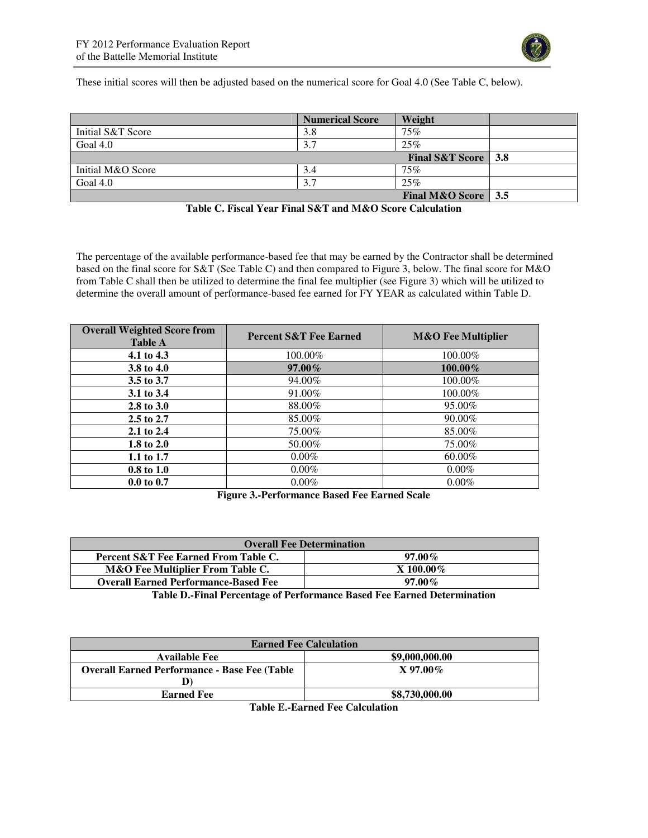

These initial scores will then be adjusted based on the numerical score for Goal 4.0 (See Table C, below).

|                   | <b>Numerical Score</b> | Weight                |  |
|-------------------|------------------------|-----------------------|--|
| Initial S&T Score | 3.8                    | 75%                   |  |
| Goal $4.0$        | 3.7                    | 25%                   |  |
|                   |                        | Final S&T Score   3.8 |  |
| Initial M&O Score | 3.4                    | 75%                   |  |
| Goal $4.0$        | 3.7                    | 25%                   |  |
|                   |                        | Final M&O Score   3.5 |  |

**Table C. Fiscal Year Final S&T and M&O Score Calculation**

The percentage of the available performance-based fee that may be earned by the Contractor shall be determined based on the final score for S&T (See Table C) and then compared to Figure 3, below. The final score for M&O from Table C shall then be utilized to determine the final fee multiplier (see Figure 3) which will be utilized to determine the overall amount of performance-based fee earned for FY YEAR as calculated within Table D.

| <b>Overall Weighted Score from</b><br><b>Table A</b> | <b>Percent S&amp;T Fee Earned</b> | <b>M&amp;O</b> Fee Multiplier |
|------------------------------------------------------|-----------------------------------|-------------------------------|
| 4.1 to 4.3                                           | 100.00%                           | 100.00%                       |
| 3.8 to 4.0                                           | $97.00\%$                         | $100.00\%$                    |
| 3.5 to 3.7                                           | 94.00%                            | 100.00%                       |
| 3.1 to 3.4                                           | 91.00%                            | 100.00%                       |
| 2.8 to $3.0$                                         | 88.00%                            | 95.00%                        |
| 2.5 to $2.7$                                         | 85.00%                            | 90.00%                        |
| 2.1 to $2.4$                                         | 75.00%                            | 85.00%                        |
| 1.8 to $2.0$                                         | 50.00%                            | 75.00%                        |
| 1.1 to $1.7$                                         | $0.00\%$                          | 60.00%                        |
| $0.8 \text{ to } 1.0$                                | $0.00\%$                          | $0.00\%$                      |
| $0.0 \text{ to } 0.7$                                | $0.00\%$                          | $0.00\%$                      |

**Figure 3.-Performance Based Fee Earned Scale**

| <b>Overall Fee Determination</b>                                          |                                                      |  |  |  |  |
|---------------------------------------------------------------------------|------------------------------------------------------|--|--|--|--|
| Percent S&T Fee Earned From Table C.                                      | $97.00\%$                                            |  |  |  |  |
| <b>M&amp;O</b> Fee Multiplier From Table C.                               | $X\,100.00\%$                                        |  |  |  |  |
| <b>Overall Earned Performance-Based Fee</b>                               | $97.00\%$                                            |  |  |  |  |
| $\mathbf{m}$ is $\mathbf{m}$ in $\mathbf{m}$<br>$\mathbf{a}$ $\mathbf{a}$ | $\blacksquare$<br>$\sim$ $\sim$ $\sim$ $\sim$ $\sim$ |  |  |  |  |

**Table D.-Final Percentage of Performance Based Fee Earned Determination**

| <b>Earned Fee Calculation</b>                        |                |  |  |  |  |
|------------------------------------------------------|----------------|--|--|--|--|
| <b>Available Fee</b>                                 | \$9,000,000.00 |  |  |  |  |
| <b>Overall Earned Performance - Base Fee (Table)</b> | $X$ 97.00%     |  |  |  |  |
|                                                      |                |  |  |  |  |
| <b>Earned Fee</b>                                    | \$8,730,000.00 |  |  |  |  |
|                                                      |                |  |  |  |  |

**Table E.-Earned Fee Calculation**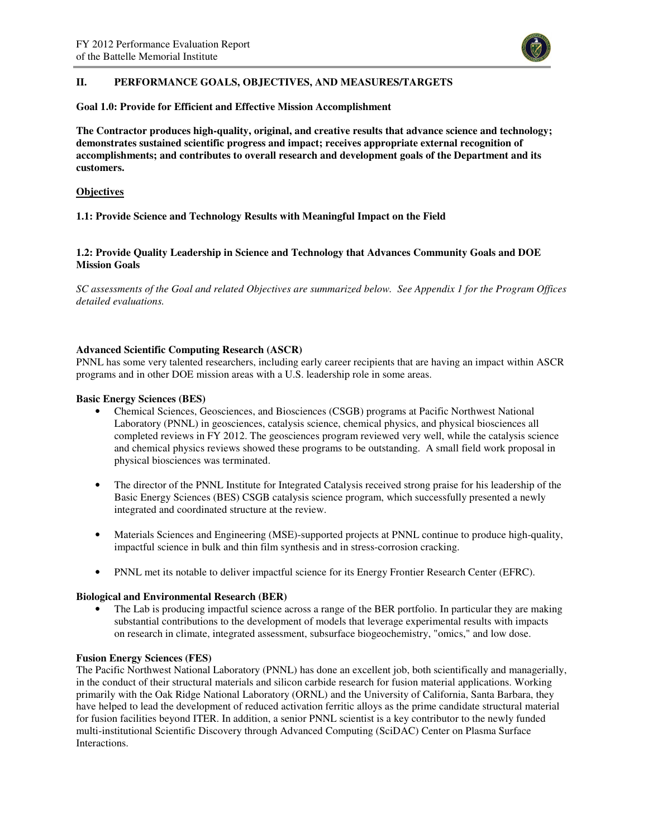

## **II. PERFORMANCE GOALS, OBJECTIVES, AND MEASURES/TARGETS**

**Goal 1.0: Provide for Efficient and Effective Mission Accomplishment**

**The Contractor produces high-quality, original, and creative results that advance science and technology; demonstrates sustained scientific progress and impact; receives appropriate external recognition of accomplishments; and contributes to overall research and development goals of the Department and its customers.**

#### **Objectives**

**1.1: Provide Science and Technology Results with Meaningful Impact on the Field**

## **1.2: Provide Quality Leadership in Science and Technology that Advances Community Goals and DOE Mission Goals**

*SC assessments of the Goal and related Objectives are summarized below. See Appendix 1 for the Program Offices detailed evaluations.*

#### **Advanced Scientific Computing Research (ASCR)**

PNNL has some very talented researchers, including early career recipients that are having an impact within ASCR programs and in other DOE mission areas with a U.S. leadership role in some areas.

#### **Basic Energy Sciences (BES)**

- Chemical Sciences, Geosciences, and Biosciences (CSGB) programs at Pacific Northwest National Laboratory (PNNL) in geosciences, catalysis science, chemical physics, and physical biosciences all completed reviews in FY 2012. The geosciences program reviewed very well, while the catalysis science and chemical physics reviews showed these programs to be outstanding. A small field work proposal in physical biosciences was terminated.
- The director of the PNNL Institute for Integrated Catalysis received strong praise for his leadership of the Basic Energy Sciences (BES) CSGB catalysis science program, which successfully presented a newly integrated and coordinated structure at the review.
- Materials Sciences and Engineering (MSE)-supported projects at PNNL continue to produce high-quality, impactful science in bulk and thin film synthesis and in stress-corrosion cracking.
- PNNL met its notable to deliver impactful science for its Energy Frontier Research Center (EFRC).

#### **Biological and Environmental Research (BER)**

• The Lab is producing impactful science across a range of the BER portfolio. In particular they are making substantial contributions to the development of models that leverage experimental results with impacts on research in climate, integrated assessment, subsurface biogeochemistry, "omics," and low dose.

## **Fusion Energy Sciences (FES)**

The Pacific Northwest National Laboratory (PNNL) has done an excellent job, both scientifically and managerially, in the conduct of their structural materials and silicon carbide research for fusion material applications. Working primarily with the Oak Ridge National Laboratory (ORNL) and the University of California, Santa Barbara, they have helped to lead the development of reduced activation ferritic alloys as the prime candidate structural material for fusion facilities beyond ITER. In addition, a senior PNNL scientist is a key contributor to the newly funded multi-institutional Scientific Discovery through Advanced Computing (SciDAC) Center on Plasma Surface Interactions.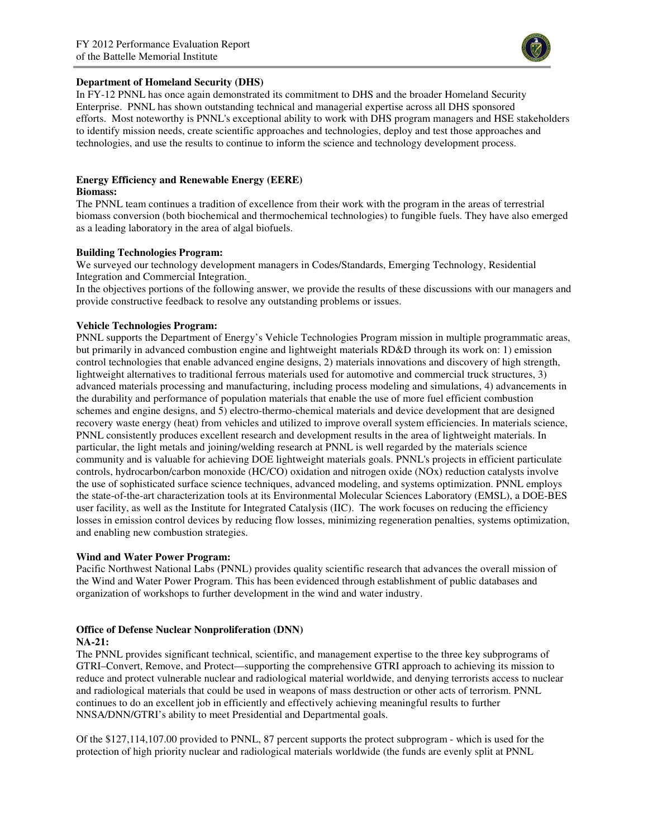

## **Department of Homeland Security (DHS)**

In FY-12 PNNL has once again demonstrated its commitment to DHS and the broader Homeland Security Enterprise. PNNL has shown outstanding technical and managerial expertise across all DHS sponsored efforts. Most noteworthy is PNNL's exceptional ability to work with DHS program managers and HSE stakeholders to identify mission needs, create scientific approaches and technologies, deploy and test those approaches and technologies, and use the results to continue to inform the science and technology development process.

# **Energy Efficiency and Renewable Energy (EERE)**

**Biomass:**

The PNNL team continues a tradition of excellence from their work with the program in the areas of terrestrial biomass conversion (both biochemical and thermochemical technologies) to fungible fuels. They have also emerged as a leading laboratory in the area of algal biofuels.

## **Building Technologies Program:**

We surveyed our technology development managers in Codes/Standards, Emerging Technology, Residential Integration and Commercial Integration.

In the objectives portions of the following answer, we provide the results of these discussions with our managers and provide constructive feedback to resolve any outstanding problems or issues.

## **Vehicle Technologies Program:**

PNNL supports the Department of Energy's Vehicle Technologies Program mission in multiple programmatic areas, but primarily in advanced combustion engine and lightweight materials RD&D through its work on: 1) emission control technologies that enable advanced engine designs, 2) materials innovations and discovery of high strength, lightweight alternatives to traditional ferrous materials used for automotive and commercial truck structures, 3) advanced materials processing and manufacturing, including process modeling and simulations, 4) advancements in the durability and performance of population materials that enable the use of more fuel efficient combustion schemes and engine designs, and 5) electro-thermo-chemical materials and device development that are designed recovery waste energy (heat) from vehicles and utilized to improve overall system efficiencies. In materials science, PNNL consistently produces excellent research and development results in the area of lightweight materials. In particular, the light metals and joining/welding research at PNNL is well regarded by the materials science community and is valuable for achieving DOE lightweight materials goals. PNNL's projects in efficient particulate controls, hydrocarbon/carbon monoxide (HC/CO) oxidation and nitrogen oxide (NOx) reduction catalysts involve the use of sophisticated surface science techniques, advanced modeling, and systems optimization. PNNL employs the state-of-the-art characterization tools at its Environmental Molecular Sciences Laboratory (EMSL), a DOE-BES user facility, as well as the Institute for Integrated Catalysis (IIC). The work focuses on reducing the efficiency losses in emission control devices by reducing flow losses, minimizing regeneration penalties, systems optimization, and enabling new combustion strategies.

## **Wind and Water Power Program:**

Pacific Northwest National Labs (PNNL) provides quality scientific research that advances the overall mission of the Wind and Water Power Program. This has been evidenced through establishment of public databases and organization of workshops to further development in the wind and water industry.

## **Office of Defense Nuclear Nonproliferation (DNN)**

## **NA-21:**

The PNNL provides significant technical, scientific, and management expertise to the three key subprograms of GTRI–Convert, Remove, and Protect—supporting the comprehensive GTRI approach to achieving its mission to reduce and protect vulnerable nuclear and radiological material worldwide, and denying terrorists access to nuclear and radiological materials that could be used in weapons of mass destruction or other acts of terrorism. PNNL continues to do an excellent job in efficiently and effectively achieving meaningful results to further NNSA/DNN/GTRI's ability to meet Presidential and Departmental goals.

Of the \$127,114,107.00 provided to PNNL, 87 percent supports the protect subprogram - which is used for the protection of high priority nuclear and radiological materials worldwide (the funds are evenly split at PNNL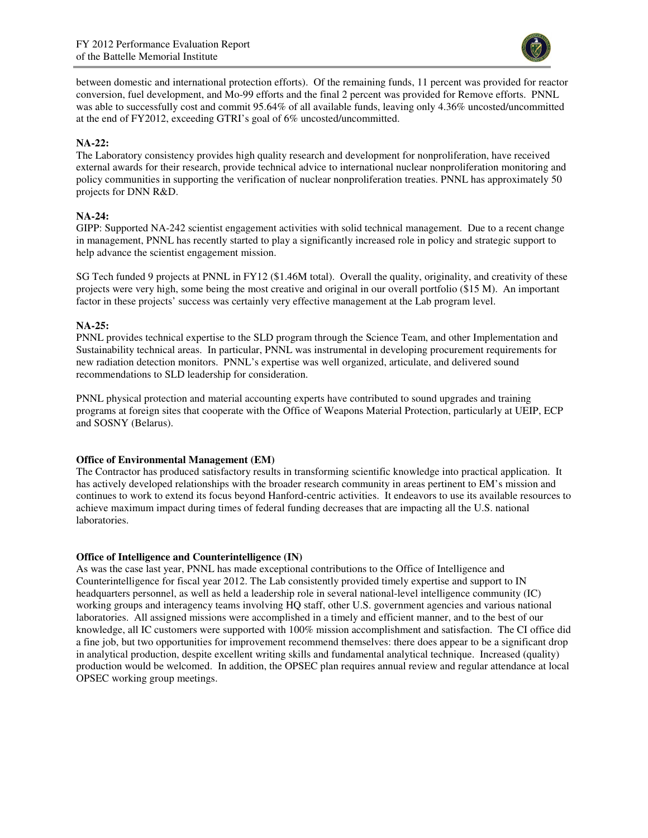

between domestic and international protection efforts). Of the remaining funds, 11 percent was provided for reactor conversion, fuel development, and Mo-99 efforts and the final 2 percent was provided for Remove efforts. PNNL was able to successfully cost and commit 95.64% of all available funds, leaving only 4.36% uncosted/uncommitted at the end of FY2012, exceeding GTRI's goal of 6% uncosted/uncommitted.

## **NA-22:**

The Laboratory consistency provides high quality research and development for nonproliferation, have received external awards for their research, provide technical advice to international nuclear nonproliferation monitoring and policy communities in supporting the verification of nuclear nonproliferation treaties. PNNL has approximately 50 projects for DNN R&D.

## **NA-24:**

GIPP: Supported NA-242 scientist engagement activities with solid technical management. Due to a recent change in management, PNNL has recently started to play a significantly increased role in policy and strategic support to help advance the scientist engagement mission.

SG Tech funded 9 projects at PNNL in FY12 (\$1.46M total). Overall the quality, originality, and creativity of these projects were very high, some being the most creative and original in our overall portfolio (\$15 M). An important factor in these projects' success was certainly very effective management at the Lab program level.

## **NA-25:**

PNNL provides technical expertise to the SLD program through the Science Team, and other Implementation and Sustainability technical areas. In particular, PNNL was instrumental in developing procurement requirements for new radiation detection monitors. PNNL's expertise was well organized, articulate, and delivered sound recommendations to SLD leadership for consideration.

PNNL physical protection and material accounting experts have contributed to sound upgrades and training programs at foreign sites that cooperate with the Office of Weapons Material Protection, particularly at UEIP, ECP and SOSNY (Belarus).

## **Office of Environmental Management (EM)**

The Contractor has produced satisfactory results in transforming scientific knowledge into practical application. It has actively developed relationships with the broader research community in areas pertinent to EM's mission and continues to work to extend its focus beyond Hanford-centric activities. It endeavors to use its available resources to achieve maximum impact during times of federal funding decreases that are impacting all the U.S. national laboratories.

## **Office of Intelligence and Counterintelligence (IN)**

As was the case last year, PNNL has made exceptional contributions to the Office of Intelligence and Counterintelligence for fiscal year 2012. The Lab consistently provided timely expertise and support to IN headquarters personnel, as well as held a leadership role in several national-level intelligence community (IC) working groups and interagency teams involving HQ staff, other U.S. government agencies and various national laboratories. All assigned missions were accomplished in a timely and efficient manner, and to the best of our knowledge, all IC customers were supported with 100% mission accomplishment and satisfaction. The CI office did a fine job, but two opportunities for improvement recommend themselves: there does appear to be a significant drop in analytical production, despite excellent writing skills and fundamental analytical technique. Increased (quality) production would be welcomed. In addition, the OPSEC plan requires annual review and regular attendance at local OPSEC working group meetings.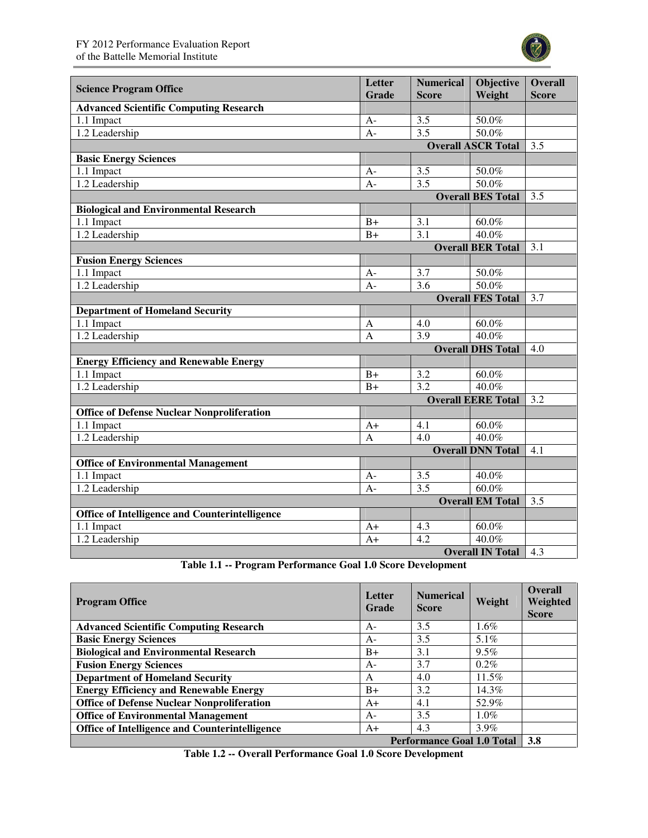

| <b>Science Program Office</b>                     | Letter         | <b>Numerical</b> | Objective                 | <b>Overall</b> |  |
|---------------------------------------------------|----------------|------------------|---------------------------|----------------|--|
|                                                   | Grade          | <b>Score</b>     | Weight                    | <b>Score</b>   |  |
| <b>Advanced Scientific Computing Research</b>     |                |                  |                           |                |  |
| 1.1 Impact                                        | $A-$           | 3.5              | 50.0%                     |                |  |
| 1.2 Leadership                                    | $A -$          | $\overline{3.5}$ | 50.0%                     |                |  |
|                                                   |                |                  | <b>Overall ASCR Total</b> | 3.5            |  |
| <b>Basic Energy Sciences</b>                      |                |                  |                           |                |  |
| 1.1 Impact                                        | A-             | 3.5              | 50.0%                     |                |  |
| 1.2 Leadership                                    | $A-$           | 3.5              | 50.0%                     |                |  |
|                                                   |                |                  | <b>Overall BES Total</b>  | 3.5            |  |
| <b>Biological and Environmental Research</b>      |                |                  |                           |                |  |
| 1.1 Impact                                        | $B+$           | 3.1              | 60.0%                     |                |  |
| 1.2 Leadership                                    | $B+$           | 3.1              | 40.0%                     |                |  |
|                                                   |                |                  | <b>Overall BER Total</b>  | 3.1            |  |
| <b>Fusion Energy Sciences</b>                     |                |                  |                           |                |  |
| 1.1 Impact                                        | A-             | 3.7              | 50.0%                     |                |  |
| 1.2 Leadership                                    | $A -$          | 3.6              | 50.0%                     |                |  |
| <b>Overall FES Total</b>                          |                |                  |                           |                |  |
| <b>Department of Homeland Security</b>            |                |                  |                           |                |  |
| 1.1 Impact                                        | $\mathbf{A}$   | 4.0              | $60.0\%$                  |                |  |
| 1.2 Leadership                                    | $\overline{A}$ | 3.9              | 40.0%                     |                |  |
|                                                   |                |                  | <b>Overall DHS Total</b>  | 4.0            |  |
| <b>Energy Efficiency and Renewable Energy</b>     |                |                  |                           |                |  |
| 1.1 Impact                                        | $B+$           | 3.2              | 60.0%                     |                |  |
| 1.2 Leadership                                    | $B+$           | 3.2              | 40.0%                     |                |  |
|                                                   |                |                  | <b>Overall EERE Total</b> | 3.2            |  |
| <b>Office of Defense Nuclear Nonproliferation</b> |                |                  |                           |                |  |
| 1.1 Impact                                        | $A+$           | 4.1              | 60.0%                     |                |  |
| 1.2 Leadership                                    | $\overline{A}$ | 4.0              | 40.0%                     |                |  |
|                                                   |                |                  | <b>Overall DNN Total</b>  | 4.1            |  |
| <b>Office of Environmental Management</b>         |                |                  |                           |                |  |
| 1.1 Impact                                        | A-             | 3.5              | 40.0%                     |                |  |
| 1.2 Leadership                                    | $A -$          | 3.5              | 60.0%                     |                |  |
|                                                   |                |                  | <b>Overall EM Total</b>   | 3.5            |  |
| Office of Intelligence and Counterintelligence    |                |                  |                           |                |  |
| 1.1 Impact                                        | A+             | 4.3              | 60.0%                     |                |  |
| 1.2 Leadership                                    | $A+$           | 4.2              | 40.0%                     |                |  |
|                                                   |                |                  | <b>Overall IN Total</b>   | 4.3            |  |

**Table 1.1 -- Program Performance Goal 1.0 Score Development**

| <b>Program Office</b>                             | Letter<br>Grade | <b>Numerical</b><br><b>Score</b> | Weight  | <b>Overall</b><br>Weighted<br><b>Score</b> |  |
|---------------------------------------------------|-----------------|----------------------------------|---------|--------------------------------------------|--|
| <b>Advanced Scientific Computing Research</b>     | $A -$           | 3.5                              | $1.6\%$ |                                            |  |
| <b>Basic Energy Sciences</b>                      | $A-$            | 3.5                              | $5.1\%$ |                                            |  |
| <b>Biological and Environmental Research</b>      | $B+$            | 3.1                              | $9.5\%$ |                                            |  |
| <b>Fusion Energy Sciences</b>                     | $A-$            | 3.7                              | $0.2\%$ |                                            |  |
| <b>Department of Homeland Security</b>            | A               | 4.0                              | 11.5%   |                                            |  |
| <b>Energy Efficiency and Renewable Energy</b>     | $B+$            | 3.2                              | 14.3%   |                                            |  |
| <b>Office of Defense Nuclear Nonproliferation</b> | $A+$            | 4.1                              | 52.9%   |                                            |  |
| <b>Office of Environmental Management</b>         | $A-$            | 3.5                              | $1.0\%$ |                                            |  |
| Office of Intelligence and Counterintelligence    | A+              | 4.3                              | $3.9\%$ |                                            |  |
| <b>Performance Goal 1.0 Total</b>                 |                 |                                  |         |                                            |  |

**Table 1.2 -- Overall Performance Goal 1.0 Score Development**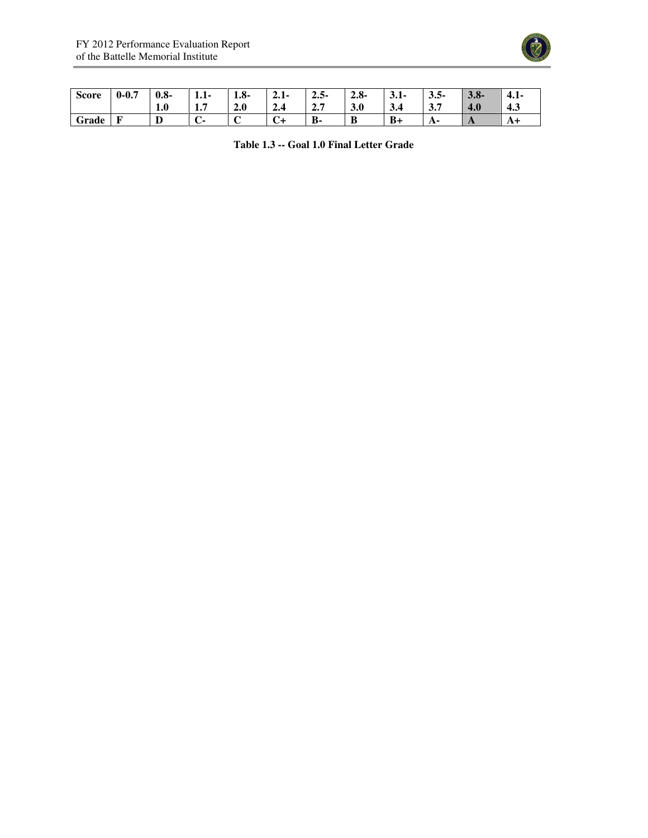

| <b>Score</b> | $0 - 0.7$ | $0.8 -$<br>1.0 | $1.1 -$<br>$\mathbf{I} \cdot I$ | $\vert$ 1.8-<br>2.0 | $ 2.1 -$<br>2.4 | $2.5 -$<br>2.7 | $2.8 -$<br>3.0 | $\vert$ 3.1-<br>3.4 | $3.5 -$<br> 3.7 | $13.8 -$<br>4.0 | $4.1 -$<br> 4.3 |
|--------------|-----------|----------------|---------------------------------|---------------------|-----------------|----------------|----------------|---------------------|-----------------|-----------------|-----------------|
| <b>Grade</b> |           | D              | $\mathbf{C}$                    | ◡                   |                 | <b>B-</b>      | B              | $B+$                | А-              | A               | $A+$            |

**Table 1.3 -- Goal 1.0 Final Letter Grade**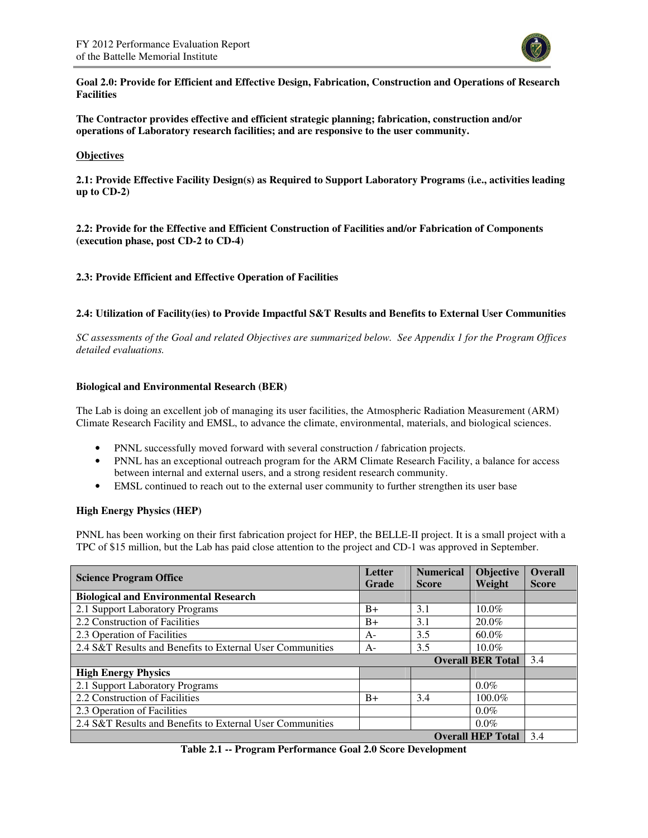

**Goal 2.0: Provide for Efficient and Effective Design, Fabrication, Construction and Operations of Research Facilities**

**The Contractor provides effective and efficient strategic planning; fabrication, construction and/or operations of Laboratory research facilities; and are responsive to the user community.**

## **Objectives**

**2.1: Provide Effective Facility Design(s) as Required to Support Laboratory Programs (i.e., activities leading up to CD-2)**

**2.2: Provide for the Effective and Efficient Construction of Facilities and/or Fabrication of Components (execution phase, post CD-2 to CD-4)**

## **2.3: Provide Efficient and Effective Operation of Facilities**

#### **2.4: Utilization of Facility(ies) to Provide Impactful S&T Results and Benefits to External User Communities**

*SC assessments of the Goal and related Objectives are summarized below. See Appendix 1 for the Program Offices detailed evaluations.*

#### **Biological and Environmental Research (BER)**

The Lab is doing an excellent job of managing its user facilities, the Atmospheric Radiation Measurement (ARM) Climate Research Facility and EMSL, to advance the climate, environmental, materials, and biological sciences.

- PNNL successfully moved forward with several construction / fabrication projects.
- PNNL has an exceptional outreach program for the ARM Climate Research Facility, a balance for access between internal and external users, and a strong resident research community.
- EMSL continued to reach out to the external user community to further strengthen its user base

#### **High Energy Physics (HEP)**

PNNL has been working on their first fabrication project for HEP, the BELLE-II project. It is a small project with a TPC of \$15 million, but the Lab has paid close attention to the project and CD-1 was approved in September.

| <b>Science Program Office</b>                             | <b>Letter</b><br>Grade | <b>Numerical</b><br><b>Score</b> | Objective<br>Weight      | <b>Overall</b><br><b>Score</b> |
|-----------------------------------------------------------|------------------------|----------------------------------|--------------------------|--------------------------------|
| <b>Biological and Environmental Research</b>              |                        |                                  |                          |                                |
| 2.1 Support Laboratory Programs                           | $B+$                   | 3.1                              | $10.0\%$                 |                                |
| 2.2 Construction of Facilities                            | $B+$                   | 3.1                              | 20.0%                    |                                |
| 2.3 Operation of Facilities                               | $A -$                  | 3.5                              | $60.0\%$                 |                                |
| 2.4 S&T Results and Benefits to External User Communities | $A-$                   | 3.5                              | $10.0\%$                 |                                |
| <b>Overall BER Total</b>                                  |                        |                                  |                          |                                |
| <b>High Energy Physics</b>                                |                        |                                  |                          |                                |
| 2.1 Support Laboratory Programs                           |                        |                                  | $0.0\%$                  |                                |
| 2.2 Construction of Facilities                            | $B+$                   | 3.4                              | $100.0\%$                |                                |
| 2.3 Operation of Facilities                               |                        |                                  | $0.0\%$                  |                                |
| 2.4 S&T Results and Benefits to External User Communities |                        |                                  | $0.0\%$                  |                                |
|                                                           |                        |                                  | <b>Overall HEP Total</b> | 3.4                            |

**Table 2.1 -- Program Performance Goal 2.0 Score Development**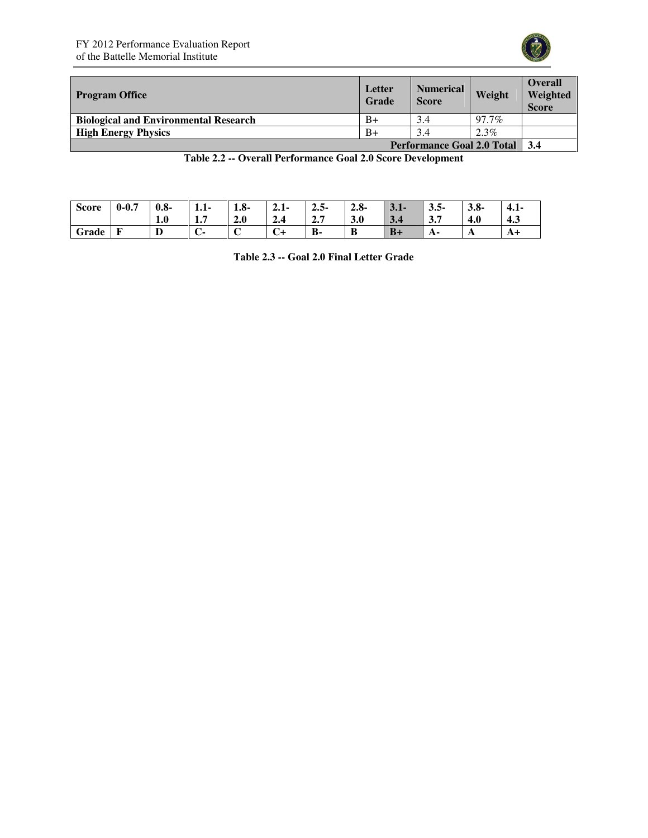

| <b>Program Office</b>                        | Letter<br>Grade | <b>Numerical</b><br><b>Score</b>  | Weight  | <b>Overall</b><br>Weighted<br><b>Score</b> |
|----------------------------------------------|-----------------|-----------------------------------|---------|--------------------------------------------|
| <b>Biological and Environmental Research</b> | $B+$            | 3.4                               | 97.7%   |                                            |
| <b>High Energy Physics</b>                   | $B+$            | 3.4                               | $2.3\%$ |                                            |
|                                              |                 | <b>Performance Goal 2.0 Total</b> |         | $\vert 3.4$                                |

**Table 2.2 -- Overall Performance Goal 2.0 Score Development**

| <b>Score</b> | $0 - 0.7$ | $0.8 -$<br>1.0 | $\blacksquare$ . $\blacksquare$<br><b>1.</b> | $1.8 -$<br>́<br>$\Omega$<br>4.V | 4.I-<br>4.4 | $2.5 -$<br>∠., | $2.8 -$<br><b>3.0</b> | 21<br>3.17<br>3.4 | $\sim$ $\sim$<br>$3.5 -$<br>$J_{\bullet}$ | $3.5-$<br>4.0 | $4.1 -$<br>4.5 |
|--------------|-----------|----------------|----------------------------------------------|---------------------------------|-------------|----------------|-----------------------|-------------------|-------------------------------------------|---------------|----------------|
| Grade        |           | D              | $\sim$<br>- U-                               | $\overline{\phantom{a}}$<br>◡   | v.          | <b>B-</b>      | D<br>D                | $B+$              | <b>A-</b>                                 | $\mathbf{A}$  | <b>AT</b>      |

**Table 2.3 -- Goal 2.0 Final Letter Grade**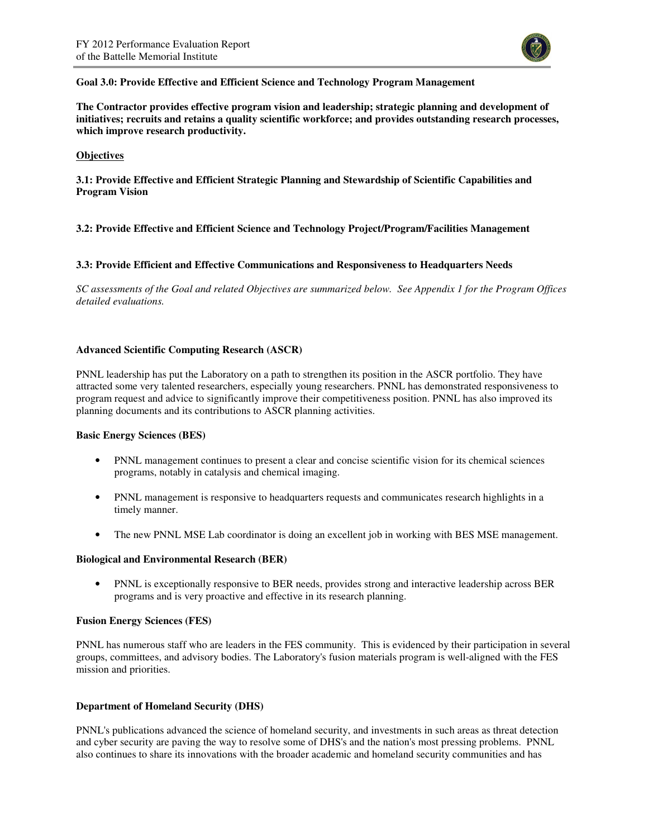

## **Goal 3.0: Provide Effective and Efficient Science and Technology Program Management**

**The Contractor provides effective program vision and leadership; strategic planning and development of initiatives; recruits and retains a quality scientific workforce; and provides outstanding research processes, which improve research productivity.**

#### **Objectives**

**3.1: Provide Effective and Efficient Strategic Planning and Stewardship of Scientific Capabilities and Program Vision**

## **3.2: Provide Effective and Efficient Science and Technology Project/Program/Facilities Management**

#### **3.3: Provide Efficient and Effective Communications and Responsiveness to Headquarters Needs**

*SC assessments of the Goal and related Objectives are summarized below. See Appendix 1 for the Program Offices detailed evaluations.*

#### **Advanced Scientific Computing Research (ASCR)**

PNNL leadership has put the Laboratory on a path to strengthen its position in the ASCR portfolio. They have attracted some very talented researchers, especially young researchers. PNNL has demonstrated responsiveness to program request and advice to significantly improve their competitiveness position. PNNL has also improved its planning documents and its contributions to ASCR planning activities.

#### **Basic Energy Sciences (BES)**

- PNNL management continues to present a clear and concise scientific vision for its chemical sciences programs, notably in catalysis and chemical imaging.
- PNNL management is responsive to headquarters requests and communicates research highlights in a timely manner.
- The new PNNL MSE Lab coordinator is doing an excellent job in working with BES MSE management.

#### **Biological and Environmental Research (BER)**

• PNNL is exceptionally responsive to BER needs, provides strong and interactive leadership across BER programs and is very proactive and effective in its research planning.

#### **Fusion Energy Sciences (FES)**

PNNL has numerous staff who are leaders in the FES community. This is evidenced by their participation in several groups, committees, and advisory bodies. The Laboratory's fusion materials program is well-aligned with the FES mission and priorities.

#### **Department of Homeland Security (DHS)**

PNNL's publications advanced the science of homeland security, and investments in such areas as threat detection and cyber security are paving the way to resolve some of DHS's and the nation's most pressing problems. PNNL also continues to share its innovations with the broader academic and homeland security communities and has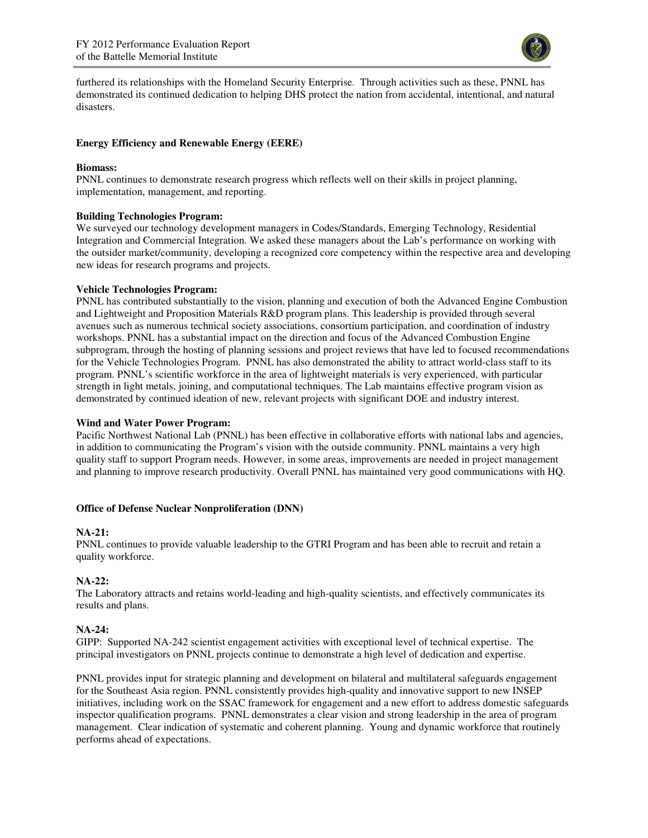

furthered its relationships with the Homeland Security Enterprise. Through activities such as these, PNNL has demonstrated its continued dedication to helping DHS protect the nation from accidental, intentional, and natural disasters.

## **Energy Efficiency and Renewable Energy (EERE)**

## **Biomass:**

PNNL continues to demonstrate research progress which reflects well on their skills in project planning, implementation, management, and reporting.

## **Building Technologies Program:**

We surveyed our technology development managers in Codes/Standards, Emerging Technology, Residential Integration and Commercial Integration. We asked these managers about the Lab's performance on working with the outsider market/community, developing a recognized core competency within the respective area and developing new ideas for research programs and projects.

#### **Vehicle Technologies Program:**

PNNL has contributed substantially to the vision, planning and execution of both the Advanced Engine Combustion and Lightweight and Proposition Materials R&D program plans. This leadership is provided through several avenues such as numerous technical society associations, consortium participation, and coordination of industry workshops. PNNL has a substantial impact on the direction and focus of the Advanced Combustion Engine subprogram, through the hosting of planning sessions and project reviews that have led to focused recommendations for the Vehicle Technologies Program. PNNL has also demonstrated the ability to attract world-class staff to its program. PNNL's scientific workforce in the area of lightweight materials is very experienced, with particular strength in light metals, joining, and computational techniques. The Lab maintains effective program vision as demonstrated by continued ideation of new, relevant projects with significant DOE and industry interest.

#### **Wind and Water Power Program:**

Pacific Northwest National Lab (PNNL) has been effective in collaborative efforts with national labs and agencies, in addition to communicating the Program's vision with the outside community. PNNL maintains a very high quality staff to support Program needs. However, in some areas, improvements are needed in project management and planning to improve research productivity. Overall PNNL has maintained very good communications with HQ.

## **Office of Defense Nuclear Nonproliferation (DNN)**

#### **NA-21:**

PNNL continues to provide valuable leadership to the GTRI Program and has been able to recruit and retain a quality workforce.

## **NA-22:**

The Laboratory attracts and retains world-leading and high-quality scientists, and effectively communicates its results and plans.

## **NA-24:**

GIPP: Supported NA-242 scientist engagement activities with exceptional level of technical expertise. The principal investigators on PNNL projects continue to demonstrate a high level of dedication and expertise.

PNNL provides input for strategic planning and development on bilateral and multilateral safeguards engagement for the Southeast Asia region. PNNL consistently provides high-quality and innovative support to new INSEP initiatives, including work on the SSAC framework for engagement and a new effort to address domestic safeguards inspector qualification programs. PNNL demonstrates a clear vision and strong leadership in the area of program management. Clear indication of systematic and coherent planning. Young and dynamic workforce that routinely performs ahead of expectations.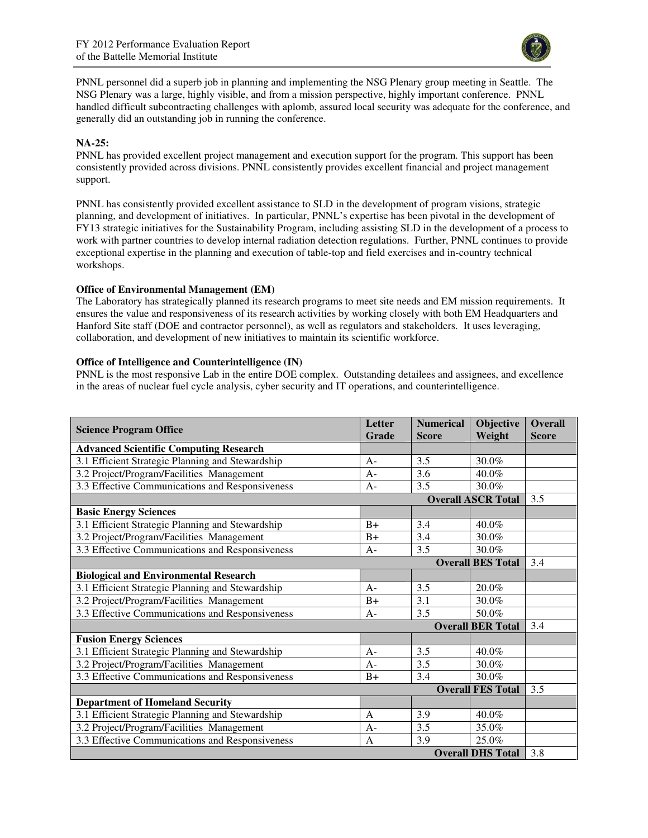

PNNL personnel did a superb job in planning and implementing the NSG Plenary group meeting in Seattle. The NSG Plenary was a large, highly visible, and from a mission perspective, highly important conference. PNNL handled difficult subcontracting challenges with aplomb, assured local security was adequate for the conference, and generally did an outstanding job in running the conference.

## **NA-25:**

PNNL has provided excellent project management and execution support for the program. This support has been consistently provided across divisions. PNNL consistently provides excellent financial and project management support.

PNNL has consistently provided excellent assistance to SLD in the development of program visions, strategic planning, and development of initiatives. In particular, PNNL's expertise has been pivotal in the development of FY13 strategic initiatives for the Sustainability Program, including assisting SLD in the development of a process to work with partner countries to develop internal radiation detection regulations. Further, PNNL continues to provide exceptional expertise in the planning and execution of table-top and field exercises and in-country technical workshops.

### **Office of Environmental Management (EM)**

The Laboratory has strategically planned its research programs to meet site needs and EM mission requirements. It ensures the value and responsiveness of its research activities by working closely with both EM Headquarters and Hanford Site staff (DOE and contractor personnel), as well as regulators and stakeholders. It uses leveraging, collaboration, and development of new initiatives to maintain its scientific workforce.

## **Office of Intelligence and Counterintelligence (IN)**

PNNL is the most responsive Lab in the entire DOE complex. Outstanding detailees and assignees, and excellence in the areas of nuclear fuel cycle analysis, cyber security and IT operations, and counterintelligence.

| <b>Science Program Office</b>                    | Letter<br>Grade | <b>Numerical</b><br><b>Score</b> | Objective<br>Weight       | <b>Overall</b><br><b>Score</b> |
|--------------------------------------------------|-----------------|----------------------------------|---------------------------|--------------------------------|
| <b>Advanced Scientific Computing Research</b>    |                 |                                  |                           |                                |
| 3.1 Efficient Strategic Planning and Stewardship | $A -$           | 3.5                              | 30.0%                     |                                |
| 3.2 Project/Program/Facilities Management        | $A -$           | 3.6                              | 40.0%                     |                                |
| 3.3 Effective Communications and Responsiveness  | $A -$           | 3.5                              | 30.0%                     |                                |
|                                                  |                 |                                  | <b>Overall ASCR Total</b> | 3.5                            |
| <b>Basic Energy Sciences</b>                     |                 |                                  |                           |                                |
| 3.1 Efficient Strategic Planning and Stewardship | $B+$            | 3.4                              | 40.0%                     |                                |
| 3.2 Project/Program/Facilities Management        | $B+$            | 3.4                              | 30.0%                     |                                |
| 3.3 Effective Communications and Responsiveness  | $A -$           | 3.5                              | $30.0\%$                  |                                |
|                                                  |                 |                                  | <b>Overall BES Total</b>  | 3.4                            |
| <b>Biological and Environmental Research</b>     |                 |                                  |                           |                                |
| 3.1 Efficient Strategic Planning and Stewardship | $A -$           | 3.5                              | $20.0\%$                  |                                |
| 3.2 Project/Program/Facilities Management        | $B+$            | 3.1                              | 30.0%                     |                                |
| 3.3 Effective Communications and Responsiveness  | $A -$           | 3.5                              | $50.0\%$                  |                                |
|                                                  |                 |                                  | <b>Overall BER Total</b>  | 3.4                            |
| <b>Fusion Energy Sciences</b>                    |                 |                                  |                           |                                |
| 3.1 Efficient Strategic Planning and Stewardship | $A -$           | 3.5                              | $40.0\%$                  |                                |
| 3.2 Project/Program/Facilities Management        | $A -$           | 3.5                              | $30.0\%$                  |                                |
| 3.3 Effective Communications and Responsiveness  | $B+$            | 3.4                              | $30.0\%$                  |                                |
|                                                  |                 |                                  | <b>Overall FES Total</b>  | 3.5                            |
| <b>Department of Homeland Security</b>           |                 |                                  |                           |                                |
| 3.1 Efficient Strategic Planning and Stewardship | $\mathsf{A}$    | 3.9                              | 40.0%                     |                                |
| 3.2 Project/Program/Facilities Management        | $A -$           | 3.5                              | 35.0%                     |                                |
| 3.3 Effective Communications and Responsiveness  | A               | 3.9                              | 25.0%                     |                                |
|                                                  |                 |                                  | <b>Overall DHS Total</b>  | 3.8                            |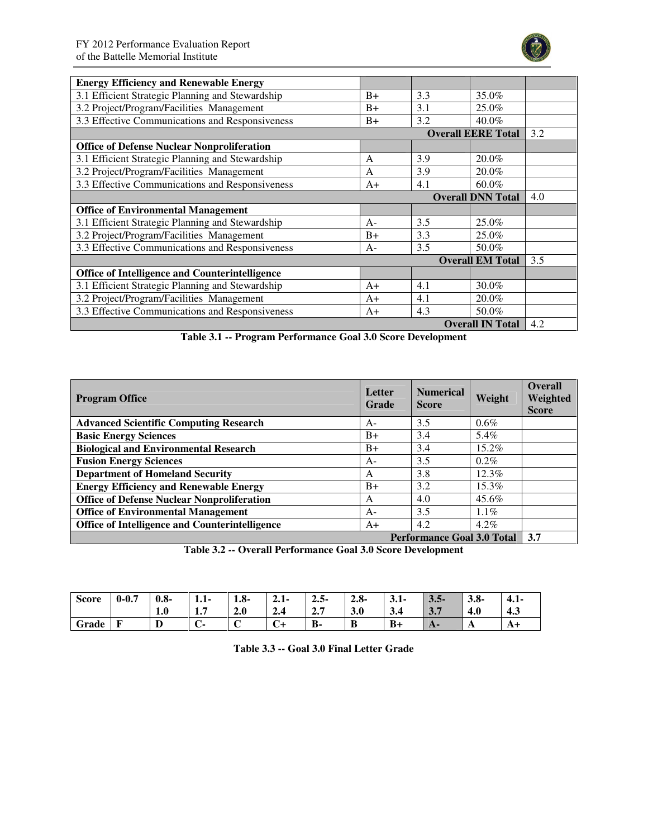

| <b>Energy Efficiency and Renewable Energy</b>         |       |     |                          |     |  |  |
|-------------------------------------------------------|-------|-----|--------------------------|-----|--|--|
| 3.1 Efficient Strategic Planning and Stewardship      | $B+$  | 3.3 | 35.0%                    |     |  |  |
| 3.2 Project/Program/Facilities Management             | $B+$  | 3.1 | 25.0%                    |     |  |  |
| 3.3 Effective Communications and Responsiveness       | $B+$  | 3.2 | $40.0\%$                 |     |  |  |
| <b>Overall EERE Total</b>                             |       |     |                          |     |  |  |
| <b>Office of Defense Nuclear Nonproliferation</b>     |       |     |                          |     |  |  |
| 3.1 Efficient Strategic Planning and Stewardship      | A     | 3.9 | 20.0%                    |     |  |  |
| 3.2 Project/Program/Facilities Management             | A     | 3.9 | 20.0%                    |     |  |  |
| 3.3 Effective Communications and Responsiveness       | $A+$  | 4.1 | 60.0%                    |     |  |  |
|                                                       |       |     | <b>Overall DNN Total</b> | 4.0 |  |  |
| <b>Office of Environmental Management</b>             |       |     |                          |     |  |  |
| 3.1 Efficient Strategic Planning and Stewardship      | $A-$  | 3.5 | 25.0%                    |     |  |  |
| 3.2 Project/Program/Facilities Management             | $B+$  | 3.3 | 25.0%                    |     |  |  |
| 3.3 Effective Communications and Responsiveness       | $A -$ | 3.5 | 50.0%                    |     |  |  |
|                                                       |       |     | <b>Overall EM Total</b>  | 3.5 |  |  |
| <b>Office of Intelligence and Counterintelligence</b> |       |     |                          |     |  |  |
| 3.1 Efficient Strategic Planning and Stewardship      | $A+$  | 4.1 | 30.0%                    |     |  |  |
| 3.2 Project/Program/Facilities Management             | $A+$  | 4.1 | 20.0%                    |     |  |  |
| 3.3 Effective Communications and Responsiveness       | $A+$  | 4.3 | 50.0%                    |     |  |  |
|                                                       |       |     | <b>Overall IN Total</b>  | 4.2 |  |  |

**Table 3.1 -- Program Performance Goal 3.0 Score Development**

| <b>Program Office</b>                             | Letter<br>Grade | <b>Numerical</b><br><b>Score</b>  | Weight   | <b>Overall</b><br>Weighted<br><b>Score</b> |
|---------------------------------------------------|-----------------|-----------------------------------|----------|--------------------------------------------|
| <b>Advanced Scientific Computing Research</b>     | $A-$            | 3.5                               | $0.6\%$  |                                            |
| <b>Basic Energy Sciences</b>                      | $B+$            | 3.4                               | 5.4%     |                                            |
| <b>Biological and Environmental Research</b>      | $B+$            | 3.4                               | 15.2%    |                                            |
| <b>Fusion Energy Sciences</b>                     | $A-$            | 3.5                               | $0.2\%$  |                                            |
| <b>Department of Homeland Security</b>            | A               | 3.8                               | $12.3\%$ |                                            |
| <b>Energy Efficiency and Renewable Energy</b>     | $B+$            | 3.2                               | 15.3%    |                                            |
| <b>Office of Defense Nuclear Nonproliferation</b> | A               | 4.0                               | 45.6%    |                                            |
| <b>Office of Environmental Management</b>         | $A-$            | 3.5                               | $1.1\%$  |                                            |
| Office of Intelligence and Counterintelligence    | A+              | 4.2                               | $4.2\%$  |                                            |
|                                                   |                 | <b>Performance Goal 3.0 Total</b> |          | 3.7                                        |

**Table 3.2 -- Overall Performance Goal 3.0 Score Development**

| <b>Score</b> | $0 - 0.7$ | $0.8 -$<br>1.0 | $1.1 -$<br><b>1.7</b> | $1.8 -$<br>2.0 | $2.1 -$<br>2.4 | $2.5 -$<br>2.7 | $2.8 -$<br>3.0 | $3.1 -$<br>3.4 | $3.5 -$<br>3.7 | $3.8 -$<br>4.0 | $4.1 -$<br>4.3 |
|--------------|-----------|----------------|-----------------------|----------------|----------------|----------------|----------------|----------------|----------------|----------------|----------------|
| <b>Grade</b> |           | D              | $\mathbf{C}$          | ╰              |                |                | D              | $B+$           | $\mathbf{A}$   | A              | A-             |

**Table 3.3 -- Goal 3.0 Final Letter Grade**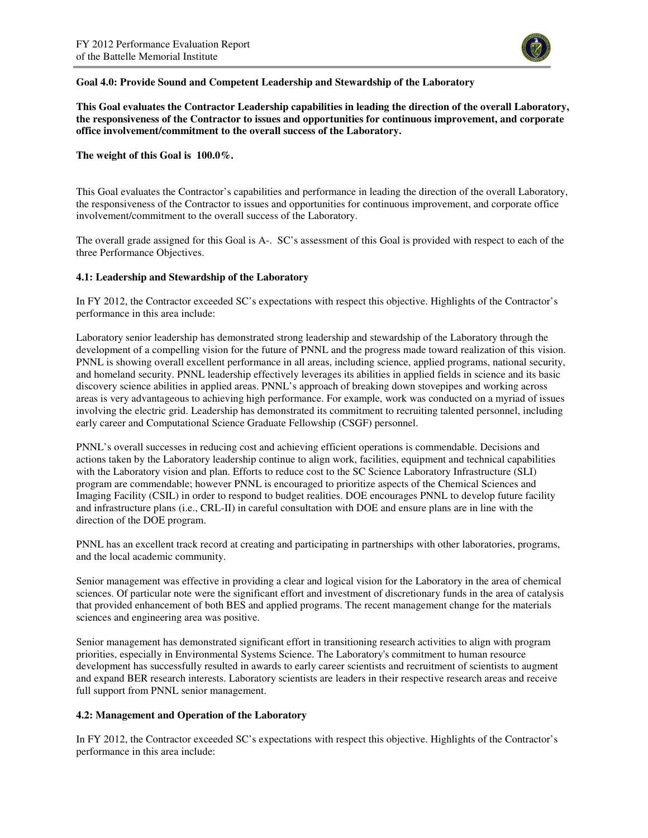

## **Goal 4.0: Provide Sound and Competent Leadership and Stewardship of the Laboratory**

**This Goal evaluates the Contractor Leadership capabilities in leading the direction of the overall Laboratory, the responsiveness of the Contractor to issues and opportunities for continuous improvement, and corporate office involvement/commitment to the overall success of the Laboratory.**

## **The weight of this Goal is 100.0%.**

This Goal evaluates the Contractor's capabilities and performance in leading the direction of the overall Laboratory, the responsiveness of the Contractor to issues and opportunities for continuous improvement, and corporate office involvement/commitment to the overall success of the Laboratory.

The overall grade assigned for this Goal is A-. SC's assessment of this Goal is provided with respect to each of the three Performance Objectives.

## **4.1: Leadership and Stewardship of the Laboratory**

In FY 2012, the Contractor exceeded SC's expectations with respect this objective. Highlights of the Contractor's performance in this area include:

Laboratory senior leadership has demonstrated strong leadership and stewardship of the Laboratory through the development of a compelling vision for the future of PNNL and the progress made toward realization of this vision. PNNL is showing overall excellent performance in all areas, including science, applied programs, national security, and homeland security. PNNL leadership effectively leverages its abilities in applied fields in science and its basic discovery science abilities in applied areas. PNNL's approach of breaking down stovepipes and working across areas is very advantageous to achieving high performance. For example, work was conducted on a myriad of issues involving the electric grid. Leadership has demonstrated its commitment to recruiting talented personnel, including early career and Computational Science Graduate Fellowship (CSGF) personnel.

PNNL's overall successes in reducing cost and achieving efficient operations is commendable. Decisions and actions taken by the Laboratory leadership continue to align work, facilities, equipment and technical capabilities with the Laboratory vision and plan. Efforts to reduce cost to the SC Science Laboratory Infrastructure (SLI) program are commendable; however PNNL is encouraged to prioritize aspects of the Chemical Sciences and Imaging Facility (CSIL) in order to respond to budget realities. DOE encourages PNNL to develop future facility and infrastructure plans (i.e., CRL-II) in careful consultation with DOE and ensure plans are in line with the direction of the DOE program.

PNNL has an excellent track record at creating and participating in partnerships with other laboratories, programs, and the local academic community.

Senior management was effective in providing a clear and logical vision for the Laboratory in the area of chemical sciences. Of particular note were the significant effort and investment of discretionary funds in the area of catalysis that provided enhancement of both BES and applied programs. The recent management change for the materials sciences and engineering area was positive.

Senior management has demonstrated significant effort in transitioning research activities to align with program priorities, especially in Environmental Systems Science. The Laboratory's commitment to human resource development has successfully resulted in awards to early career scientists and recruitment of scientists to augment and expand BER research interests. Laboratory scientists are leaders in their respective research areas and receive full support from PNNL senior management.

## **4.2: Management and Operation of the Laboratory**

In FY 2012, the Contractor exceeded SC's expectations with respect this objective. Highlights of the Contractor's performance in this area include: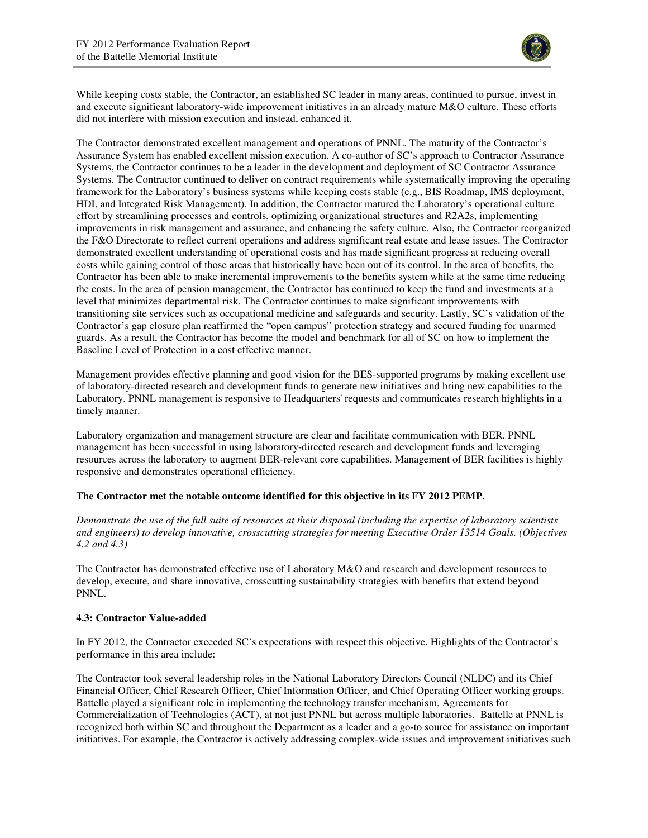

While keeping costs stable, the Contractor, an established SC leader in many areas, continued to pursue, invest in and execute significant laboratory-wide improvement initiatives in an already mature M&O culture. These efforts did not interfere with mission execution and instead, enhanced it.

The Contractor demonstrated excellent management and operations of PNNL. The maturity of the Contractor's Assurance System has enabled excellent mission execution. A co-author of SC's approach to Contractor Assurance Systems, the Contractor continues to be a leader in the development and deployment of SC Contractor Assurance Systems. The Contractor continued to deliver on contract requirements while systematically improving the operating framework for the Laboratory's business systems while keeping costs stable (e.g., BIS Roadmap, IMS deployment, HDI, and Integrated Risk Management). In addition, the Contractor matured the Laboratory's operational culture effort by streamlining processes and controls, optimizing organizational structures and R2A2s, implementing improvements in risk management and assurance, and enhancing the safety culture. Also, the Contractor reorganized the F&O Directorate to reflect current operations and address significant real estate and lease issues. The Contractor demonstrated excellent understanding of operational costs and has made significant progress at reducing overall costs while gaining control of those areas that historically have been out of its control. In the area of benefits, the Contractor has been able to make incremental improvements to the benefits system while at the same time reducing the costs. In the area of pension management, the Contractor has continued to keep the fund and investments at a level that minimizes departmental risk. The Contractor continues to make significant improvements with transitioning site services such as occupational medicine and safeguards and security. Lastly, SC's validation of the Contractor's gap closure plan reaffirmed the "open campus" protection strategy and secured funding for unarmed guards. As a result, the Contractor has become the model and benchmark for all of SC on how to implement the Baseline Level of Protection in a cost effective manner.

Management provides effective planning and good vision for the BES-supported programs by making excellent use of laboratory-directed research and development funds to generate new initiatives and bring new capabilities to the Laboratory. PNNL management is responsive to Headquarters' requests and communicates research highlights in a timely manner.

Laboratory organization and management structure are clear and facilitate communication with BER. PNNL management has been successful in using laboratory-directed research and development funds and leveraging resources across the laboratory to augment BER-relevant core capabilities. Management of BER facilities is highly responsive and demonstrates operational efficiency.

## **The Contractor met the notable outcome identified for this objective in its FY 2012 PEMP.**

*Demonstrate the use of the full suite of resources at their disposal (including the expertise of laboratory scientists and engineers) to develop innovative, crosscutting strategies for meeting Executive Order 13514 Goals. (Objectives 4.2 and 4.3)*

The Contractor has demonstrated effective use of Laboratory M&O and research and development resources to develop, execute, and share innovative, crosscutting sustainability strategies with benefits that extend beyond PNNL.

#### **4.3: Contractor Value-added**

In FY 2012, the Contractor exceeded SC's expectations with respect this objective. Highlights of the Contractor's performance in this area include:

The Contractor took several leadership roles in the National Laboratory Directors Council (NLDC) and its Chief Financial Officer, Chief Research Officer, Chief Information Officer, and Chief Operating Officer working groups. Battelle played a significant role in implementing the technology transfer mechanism, Agreements for Commercialization of Technologies (ACT), at not just PNNL but across multiple laboratories. Battelle at PNNL is recognized both within SC and throughout the Department as a leader and a go-to source for assistance on important initiatives. For example, the Contractor is actively addressing complex-wide issues and improvement initiatives such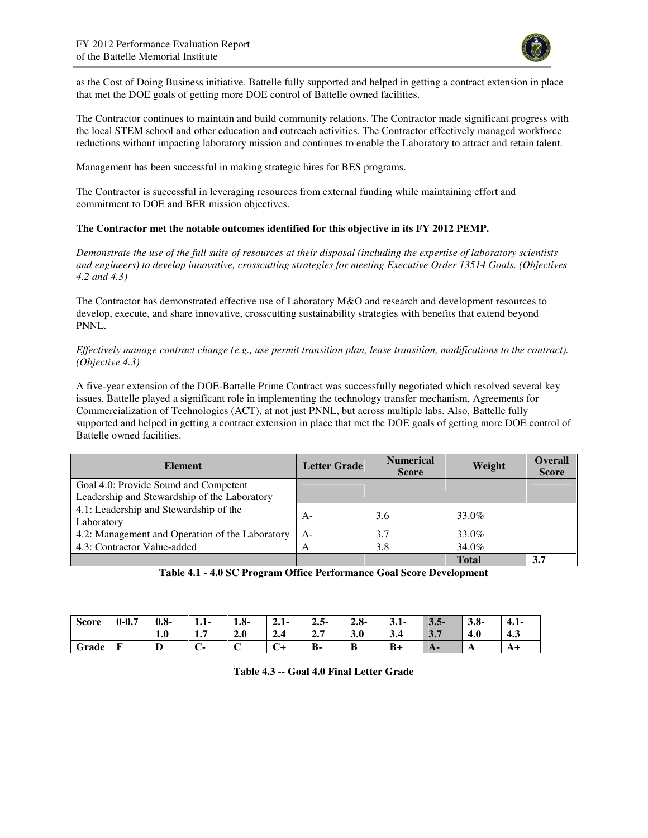

as the Cost of Doing Business initiative. Battelle fully supported and helped in getting a contract extension in place that met the DOE goals of getting more DOE control of Battelle owned facilities.

The Contractor continues to maintain and build community relations. The Contractor made significant progress with the local STEM school and other education and outreach activities. The Contractor effectively managed workforce reductions without impacting laboratory mission and continues to enable the Laboratory to attract and retain talent.

Management has been successful in making strategic hires for BES programs.

The Contractor is successful in leveraging resources from external funding while maintaining effort and commitment to DOE and BER mission objectives.

#### **The Contractor met the notable outcomes identified for this objective in its FY 2012 PEMP.**

*Demonstrate the use of the full suite of resources at their disposal (including the expertise of laboratory scientists and engineers) to develop innovative, crosscutting strategies for meeting Executive Order 13514 Goals. (Objectives 4.2 and 4.3)*

The Contractor has demonstrated effective use of Laboratory M&O and research and development resources to develop, execute, and share innovative, crosscutting sustainability strategies with benefits that extend beyond PNNL.

## *Effectively manage contract change (e.g., use permit transition plan, lease transition, modifications to the contract). (Objective 4.3)*

A five-year extension of the DOE-Battelle Prime Contract was successfully negotiated which resolved several key issues. Battelle played a significant role in implementing the technology transfer mechanism, Agreements for Commercialization of Technologies (ACT), at not just PNNL, but across multiple labs. Also, Battelle fully supported and helped in getting a contract extension in place that met the DOE goals of getting more DOE control of Battelle owned facilities.

| <b>Element</b>                                  | <b>Letter Grade</b> | <b>Numerical</b><br><b>Score</b> | Weight       | <b>Overall</b><br><b>Score</b> |
|-------------------------------------------------|---------------------|----------------------------------|--------------|--------------------------------|
| Goal 4.0: Provide Sound and Competent           |                     |                                  |              |                                |
| Leadership and Stewardship of the Laboratory    |                     |                                  |              |                                |
| 4.1: Leadership and Stewardship of the          | A-                  | 3.6                              | 33.0%        |                                |
| Laboratory                                      |                     |                                  |              |                                |
| 4.2: Management and Operation of the Laboratory | $A-$                | 3.7                              | 33.0%        |                                |
| 4.3: Contractor Value-added                     | А                   | 3.8                              | 34.0%        |                                |
|                                                 |                     |                                  | <b>Total</b> | 3.7                            |

**Table 4.1 - 4.0 SC Program Office Performance Goal Score Development**

| <b>Score</b> | $0 - 0.7$ | $0.8 -$<br>1.0 | $1.1 -$<br>1. I | $1.8 -$<br>2.0 | $ 2.1 -$<br>2.4 | $2.5 -$<br>2.7 | $2.8 -$<br>3.0 | $3.1 -$<br>3.4 | $3.5 -$<br>3.7 | $3.8 -$<br>4.0 | $4.1 -$<br>4.3 |
|--------------|-----------|----------------|-----------------|----------------|-----------------|----------------|----------------|----------------|----------------|----------------|----------------|
| <b>Grade</b> | И         | D              |                 | ◡              |                 | D-             | B              | $B+$           | $\mathbf{A}$   | A              | A+             |

**Table 4.3 -- Goal 4.0 Final Letter Grade**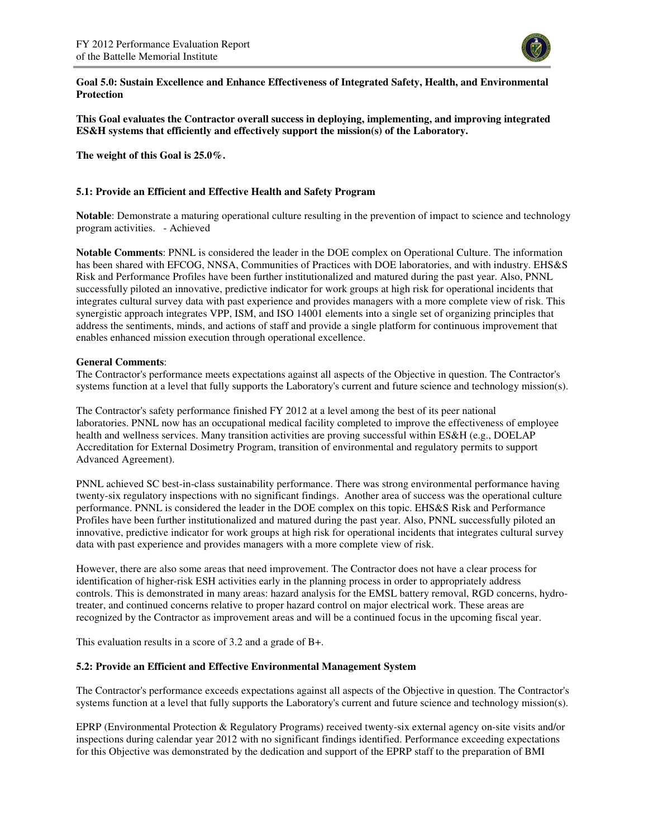

**Goal 5.0: Sustain Excellence and Enhance Effectiveness of Integrated Safety, Health, and Environmental Protection**

**This Goal evaluates the Contractor overall success in deploying, implementing, and improving integrated ES&H systems that efficiently and effectively support the mission(s) of the Laboratory.**

**The weight of this Goal is 25.0%.**

## **5.1: Provide an Efficient and Effective Health and Safety Program**

**Notable**: Demonstrate a maturing operational culture resulting in the prevention of impact to science and technology program activities. - Achieved

**Notable Comments**: PNNL is considered the leader in the DOE complex on Operational Culture. The information has been shared with EFCOG, NNSA, Communities of Practices with DOE laboratories, and with industry. EHS&S Risk and Performance Profiles have been further institutionalized and matured during the past year. Also, PNNL successfully piloted an innovative, predictive indicator for work groups at high risk for operational incidents that integrates cultural survey data with past experience and provides managers with a more complete view of risk. This synergistic approach integrates VPP, ISM, and ISO 14001 elements into a single set of organizing principles that address the sentiments, minds, and actions of staff and provide a single platform for continuous improvement that enables enhanced mission execution through operational excellence.

#### **General Comments**:

The Contractor's performance meets expectations against all aspects of the Objective in question. The Contractor's systems function at a level that fully supports the Laboratory's current and future science and technology mission(s).

The Contractor's safety performance finished FY 2012 at a level among the best of its peer national laboratories. PNNL now has an occupational medical facility completed to improve the effectiveness of employee health and wellness services. Many transition activities are proving successful within ES&H (e.g., DOELAP Accreditation for External Dosimetry Program, transition of environmental and regulatory permits to support Advanced Agreement).

PNNL achieved SC best-in-class sustainability performance. There was strong environmental performance having twenty-six regulatory inspections with no significant findings. Another area of success was the operational culture performance. PNNL is considered the leader in the DOE complex on this topic. EHS&S Risk and Performance Profiles have been further institutionalized and matured during the past year. Also, PNNL successfully piloted an innovative, predictive indicator for work groups at high risk for operational incidents that integrates cultural survey data with past experience and provides managers with a more complete view of risk.

However, there are also some areas that need improvement. The Contractor does not have a clear process for identification of higher-risk ESH activities early in the planning process in order to appropriately address controls. This is demonstrated in many areas: hazard analysis for the EMSL battery removal, RGD concerns, hydrotreater, and continued concerns relative to proper hazard control on major electrical work. These areas are recognized by the Contractor as improvement areas and will be a continued focus in the upcoming fiscal year.

This evaluation results in a score of 3.2 and a grade of B+.

## **5.2: Provide an Efficient and Effective Environmental Management System**

The Contractor's performance exceeds expectations against all aspects of the Objective in question. The Contractor's systems function at a level that fully supports the Laboratory's current and future science and technology mission(s).

EPRP (Environmental Protection & Regulatory Programs) received twenty-six external agency on-site visits and/or inspections during calendar year 2012 with no significant findings identified. Performance exceeding expectations for this Objective was demonstrated by the dedication and support of the EPRP staff to the preparation of BMI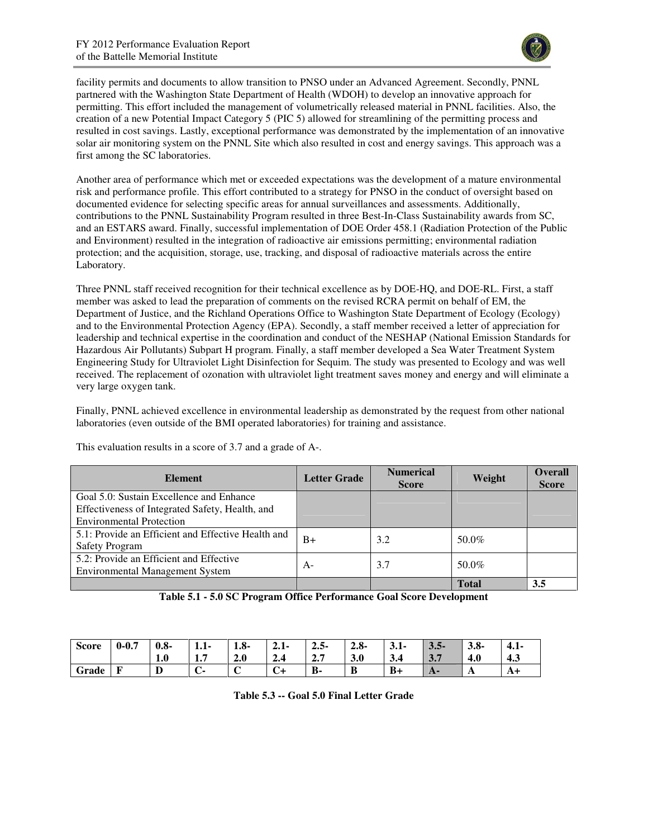

facility permits and documents to allow transition to PNSO under an Advanced Agreement. Secondly, PNNL partnered with the Washington State Department of Health (WDOH) to develop an innovative approach for permitting. This effort included the management of volumetrically released material in PNNL facilities. Also, the creation of a new Potential Impact Category 5 (PIC 5) allowed for streamlining of the permitting process and resulted in cost savings. Lastly, exceptional performance was demonstrated by the implementation of an innovative solar air monitoring system on the PNNL Site which also resulted in cost and energy savings. This approach was a first among the SC laboratories.

Another area of performance which met or exceeded expectations was the development of a mature environmental risk and performance profile. This effort contributed to a strategy for PNSO in the conduct of oversight based on documented evidence for selecting specific areas for annual surveillances and assessments. Additionally, contributions to the PNNL Sustainability Program resulted in three Best-In-Class Sustainability awards from SC, and an ESTARS award. Finally, successful implementation of DOE Order 458.1 (Radiation Protection of the Public and Environment) resulted in the integration of radioactive air emissions permitting; environmental radiation protection; and the acquisition, storage, use, tracking, and disposal of radioactive materials across the entire Laboratory.

Three PNNL staff received recognition for their technical excellence as by DOE-HQ, and DOE-RL. First, a staff member was asked to lead the preparation of comments on the revised RCRA permit on behalf of EM, the Department of Justice, and the Richland Operations Office to Washington State Department of Ecology (Ecology) and to the Environmental Protection Agency (EPA). Secondly, a staff member received a letter of appreciation for leadership and technical expertise in the coordination and conduct of the NESHAP (National Emission Standards for Hazardous Air Pollutants) Subpart H program. Finally, a staff member developed a Sea Water Treatment System Engineering Study for Ultraviolet Light Disinfection for Sequim. The study was presented to Ecology and was well received. The replacement of ozonation with ultraviolet light treatment saves money and energy and will eliminate a very large oxygen tank.

Finally, PNNL achieved excellence in environmental leadership as demonstrated by the request from other national laboratories (even outside of the BMI operated laboratories) for training and assistance.

| <b>Element</b>                                     | <b>Letter Grade</b> | <b>Numerical</b><br><b>Score</b> | Weight       | <b>Overall</b><br><b>Score</b> |
|----------------------------------------------------|---------------------|----------------------------------|--------------|--------------------------------|
| Goal 5.0: Sustain Excellence and Enhance           |                     |                                  |              |                                |
| Effectiveness of Integrated Safety, Health, and    |                     |                                  |              |                                |
| <b>Environmental Protection</b>                    |                     |                                  |              |                                |
| 5.1: Provide an Efficient and Effective Health and | $B+$                | 3.2                              | 50.0%        |                                |
| <b>Safety Program</b>                              |                     |                                  |              |                                |
| 5.2: Provide an Efficient and Effective            |                     | 3.7                              | 50.0%        |                                |
| <b>Environmental Management System</b>             | $A-$                |                                  |              |                                |
|                                                    |                     |                                  | <b>Total</b> | 3.5                            |

This evaluation results in a score of 3.7 and a grade of A-.

**Table 5.1 - 5.0 SC Program Office Performance Goal Score Development**

| <b>Score</b> | $0 - 0.7$ | $0.8 -$ | $1.1 -$ | $1.8-$ | $2.1 -$ | $2.5 -$ | $2.8 -$    | $3.1 -$ | $3.5 -$     | $3.8 -$ | $4.1 -$ |
|--------------|-----------|---------|---------|--------|---------|---------|------------|---------|-------------|---------|---------|
|              |           | 1.0     |         | 2.0    | 2.4     | 2.7     | <b>3.0</b> | 3.4     | $\vert 3.7$ | 4.0     | 4.3     |
| Grade        |           | D       |         |        |         | D-      | D          | $B+$    | А.          | A       | $A+$    |

**Table 5.3 -- Goal 5.0 Final Letter Grade**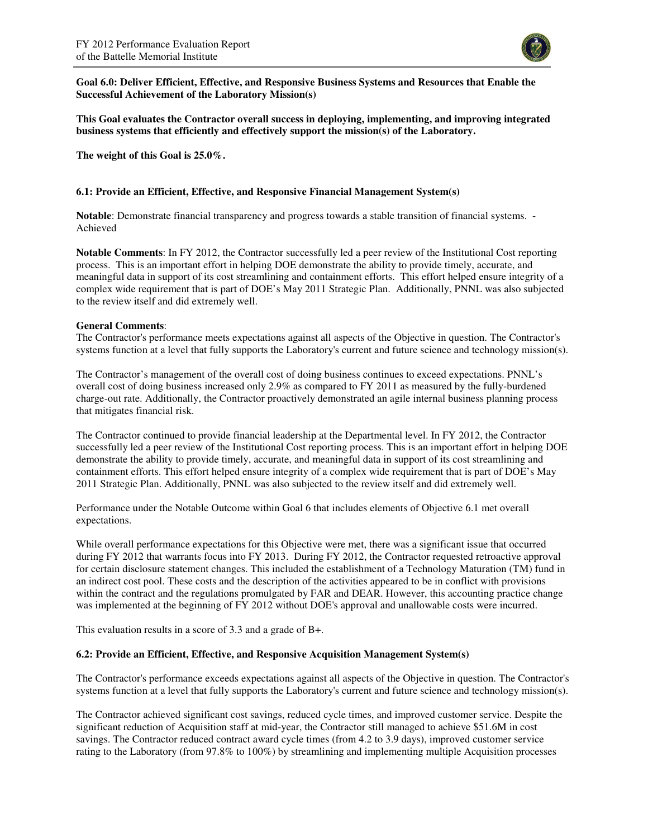

**Goal 6.0: Deliver Efficient, Effective, and Responsive Business Systems and Resources that Enable the Successful Achievement of the Laboratory Mission(s)**

**This Goal evaluates the Contractor overall success in deploying, implementing, and improving integrated business systems that efficiently and effectively support the mission(s) of the Laboratory.**

**The weight of this Goal is 25.0%.**

## **6.1: Provide an Efficient, Effective, and Responsive Financial Management System(s)**

**Notable**: Demonstrate financial transparency and progress towards a stable transition of financial systems. - Achieved

**Notable Comments**: In FY 2012, the Contractor successfully led a peer review of the Institutional Cost reporting process. This is an important effort in helping DOE demonstrate the ability to provide timely, accurate, and meaningful data in support of its cost streamlining and containment efforts. This effort helped ensure integrity of a complex wide requirement that is part of DOE's May 2011 Strategic Plan. Additionally, PNNL was also subjected to the review itself and did extremely well.

#### **General Comments**:

The Contractor's performance meets expectations against all aspects of the Objective in question. The Contractor's systems function at a level that fully supports the Laboratory's current and future science and technology mission(s).

The Contractor's management of the overall cost of doing business continues to exceed expectations. PNNL's overall cost of doing business increased only 2.9% as compared to FY 2011 as measured by the fully-burdened charge-out rate. Additionally, the Contractor proactively demonstrated an agile internal business planning process that mitigates financial risk.

The Contractor continued to provide financial leadership at the Departmental level. In FY 2012, the Contractor successfully led a peer review of the Institutional Cost reporting process. This is an important effort in helping DOE demonstrate the ability to provide timely, accurate, and meaningful data in support of its cost streamlining and containment efforts. This effort helped ensure integrity of a complex wide requirement that is part of DOE's May 2011 Strategic Plan. Additionally, PNNL was also subjected to the review itself and did extremely well.

Performance under the Notable Outcome within Goal 6 that includes elements of Objective 6.1 met overall expectations.

While overall performance expectations for this Objective were met, there was a significant issue that occurred during FY 2012 that warrants focus into FY 2013. During FY 2012, the Contractor requested retroactive approval for certain disclosure statement changes. This included the establishment of a Technology Maturation (TM) fund in an indirect cost pool. These costs and the description of the activities appeared to be in conflict with provisions within the contract and the regulations promulgated by FAR and DEAR. However, this accounting practice change was implemented at the beginning of FY 2012 without DOE's approval and unallowable costs were incurred.

This evaluation results in a score of 3.3 and a grade of B+.

#### **6.2: Provide an Efficient, Effective, and Responsive Acquisition Management System(s)**

The Contractor's performance exceeds expectations against all aspects of the Objective in question. The Contractor's systems function at a level that fully supports the Laboratory's current and future science and technology mission(s).

The Contractor achieved significant cost savings, reduced cycle times, and improved customer service. Despite the significant reduction of Acquisition staff at mid-year, the Contractor still managed to achieve \$51.6M in cost savings. The Contractor reduced contract award cycle times (from 4.2 to 3.9 days), improved customer service rating to the Laboratory (from 97.8% to 100%) by streamlining and implementing multiple Acquisition processes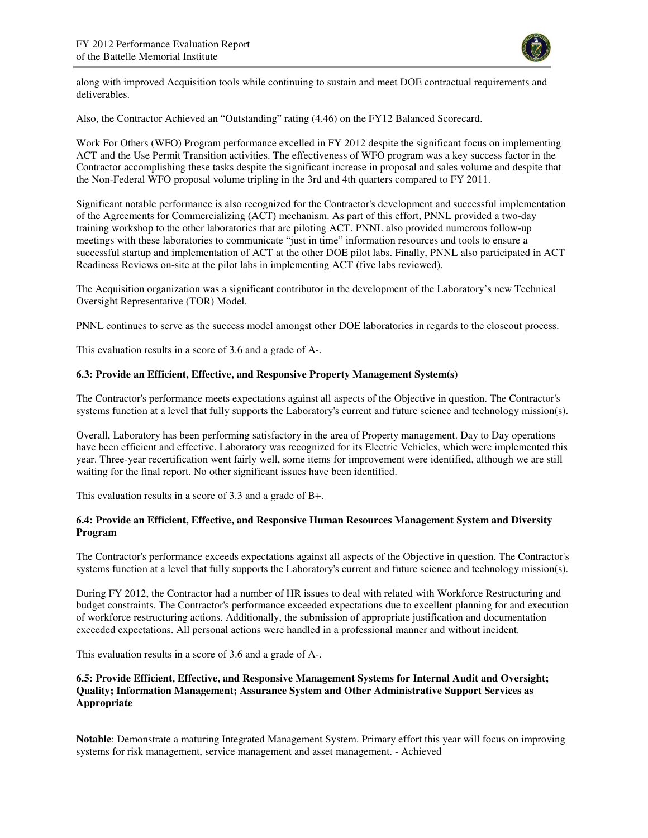

along with improved Acquisition tools while continuing to sustain and meet DOE contractual requirements and deliverables.

Also, the Contractor Achieved an "Outstanding" rating (4.46) on the FY12 Balanced Scorecard.

Work For Others (WFO) Program performance excelled in FY 2012 despite the significant focus on implementing ACT and the Use Permit Transition activities. The effectiveness of WFO program was a key success factor in the Contractor accomplishing these tasks despite the significant increase in proposal and sales volume and despite that the Non-Federal WFO proposal volume tripling in the 3rd and 4th quarters compared to FY 2011.

Significant notable performance is also recognized for the Contractor's development and successful implementation of the Agreements for Commercializing (ACT) mechanism. As part of this effort, PNNL provided a two-day training workshop to the other laboratories that are piloting ACT. PNNL also provided numerous follow-up meetings with these laboratories to communicate "just in time" information resources and tools to ensure a successful startup and implementation of ACT at the other DOE pilot labs. Finally, PNNL also participated in ACT Readiness Reviews on-site at the pilot labs in implementing ACT (five labs reviewed).

The Acquisition organization was a significant contributor in the development of the Laboratory's new Technical Oversight Representative (TOR) Model.

PNNL continues to serve as the success model amongst other DOE laboratories in regards to the closeout process.

This evaluation results in a score of 3.6 and a grade of A-.

#### **6.3: Provide an Efficient, Effective, and Responsive Property Management System(s)**

The Contractor's performance meets expectations against all aspects of the Objective in question. The Contractor's systems function at a level that fully supports the Laboratory's current and future science and technology mission(s).

Overall, Laboratory has been performing satisfactory in the area of Property management. Day to Day operations have been efficient and effective. Laboratory was recognized for its Electric Vehicles, which were implemented this year. Three-year recertification went fairly well, some items for improvement were identified, although we are still waiting for the final report. No other significant issues have been identified.

This evaluation results in a score of 3.3 and a grade of B+.

## **6.4: Provide an Efficient, Effective, and Responsive Human Resources Management System and Diversity Program**

The Contractor's performance exceeds expectations against all aspects of the Objective in question. The Contractor's systems function at a level that fully supports the Laboratory's current and future science and technology mission(s).

During FY 2012, the Contractor had a number of HR issues to deal with related with Workforce Restructuring and budget constraints. The Contractor's performance exceeded expectations due to excellent planning for and execution of workforce restructuring actions. Additionally, the submission of appropriate justification and documentation exceeded expectations. All personal actions were handled in a professional manner and without incident.

This evaluation results in a score of 3.6 and a grade of A-.

## **6.5: Provide Efficient, Effective, and Responsive Management Systems for Internal Audit and Oversight; Quality; Information Management; Assurance System and Other Administrative Support Services as Appropriate**

**Notable**: Demonstrate a maturing Integrated Management System. Primary effort this year will focus on improving systems for risk management, service management and asset management. - Achieved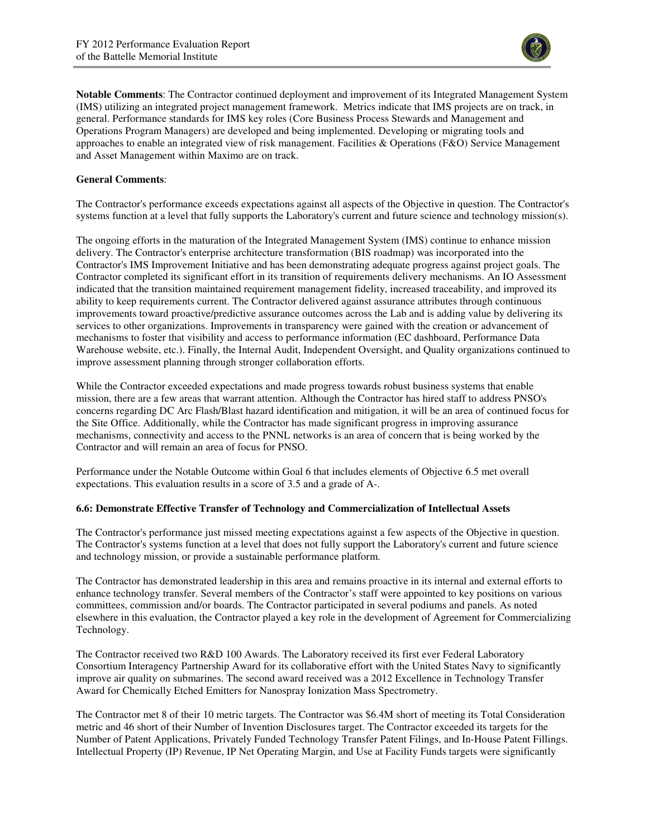

**Notable Comments**: The Contractor continued deployment and improvement of its Integrated Management System (IMS) utilizing an integrated project management framework. Metrics indicate that IMS projects are on track, in general. Performance standards for IMS key roles (Core Business Process Stewards and Management and Operations Program Managers) are developed and being implemented. Developing or migrating tools and approaches to enable an integrated view of risk management. Facilities & Operations (F&O) Service Management and Asset Management within Maximo are on track.

## **General Comments**:

The Contractor's performance exceeds expectations against all aspects of the Objective in question. The Contractor's systems function at a level that fully supports the Laboratory's current and future science and technology mission(s).

The ongoing efforts in the maturation of the Integrated Management System (IMS) continue to enhance mission delivery. The Contractor's enterprise architecture transformation (BIS roadmap) was incorporated into the Contractor's IMS Improvement Initiative and has been demonstrating adequate progress against project goals. The Contractor completed its significant effort in its transition of requirements delivery mechanisms. An IO Assessment indicated that the transition maintained requirement management fidelity, increased traceability, and improved its ability to keep requirements current. The Contractor delivered against assurance attributes through continuous improvements toward proactive/predictive assurance outcomes across the Lab and is adding value by delivering its services to other organizations. Improvements in transparency were gained with the creation or advancement of mechanisms to foster that visibility and access to performance information (EC dashboard, Performance Data Warehouse website, etc.). Finally, the Internal Audit, Independent Oversight, and Quality organizations continued to improve assessment planning through stronger collaboration efforts.

While the Contractor exceeded expectations and made progress towards robust business systems that enable mission, there are a few areas that warrant attention. Although the Contractor has hired staff to address PNSO's concerns regarding DC Arc Flash/Blast hazard identification and mitigation, it will be an area of continued focus for the Site Office. Additionally, while the Contractor has made significant progress in improving assurance mechanisms, connectivity and access to the PNNL networks is an area of concern that is being worked by the Contractor and will remain an area of focus for PNSO.

Performance under the Notable Outcome within Goal 6 that includes elements of Objective 6.5 met overall expectations. This evaluation results in a score of 3.5 and a grade of A-.

#### **6.6: Demonstrate Effective Transfer of Technology and Commercialization of Intellectual Assets**

The Contractor's performance just missed meeting expectations against a few aspects of the Objective in question. The Contractor's systems function at a level that does not fully support the Laboratory's current and future science and technology mission, or provide a sustainable performance platform.

The Contractor has demonstrated leadership in this area and remains proactive in its internal and external efforts to enhance technology transfer. Several members of the Contractor's staff were appointed to key positions on various committees, commission and/or boards. The Contractor participated in several podiums and panels. As noted elsewhere in this evaluation, the Contractor played a key role in the development of Agreement for Commercializing Technology.

The Contractor received two R&D 100 Awards. The Laboratory received its first ever Federal Laboratory Consortium Interagency Partnership Award for its collaborative effort with the United States Navy to significantly improve air quality on submarines. The second award received was a 2012 Excellence in Technology Transfer Award for Chemically Etched Emitters for Nanospray Ionization Mass Spectrometry.

The Contractor met 8 of their 10 metric targets. The Contractor was \$6.4M short of meeting its Total Consideration metric and 46 short of their Number of Invention Disclosures target. The Contractor exceeded its targets for the Number of Patent Applications, Privately Funded Technology Transfer Patent Filings, and In-House Patent Fillings. Intellectual Property (IP) Revenue, IP Net Operating Margin, and Use at Facility Funds targets were significantly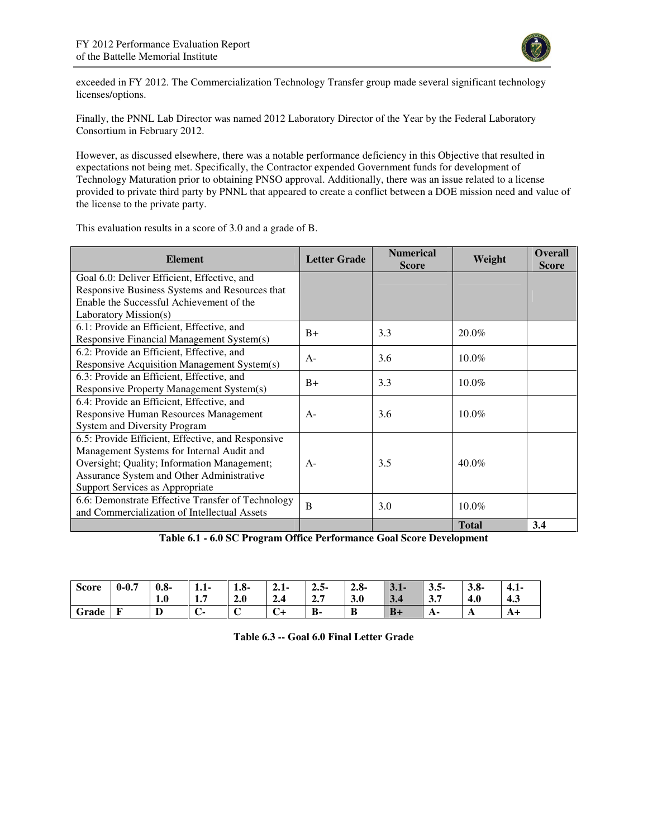

exceeded in FY 2012. The Commercialization Technology Transfer group made several significant technology licenses/options.

Finally, the PNNL Lab Director was named 2012 Laboratory Director of the Year by the Federal Laboratory Consortium in February 2012.

However, as discussed elsewhere, there was a notable performance deficiency in this Objective that resulted in expectations not being met. Specifically, the Contractor expended Government funds for development of Technology Maturation prior to obtaining PNSO approval. Additionally, there was an issue related to a license provided to private third party by PNNL that appeared to create a conflict between a DOE mission need and value of the license to the private party.

| <b>Element</b>                                    | <b>Letter Grade</b> | <b>Numerical</b><br><b>Score</b> | Weight       | <b>Overall</b><br><b>Score</b> |
|---------------------------------------------------|---------------------|----------------------------------|--------------|--------------------------------|
| Goal 6.0: Deliver Efficient, Effective, and       |                     |                                  |              |                                |
| Responsive Business Systems and Resources that    |                     |                                  |              |                                |
| Enable the Successful Achievement of the          |                     |                                  |              |                                |
| Laboratory Mission(s)                             |                     |                                  |              |                                |
| 6.1: Provide an Efficient, Effective, and         | $B+$                | 3.3                              | 20.0%        |                                |
| Responsive Financial Management System(s)         |                     |                                  |              |                                |
| 6.2: Provide an Efficient, Effective, and         | $A-$                | 3.6                              | $10.0\%$     |                                |
| Responsive Acquisition Management System(s)       |                     |                                  |              |                                |
| 6.3: Provide an Efficient, Effective, and         | $B+$                | 3.3                              | $10.0\%$     |                                |
| Responsive Property Management System(s)          |                     |                                  |              |                                |
| 6.4: Provide an Efficient, Effective, and         |                     |                                  |              |                                |
| Responsive Human Resources Management             | $A -$               | 3.6                              | $10.0\%$     |                                |
| <b>System and Diversity Program</b>               |                     |                                  |              |                                |
| 6.5: Provide Efficient, Effective, and Responsive |                     |                                  |              |                                |
| Management Systems for Internal Audit and         |                     |                                  |              |                                |
| Oversight; Quality; Information Management;       | $A -$               | 3.5                              | $40.0\%$     |                                |
| Assurance System and Other Administrative         |                     |                                  |              |                                |
| Support Services as Appropriate                   |                     |                                  |              |                                |
| 6.6: Demonstrate Effective Transfer of Technology | $\overline{B}$      | 3.0                              | $10.0\%$     |                                |
| and Commercialization of Intellectual Assets      |                     |                                  |              |                                |
|                                                   |                     |                                  | <b>Total</b> | 3.4                            |

This evaluation results in a score of 3.0 and a grade of B.

**Table 6.1 - 6.0 SC Program Office Performance Goal Score Development**

| <b>Score</b> | $0 - 0.7$    | $0.8 -$<br>1.0 | $1.1 -$<br>. | $1.8 -$<br><b>2.0</b> | 12.1<br>2.4 | $2.5 -$<br>2.7 | $2.8 -$<br>3.0 | $\vert 3.1 -$<br>3.4 | $3.5 -$<br>3.7 | $3.8 -$<br>4.0 | $4.1 -$<br>4.3 |
|--------------|--------------|----------------|--------------|-----------------------|-------------|----------------|----------------|----------------------|----------------|----------------|----------------|
| Grade        | $\mathbf{F}$ | D              | $\mathbf{C}$ | ◡                     |             | <b>B-</b>      | B              | $B+$                 | A.             | A              | A+             |

**Table 6.3 -- Goal 6.0 Final Letter Grade**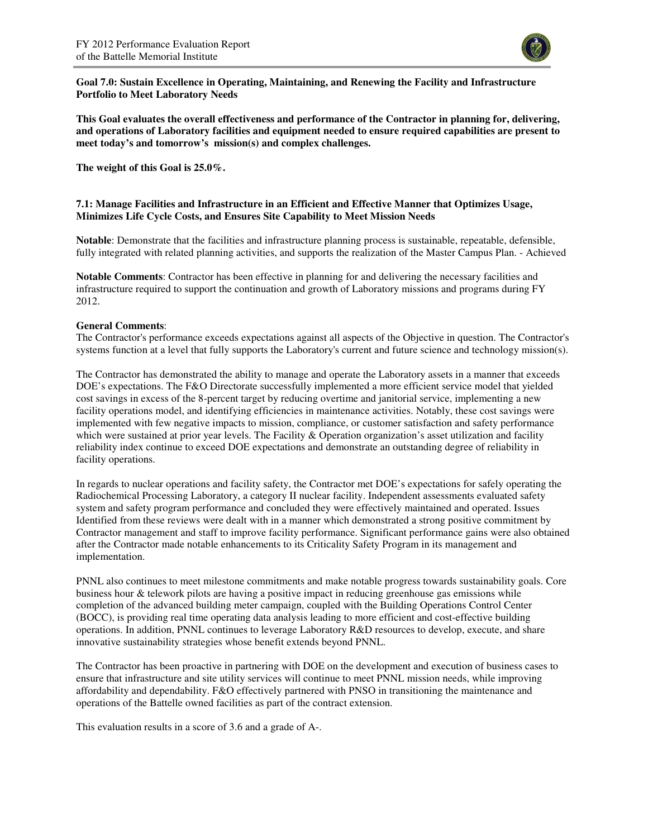

**Goal 7.0: Sustain Excellence in Operating, Maintaining, and Renewing the Facility and Infrastructure Portfolio to Meet Laboratory Needs**

**This Goal evaluates the overall effectiveness and performance of the Contractor in planning for, delivering, and operations of Laboratory facilities and equipment needed to ensure required capabilities are present to meet today's and tomorrow's mission(s) and complex challenges.**

**The weight of this Goal is 25.0%.**

## **7.1: Manage Facilities and Infrastructure in an Efficient and Effective Manner that Optimizes Usage, Minimizes Life Cycle Costs, and Ensures Site Capability to Meet Mission Needs**

**Notable**: Demonstrate that the facilities and infrastructure planning process is sustainable, repeatable, defensible, fully integrated with related planning activities, and supports the realization of the Master Campus Plan. - Achieved

**Notable Comments**: Contractor has been effective in planning for and delivering the necessary facilities and infrastructure required to support the continuation and growth of Laboratory missions and programs during FY 2012.

#### **General Comments**:

The Contractor's performance exceeds expectations against all aspects of the Objective in question. The Contractor's systems function at a level that fully supports the Laboratory's current and future science and technology mission(s).

The Contractor has demonstrated the ability to manage and operate the Laboratory assets in a manner that exceeds DOE's expectations. The F&O Directorate successfully implemented a more efficient service model that yielded cost savings in excess of the 8-percent target by reducing overtime and janitorial service, implementing a new facility operations model, and identifying efficiencies in maintenance activities. Notably, these cost savings were implemented with few negative impacts to mission, compliance, or customer satisfaction and safety performance which were sustained at prior year levels. The Facility & Operation organization's asset utilization and facility reliability index continue to exceed DOE expectations and demonstrate an outstanding degree of reliability in facility operations.

In regards to nuclear operations and facility safety, the Contractor met DOE's expectations for safely operating the Radiochemical Processing Laboratory, a category II nuclear facility. Independent assessments evaluated safety system and safety program performance and concluded they were effectively maintained and operated. Issues Identified from these reviews were dealt with in a manner which demonstrated a strong positive commitment by Contractor management and staff to improve facility performance. Significant performance gains were also obtained after the Contractor made notable enhancements to its Criticality Safety Program in its management and implementation.

PNNL also continues to meet milestone commitments and make notable progress towards sustainability goals. Core business hour & telework pilots are having a positive impact in reducing greenhouse gas emissions while completion of the advanced building meter campaign, coupled with the Building Operations Control Center (BOCC), is providing real time operating data analysis leading to more efficient and cost-effective building operations. In addition, PNNL continues to leverage Laboratory R&D resources to develop, execute, and share innovative sustainability strategies whose benefit extends beyond PNNL.

The Contractor has been proactive in partnering with DOE on the development and execution of business cases to ensure that infrastructure and site utility services will continue to meet PNNL mission needs, while improving affordability and dependability. F&O effectively partnered with PNSO in transitioning the maintenance and operations of the Battelle owned facilities as part of the contract extension.

This evaluation results in a score of 3.6 and a grade of A-.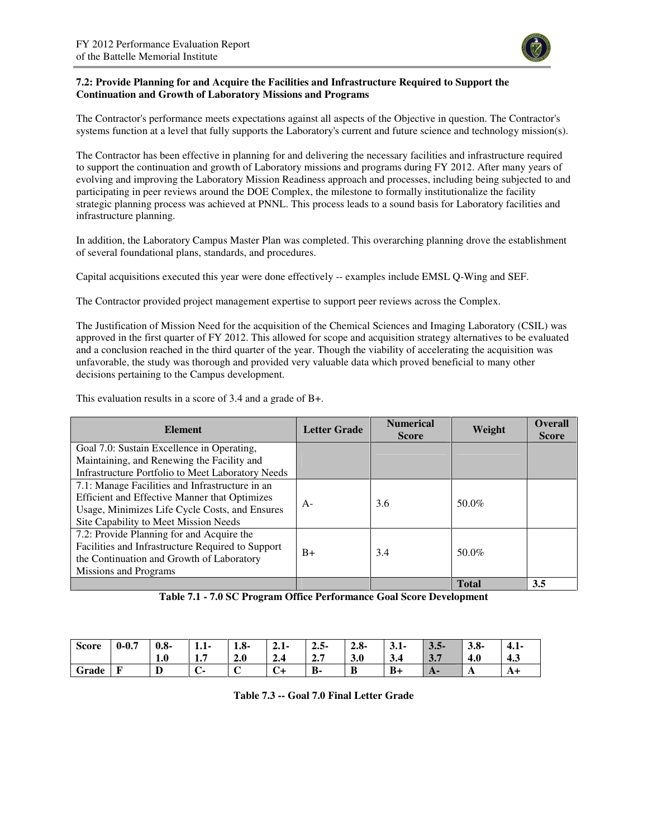

## **7.2: Provide Planning for and Acquire the Facilities and Infrastructure Required to Support the Continuation and Growth of Laboratory Missions and Programs**

The Contractor's performance meets expectations against all aspects of the Objective in question. The Contractor's systems function at a level that fully supports the Laboratory's current and future science and technology mission(s).

The Contractor has been effective in planning for and delivering the necessary facilities and infrastructure required to support the continuation and growth of Laboratory missions and programs during FY 2012. After many years of evolving and improving the Laboratory Mission Readiness approach and processes, including being subjected to and participating in peer reviews around the DOE Complex, the milestone to formally institutionalize the facility strategic planning process was achieved at PNNL. This process leads to a sound basis for Laboratory facilities and infrastructure planning.

In addition, the Laboratory Campus Master Plan was completed. This overarching planning drove the establishment of several foundational plans, standards, and procedures.

Capital acquisitions executed this year were done effectively -- examples include EMSL Q-Wing and SEF.

The Contractor provided project management expertise to support peer reviews across the Complex.

The Justification of Mission Need for the acquisition of the Chemical Sciences and Imaging Laboratory (CSIL) was approved in the first quarter of FY 2012. This allowed for scope and acquisition strategy alternatives to be evaluated and a conclusion reached in the third quarter of the year. Though the viability of accelerating the acquisition was unfavorable, the study was thorough and provided very valuable data which proved beneficial to many other decisions pertaining to the Campus development.

This evaluation results in a score of 3.4 and a grade of B+.

| <b>Element</b>                                    | <b>Letter Grade</b> | <b>Numerical</b><br><b>Score</b> | Weight       | <b>Overall</b><br><b>Score</b> |
|---------------------------------------------------|---------------------|----------------------------------|--------------|--------------------------------|
| Goal 7.0: Sustain Excellence in Operating,        |                     |                                  |              |                                |
| Maintaining, and Renewing the Facility and        |                     |                                  |              |                                |
| Infrastructure Portfolio to Meet Laboratory Needs |                     |                                  |              |                                |
| 7.1: Manage Facilities and Infrastructure in an   |                     |                                  |              |                                |
| Efficient and Effective Manner that Optimizes     | $A-$                | 3.6                              | 50.0%        |                                |
| Usage, Minimizes Life Cycle Costs, and Ensures    |                     |                                  |              |                                |
| Site Capability to Meet Mission Needs             |                     |                                  |              |                                |
| 7.2: Provide Planning for and Acquire the         |                     |                                  |              |                                |
| Facilities and Infrastructure Required to Support |                     |                                  | 50.0%        |                                |
| the Continuation and Growth of Laboratory         | $B+$                | 3.4                              |              |                                |
| Missions and Programs                             |                     |                                  |              |                                |
|                                                   |                     |                                  | <b>Total</b> | 3.5                            |

**Table 7.1 - 7.0 SC Program Office Performance Goal Score Development**

| <b>Score</b> | $0 - 0.7$ | $0.8 -$  | $1.1 -$    | $1.8 -$ | $2.1 -$ | $2.5 -$       | $2.8 -$    | $3.1 -$ | $3.5 -$      | $3.8 -$ | $4.1 -$ |
|--------------|-----------|----------|------------|---------|---------|---------------|------------|---------|--------------|---------|---------|
|              |           | 1.0      | <b>1.7</b> | 2.0     | 2.4     | $\frac{2}{3}$ | <b>3.0</b> | 3.4     | 3.7          | 4.0     | 4.3     |
| <b>Grade</b> | г         | $\bf{D}$ |            |         | ◡┑      | D<br>D-       | D<br>D     | $B+$    | $\mathbf{A}$ | A       | $A+$    |

**Table 7.3 -- Goal 7.0 Final Letter Grade**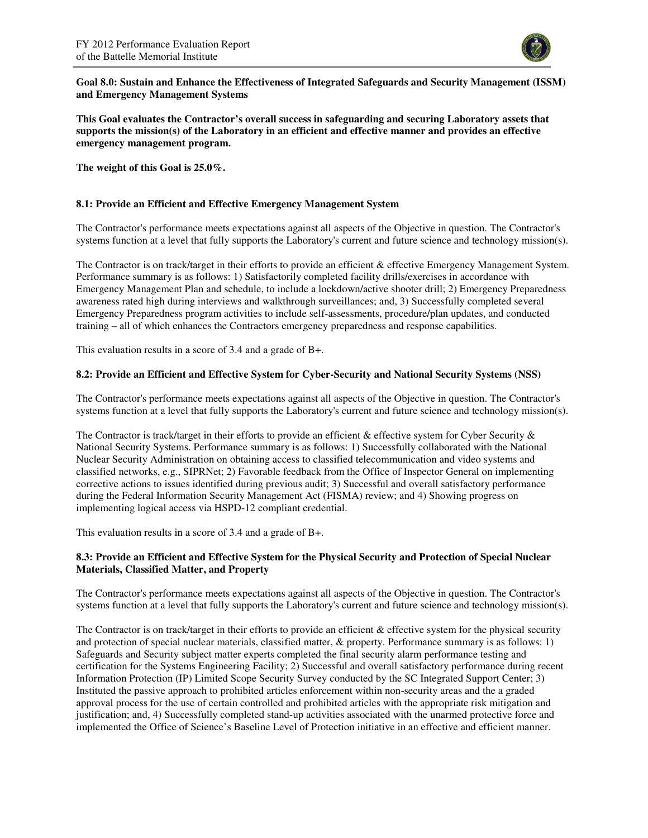

**Goal 8.0: Sustain and Enhance the Effectiveness of Integrated Safeguards and Security Management (ISSM) and Emergency Management Systems**

**This Goal evaluates the Contractor's overall success in safeguarding and securing Laboratory assets that supports the mission(s) of the Laboratory in an efficient and effective manner and provides an effective emergency management program.**

**The weight of this Goal is 25.0%.**

## **8.1: Provide an Efficient and Effective Emergency Management System**

The Contractor's performance meets expectations against all aspects of the Objective in question. The Contractor's systems function at a level that fully supports the Laboratory's current and future science and technology mission(s).

The Contractor is on track/target in their efforts to provide an efficient & effective Emergency Management System. Performance summary is as follows: 1) Satisfactorily completed facility drills/exercises in accordance with Emergency Management Plan and schedule, to include a lockdown/active shooter drill; 2) Emergency Preparedness awareness rated high during interviews and walkthrough surveillances; and, 3) Successfully completed several Emergency Preparedness program activities to include self-assessments, procedure/plan updates, and conducted training – all of which enhances the Contractors emergency preparedness and response capabilities.

This evaluation results in a score of 3.4 and a grade of B+.

## **8.2: Provide an Efficient and Effective System for Cyber-Security and National Security Systems (NSS)**

The Contractor's performance meets expectations against all aspects of the Objective in question. The Contractor's systems function at a level that fully supports the Laboratory's current and future science and technology mission(s).

The Contractor is track/target in their efforts to provide an efficient  $\&$  effective system for Cyber Security  $\&$ National Security Systems. Performance summary is as follows: 1) Successfully collaborated with the National Nuclear Security Administration on obtaining access to classified telecommunication and video systems and classified networks, e.g., SIPRNet; 2) Favorable feedback from the Office of Inspector General on implementing corrective actions to issues identified during previous audit; 3) Successful and overall satisfactory performance during the Federal Information Security Management Act (FISMA) review; and 4) Showing progress on implementing logical access via HSPD-12 compliant credential.

This evaluation results in a score of 3.4 and a grade of B+.

## **8.3: Provide an Efficient and Effective System for the Physical Security and Protection of Special Nuclear Materials, Classified Matter, and Property**

The Contractor's performance meets expectations against all aspects of the Objective in question. The Contractor's systems function at a level that fully supports the Laboratory's current and future science and technology mission(s).

The Contractor is on track/target in their efforts to provide an efficient  $\&$  effective system for the physical security and protection of special nuclear materials, classified matter, & property. Performance summary is as follows: 1) Safeguards and Security subject matter experts completed the final security alarm performance testing and certification for the Systems Engineering Facility; 2) Successful and overall satisfactory performance during recent Information Protection (IP) Limited Scope Security Survey conducted by the SC Integrated Support Center; 3) Instituted the passive approach to prohibited articles enforcement within non-security areas and the a graded approval process for the use of certain controlled and prohibited articles with the appropriate risk mitigation and justification; and, 4) Successfully completed stand-up activities associated with the unarmed protective force and implemented the Office of Science's Baseline Level of Protection initiative in an effective and efficient manner.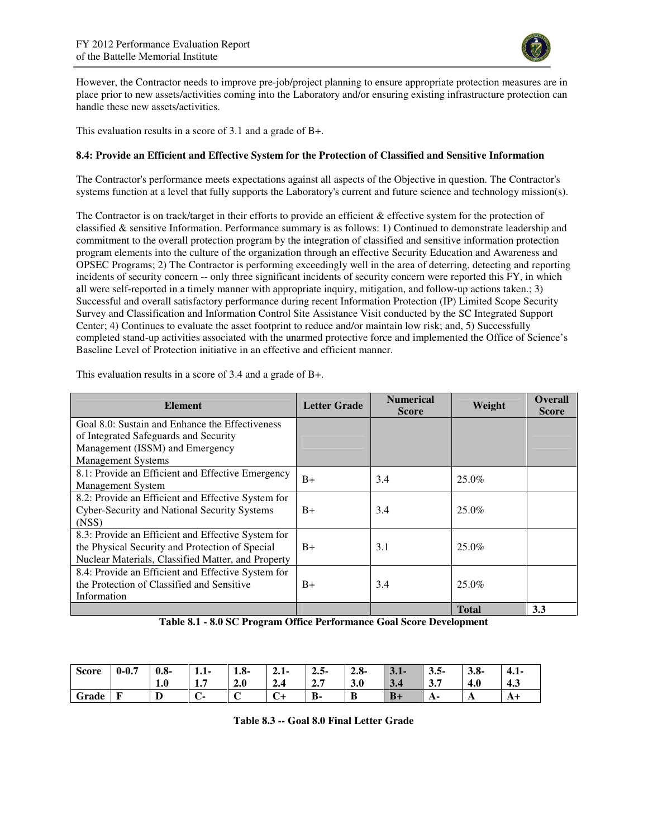

However, the Contractor needs to improve pre-job/project planning to ensure appropriate protection measures are in place prior to new assets/activities coming into the Laboratory and/or ensuring existing infrastructure protection can handle these new assets/activities.

This evaluation results in a score of 3.1 and a grade of B+.

## **8.4: Provide an Efficient and Effective System for the Protection of Classified and Sensitive Information**

The Contractor's performance meets expectations against all aspects of the Objective in question. The Contractor's systems function at a level that fully supports the Laboratory's current and future science and technology mission(s).

The Contractor is on track/target in their efforts to provide an efficient & effective system for the protection of classified & sensitive Information. Performance summary is as follows: 1) Continued to demonstrate leadership and commitment to the overall protection program by the integration of classified and sensitive information protection program elements into the culture of the organization through an effective Security Education and Awareness and OPSEC Programs; 2) The Contractor is performing exceedingly well in the area of deterring, detecting and reporting incidents of security concern -- only three significant incidents of security concern were reported this FY, in which all were self-reported in a timely manner with appropriate inquiry, mitigation, and follow-up actions taken.; 3) Successful and overall satisfactory performance during recent Information Protection (IP) Limited Scope Security Survey and Classification and Information Control Site Assistance Visit conducted by the SC Integrated Support Center; 4) Continues to evaluate the asset footprint to reduce and/or maintain low risk; and, 5) Successfully completed stand-up activities associated with the unarmed protective force and implemented the Office of Science's Baseline Level of Protection initiative in an effective and efficient manner.

| <b>Element</b>                                     | <b>Letter Grade</b> | <b>Numerical</b><br><b>Score</b> | Weight       | <b>Overall</b><br><b>Score</b> |  |
|----------------------------------------------------|---------------------|----------------------------------|--------------|--------------------------------|--|
| Goal 8.0: Sustain and Enhance the Effectiveness    |                     |                                  |              |                                |  |
| of Integrated Safeguards and Security              |                     |                                  |              |                                |  |
| Management (ISSM) and Emergency                    |                     |                                  |              |                                |  |
| <b>Management Systems</b>                          |                     |                                  |              |                                |  |
| 8.1: Provide an Efficient and Effective Emergency  | $B+$                | 3.4                              | $25.0\%$     |                                |  |
| <b>Management System</b>                           |                     |                                  |              |                                |  |
| 8.2: Provide an Efficient and Effective System for |                     |                                  |              |                                |  |
| Cyber-Security and National Security Systems       | $B+$                | 3.4                              | $25.0\%$     |                                |  |
| (NS)                                               |                     |                                  |              |                                |  |
| 8.3: Provide an Efficient and Effective System for |                     |                                  |              |                                |  |
| the Physical Security and Protection of Special    | $B+$                | 3.1                              | 25.0%        |                                |  |
| Nuclear Materials, Classified Matter, and Property |                     |                                  |              |                                |  |
| 8.4: Provide an Efficient and Effective System for |                     |                                  |              |                                |  |
| the Protection of Classified and Sensitive         | $B+$                | 3.4                              | 25.0%        |                                |  |
| Information                                        |                     |                                  |              |                                |  |
|                                                    |                     |                                  | <b>Total</b> | 3.3                            |  |

This evaluation results in a score of 3.4 and a grade of B+.

**Table 8.1 - 8.0 SC Program Office Performance Goal Score Development**

| <b>Score</b> | $0 - 0.7$ | $0.8 -$  | $1.1 -$   | $1.8 -$ | $2.1 -$ | $2.5 -$         | $2.8 -$ | $3.1 -$ | $3.5 -$   | $3.8 -$ | $4.1 -$ |
|--------------|-----------|----------|-----------|---------|---------|-----------------|---------|---------|-----------|---------|---------|
|              |           | 1.0      | <b>1.</b> | 2.0     | 2.4     | $\gamma$<br>4.I | 3.0     | 3.4     | 3.7       | 4.0     | 4.3     |
| Grade        |           | $\bf{D}$ | ັ         |         |         | <b>B-</b>       | D       | $B+$    | <b>A-</b> | A       | A+      |

**Table 8.3 -- Goal 8.0 Final Letter Grade**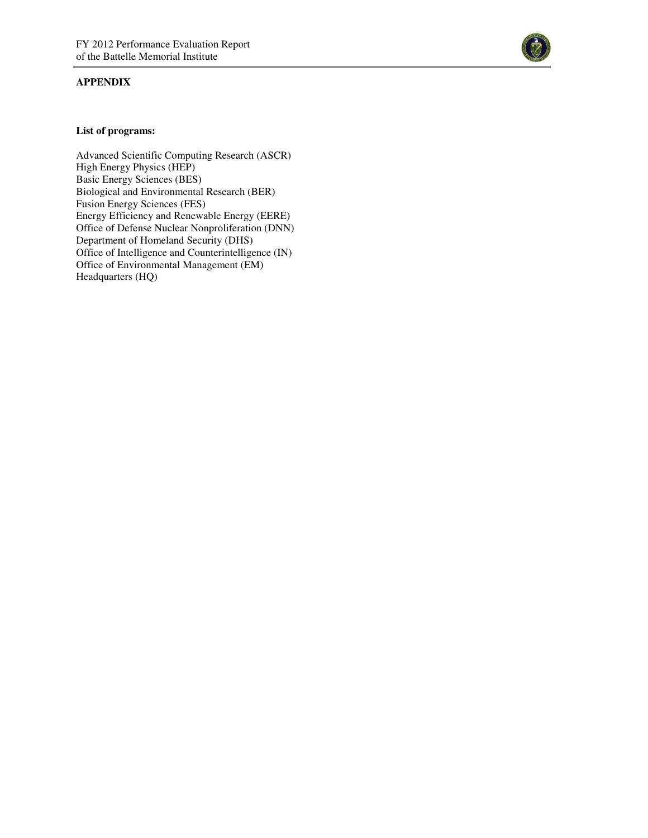

## **APPENDIX**

## **List of programs:**

Advanced Scientific Computing Research (ASCR) High Energy Physics (HEP) Basic Energy Sciences (BES) Biological and Environmental Research (BER) Fusion Energy Sciences (FES) Energy Efficiency and Renewable Energy (EERE) Office of Defense Nuclear Nonproliferation (DNN) Department of Homeland Security (DHS) Office of Intelligence and Counterintelligence (IN) Office of Environmental Management (EM) Headquarters (HQ)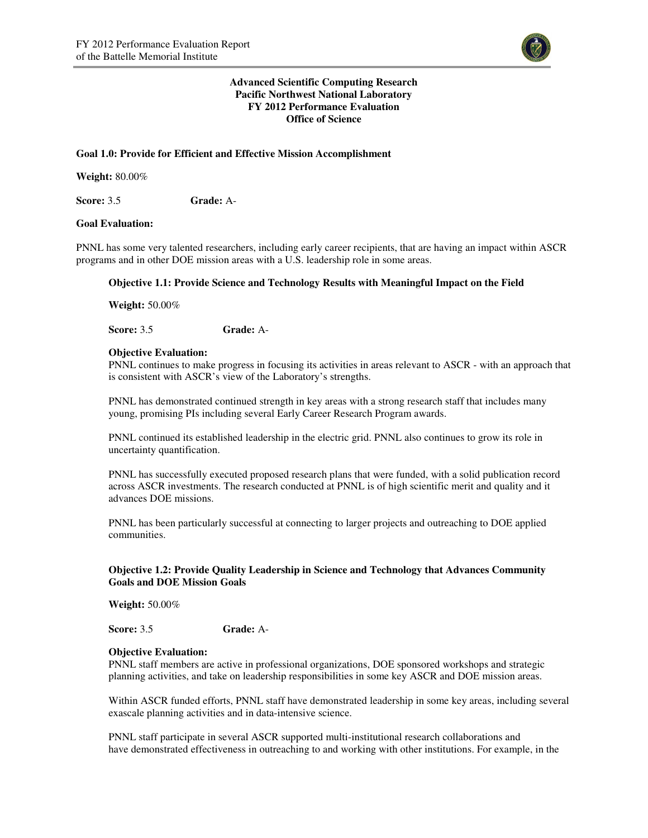

#### **Advanced Scientific Computing Research Pacific Northwest National Laboratory FY 2012 Performance Evaluation Office of Science**

## **Goal 1.0: Provide for Efficient and Effective Mission Accomplishment**

**Weight:** 80.00%

**Score:** 3.5 **Grade:** A-

#### **Goal Evaluation:**

PNNL has some very talented researchers, including early career recipients, that are having an impact within ASCR programs and in other DOE mission areas with a U.S. leadership role in some areas.

### **Objective 1.1: Provide Science and Technology Results with Meaningful Impact on the Field**

**Weight:** 50.00%

**Score:** 3.5 **Grade:** A-

#### **Objective Evaluation:**

PNNL continues to make progress in focusing its activities in areas relevant to ASCR - with an approach that is consistent with ASCR's view of the Laboratory's strengths.

PNNL has demonstrated continued strength in key areas with a strong research staff that includes many young, promising PIs including several Early Career Research Program awards.

PNNL continued its established leadership in the electric grid. PNNL also continues to grow its role in uncertainty quantification.

PNNL has successfully executed proposed research plans that were funded, with a solid publication record across ASCR investments. The research conducted at PNNL is of high scientific merit and quality and it advances DOE missions.

PNNL has been particularly successful at connecting to larger projects and outreaching to DOE applied communities.

### **Objective 1.2: Provide Quality Leadership in Science and Technology that Advances Community Goals and DOE Mission Goals**

**Weight:** 50.00%

**Score:** 3.5 **Grade:** A-

## **Objective Evaluation:**

PNNL staff members are active in professional organizations, DOE sponsored workshops and strategic planning activities, and take on leadership responsibilities in some key ASCR and DOE mission areas.

Within ASCR funded efforts, PNNL staff have demonstrated leadership in some key areas, including several exascale planning activities and in data-intensive science.

PNNL staff participate in several ASCR supported multi-institutional research collaborations and have demonstrated effectiveness in outreaching to and working with other institutions. For example, in the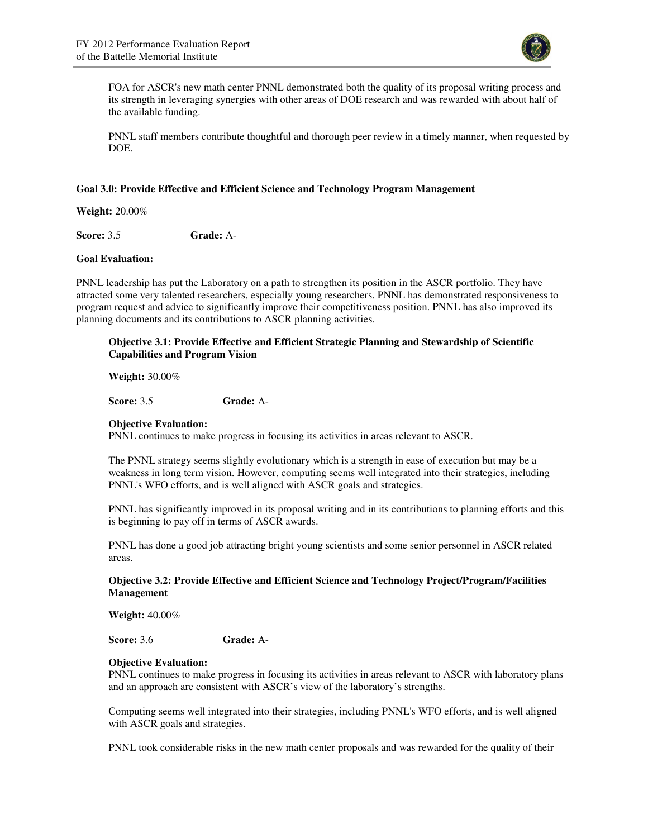

FOA for ASCR's new math center PNNL demonstrated both the quality of its proposal writing process and its strength in leveraging synergies with other areas of DOE research and was rewarded with about half of the available funding.

PNNL staff members contribute thoughtful and thorough peer review in a timely manner, when requested by DOE.

## **Goal 3.0: Provide Effective and Efficient Science and Technology Program Management**

**Weight:** 20.00%

**Score:** 3.5 **Grade:** A-

#### **Goal Evaluation:**

PNNL leadership has put the Laboratory on a path to strengthen its position in the ASCR portfolio. They have attracted some very talented researchers, especially young researchers. PNNL has demonstrated responsiveness to program request and advice to significantly improve their competitiveness position. PNNL has also improved its planning documents and its contributions to ASCR planning activities.

#### **Objective 3.1: Provide Effective and Efficient Strategic Planning and Stewardship of Scientific Capabilities and Program Vision**

**Weight:** 30.00%

**Score:** 3.5 **Grade:** A-

#### **Objective Evaluation:**

PNNL continues to make progress in focusing its activities in areas relevant to ASCR.

The PNNL strategy seems slightly evolutionary which is a strength in ease of execution but may be a weakness in long term vision. However, computing seems well integrated into their strategies, including PNNL's WFO efforts, and is well aligned with ASCR goals and strategies.

PNNL has significantly improved in its proposal writing and in its contributions to planning efforts and this is beginning to pay off in terms of ASCR awards.

PNNL has done a good job attracting bright young scientists and some senior personnel in ASCR related areas.

#### **Objective 3.2: Provide Effective and Efficient Science and Technology Project/Program/Facilities Management**

**Weight:** 40.00%

**Score:** 3.6 **Grade:** A-

### **Objective Evaluation:**

PNNL continues to make progress in focusing its activities in areas relevant to ASCR with laboratory plans and an approach are consistent with ASCR's view of the laboratory's strengths.

Computing seems well integrated into their strategies, including PNNL's WFO efforts, and is well aligned with ASCR goals and strategies.

PNNL took considerable risks in the new math center proposals and was rewarded for the quality of their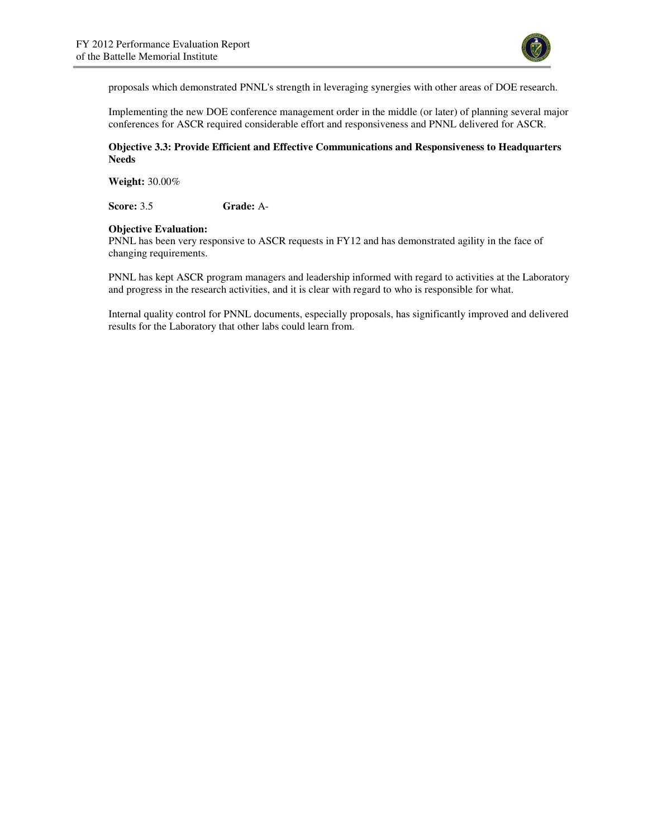

proposals which demonstrated PNNL's strength in leveraging synergies with other areas of DOE research.

Implementing the new DOE conference management order in the middle (or later) of planning several major conferences for ASCR required considerable effort and responsiveness and PNNL delivered for ASCR.

## **Objective 3.3: Provide Efficient and Effective Communications and Responsiveness to Headquarters Needs**

**Weight:** 30.00%

**Score:** 3.5 **Grade:** A-

#### **Objective Evaluation:**

PNNL has been very responsive to ASCR requests in FY12 and has demonstrated agility in the face of changing requirements.

PNNL has kept ASCR program managers and leadership informed with regard to activities at the Laboratory and progress in the research activities, and it is clear with regard to who is responsible for what.

Internal quality control for PNNL documents, especially proposals, has significantly improved and delivered results for the Laboratory that other labs could learn from.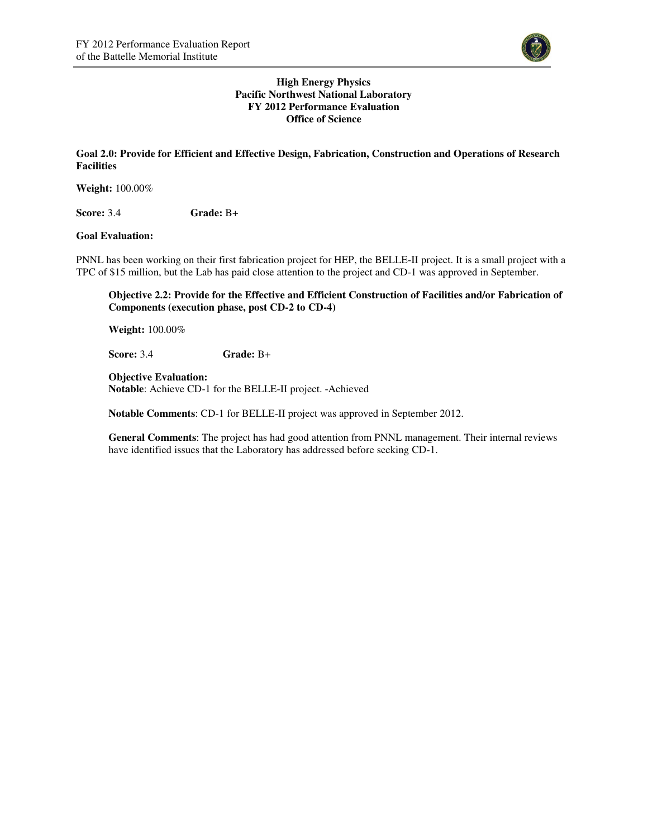

### **High Energy Physics Pacific Northwest National Laboratory FY 2012 Performance Evaluation Office of Science**

**Goal 2.0: Provide for Efficient and Effective Design, Fabrication, Construction and Operations of Research Facilities**

**Weight:** 100.00%

**Score:** 3.4 **Grade:** B+

#### **Goal Evaluation:**

PNNL has been working on their first fabrication project for HEP, the BELLE-II project. It is a small project with a TPC of \$15 million, but the Lab has paid close attention to the project and CD-1 was approved in September.

**Objective 2.2: Provide for the Effective and Efficient Construction of Facilities and/or Fabrication of Components (execution phase, post CD-2 to CD-4)**

**Weight:** 100.00%

**Score:** 3.4 **Grade:** B+

**Objective Evaluation: Notable**: Achieve CD-1 for the BELLE-II project. -Achieved

**Notable Comments**: CD-1 for BELLE-II project was approved in September 2012.

**General Comments**: The project has had good attention from PNNL management. Their internal reviews have identified issues that the Laboratory has addressed before seeking CD-1.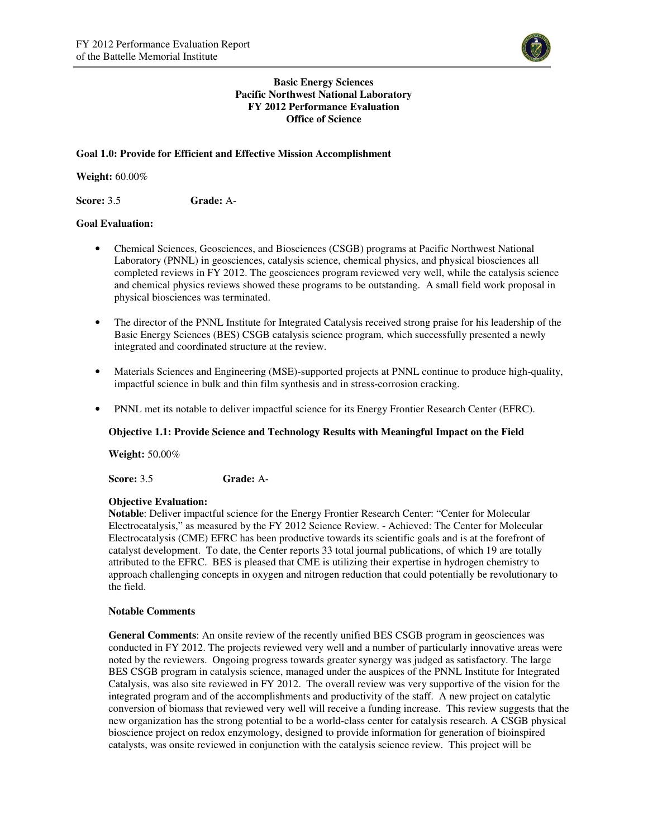

## **Basic Energy Sciences Pacific Northwest National Laboratory FY 2012 Performance Evaluation Office of Science**

# **Goal 1.0: Provide for Efficient and Effective Mission Accomplishment**

**Weight:** 60.00%

**Score:** 3.5 **Grade:** A-

## **Goal Evaluation:**

- Chemical Sciences, Geosciences, and Biosciences (CSGB) programs at Pacific Northwest National Laboratory (PNNL) in geosciences, catalysis science, chemical physics, and physical biosciences all completed reviews in FY 2012. The geosciences program reviewed very well, while the catalysis science and chemical physics reviews showed these programs to be outstanding. A small field work proposal in physical biosciences was terminated.
- The director of the PNNL Institute for Integrated Catalysis received strong praise for his leadership of the Basic Energy Sciences (BES) CSGB catalysis science program, which successfully presented a newly integrated and coordinated structure at the review.
- Materials Sciences and Engineering (MSE)-supported projects at PNNL continue to produce high-quality, impactful science in bulk and thin film synthesis and in stress-corrosion cracking.
- PNNL met its notable to deliver impactful science for its Energy Frontier Research Center (EFRC).

# **Objective 1.1: Provide Science and Technology Results with Meaningful Impact on the Field**

**Weight:** 50.00%

**Score:** 3.5 **Grade:** A-

#### **Objective Evaluation:**

**Notable**: Deliver impactful science for the Energy Frontier Research Center: "Center for Molecular Electrocatalysis," as measured by the FY 2012 Science Review. - Achieved: The Center for Molecular Electrocatalysis (CME) EFRC has been productive towards its scientific goals and is at the forefront of catalyst development. To date, the Center reports 33 total journal publications, of which 19 are totally attributed to the EFRC. BES is pleased that CME is utilizing their expertise in hydrogen chemistry to approach challenging concepts in oxygen and nitrogen reduction that could potentially be revolutionary to the field.

#### **Notable Comments**

**General Comments**: An onsite review of the recently unified BES CSGB program in geosciences was conducted in FY 2012. The projects reviewed very well and a number of particularly innovative areas were noted by the reviewers. Ongoing progress towards greater synergy was judged as satisfactory. The large BES CSGB program in catalysis science, managed under the auspices of the PNNL Institute for Integrated Catalysis, was also site reviewed in FY 2012. The overall review was very supportive of the vision for the integrated program and of the accomplishments and productivity of the staff. A new project on catalytic conversion of biomass that reviewed very well will receive a funding increase. This review suggests that the new organization has the strong potential to be a world-class center for catalysis research. A CSGB physical bioscience project on redox enzymology, designed to provide information for generation of bioinspired catalysts, was onsite reviewed in conjunction with the catalysis science review. This project will be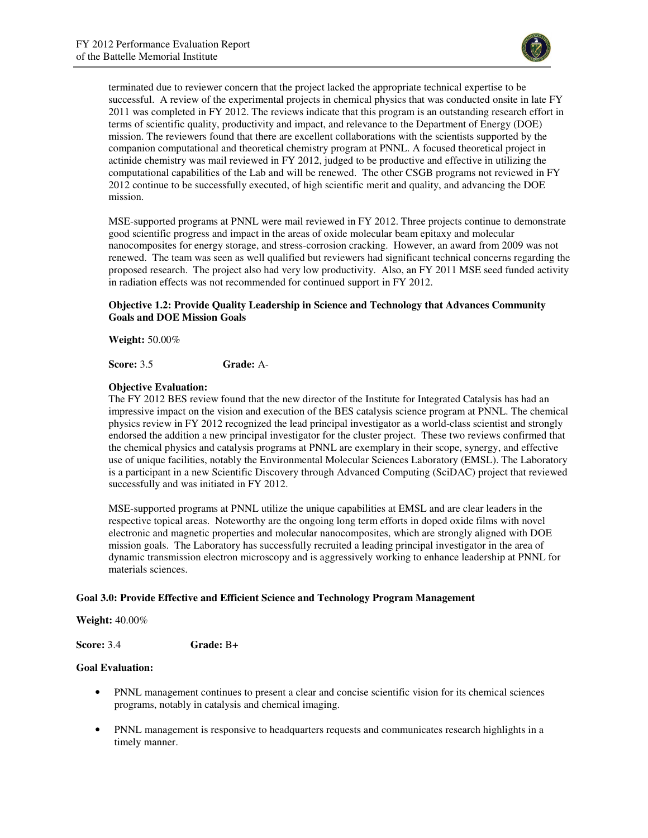

terminated due to reviewer concern that the project lacked the appropriate technical expertise to be successful. A review of the experimental projects in chemical physics that was conducted onsite in late FY 2011 was completed in FY 2012. The reviews indicate that this program is an outstanding research effort in terms of scientific quality, productivity and impact, and relevance to the Department of Energy (DOE) mission. The reviewers found that there are excellent collaborations with the scientists supported by the companion computational and theoretical chemistry program at PNNL. A focused theoretical project in actinide chemistry was mail reviewed in FY 2012, judged to be productive and effective in utilizing the computational capabilities of the Lab and will be renewed. The other CSGB programs not reviewed in FY 2012 continue to be successfully executed, of high scientific merit and quality, and advancing the DOE mission.

MSE-supported programs at PNNL were mail reviewed in FY 2012. Three projects continue to demonstrate good scientific progress and impact in the areas of oxide molecular beam epitaxy and molecular nanocomposites for energy storage, and stress-corrosion cracking. However, an award from 2009 was not renewed. The team was seen as well qualified but reviewers had significant technical concerns regarding the proposed research. The project also had very low productivity. Also, an FY 2011 MSE seed funded activity in radiation effects was not recommended for continued support in FY 2012.

# **Objective 1.2: Provide Quality Leadership in Science and Technology that Advances Community Goals and DOE Mission Goals**

**Weight:** 50.00%

**Score:** 3.5 **Grade:** A-

## **Objective Evaluation:**

The FY 2012 BES review found that the new director of the Institute for Integrated Catalysis has had an impressive impact on the vision and execution of the BES catalysis science program at PNNL. The chemical physics review in FY 2012 recognized the lead principal investigator as a world-class scientist and strongly endorsed the addition a new principal investigator for the cluster project. These two reviews confirmed that the chemical physics and catalysis programs at PNNL are exemplary in their scope, synergy, and effective use of unique facilities, notably the Environmental Molecular Sciences Laboratory (EMSL). The Laboratory is a participant in a new Scientific Discovery through Advanced Computing (SciDAC) project that reviewed successfully and was initiated in FY 2012.

MSE-supported programs at PNNL utilize the unique capabilities at EMSL and are clear leaders in the respective topical areas. Noteworthy are the ongoing long term efforts in doped oxide films with novel electronic and magnetic properties and molecular nanocomposites, which are strongly aligned with DOE mission goals. The Laboratory has successfully recruited a leading principal investigator in the area of dynamic transmission electron microscopy and is aggressively working to enhance leadership at PNNL for materials sciences.

#### **Goal 3.0: Provide Effective and Efficient Science and Technology Program Management**

**Weight:** 40.00%

**Score:** 3.4 **Grade:** B+

#### **Goal Evaluation:**

- PNNL management continues to present a clear and concise scientific vision for its chemical sciences programs, notably in catalysis and chemical imaging.
- PNNL management is responsive to headquarters requests and communicates research highlights in a timely manner.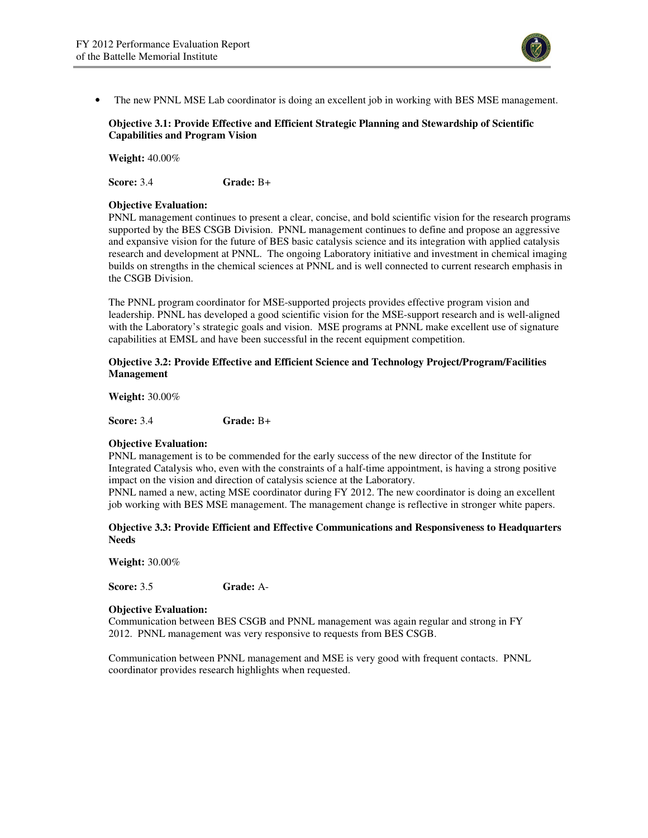

• The new PNNL MSE Lab coordinator is doing an excellent job in working with BES MSE management.

# **Objective 3.1: Provide Effective and Efficient Strategic Planning and Stewardship of Scientific Capabilities and Program Vision**

**Weight:** 40.00%

**Score:** 3.4 **Grade:** B+

# **Objective Evaluation:**

PNNL management continues to present a clear, concise, and bold scientific vision for the research programs supported by the BES CSGB Division. PNNL management continues to define and propose an aggressive and expansive vision for the future of BES basic catalysis science and its integration with applied catalysis research and development at PNNL. The ongoing Laboratory initiative and investment in chemical imaging builds on strengths in the chemical sciences at PNNL and is well connected to current research emphasis in the CSGB Division.

The PNNL program coordinator for MSE-supported projects provides effective program vision and leadership. PNNL has developed a good scientific vision for the MSE-support research and is well-aligned with the Laboratory's strategic goals and vision. MSE programs at PNNL make excellent use of signature capabilities at EMSL and have been successful in the recent equipment competition.

# **Objective 3.2: Provide Effective and Efficient Science and Technology Project/Program/Facilities Management**

**Weight:** 30.00%

**Score:** 3.4 **Grade:** B+

#### **Objective Evaluation:**

PNNL management is to be commended for the early success of the new director of the Institute for Integrated Catalysis who, even with the constraints of a half-time appointment, is having a strong positive impact on the vision and direction of catalysis science at the Laboratory.

PNNL named a new, acting MSE coordinator during FY 2012. The new coordinator is doing an excellent job working with BES MSE management. The management change is reflective in stronger white papers.

# **Objective 3.3: Provide Efficient and Effective Communications and Responsiveness to Headquarters Needs**

**Weight:** 30.00%

#### **Objective Evaluation:**

Communication between BES CSGB and PNNL management was again regular and strong in FY 2012. PNNL management was very responsive to requests from BES CSGB.

Communication between PNNL management and MSE is very good with frequent contacts. PNNL coordinator provides research highlights when requested.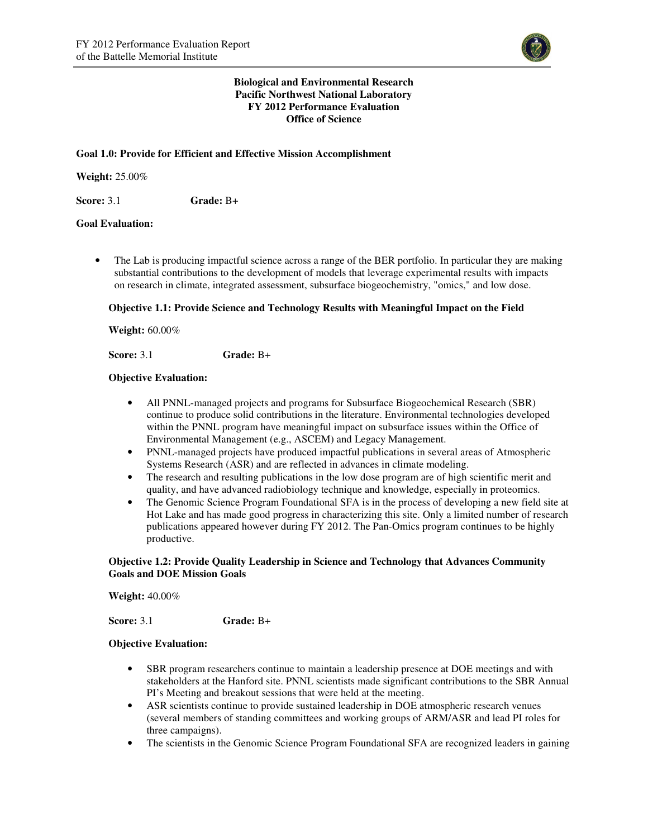

## **Biological and Environmental Research Pacific Northwest National Laboratory FY 2012 Performance Evaluation Office of Science**

# **Goal 1.0: Provide for Efficient and Effective Mission Accomplishment**

**Weight:** 25.00%

**Score:** 3.1 **Grade:** B+

## **Goal Evaluation:**

The Lab is producing impactful science across a range of the BER portfolio. In particular they are making substantial contributions to the development of models that leverage experimental results with impacts on research in climate, integrated assessment, subsurface biogeochemistry, "omics," and low dose.

# **Objective 1.1: Provide Science and Technology Results with Meaningful Impact on the Field**

**Weight:** 60.00%

**Score:** 3.1 **Grade:** B+

# **Objective Evaluation:**

- All PNNL-managed projects and programs for Subsurface Biogeochemical Research (SBR) continue to produce solid contributions in the literature. Environmental technologies developed within the PNNL program have meaningful impact on subsurface issues within the Office of Environmental Management (e.g., ASCEM) and Legacy Management.
- PNNL-managed projects have produced impactful publications in several areas of Atmospheric Systems Research (ASR) and are reflected in advances in climate modeling.
- The research and resulting publications in the low dose program are of high scientific merit and quality, and have advanced radiobiology technique and knowledge, especially in proteomics.
- The Genomic Science Program Foundational SFA is in the process of developing a new field site at Hot Lake and has made good progress in characterizing this site. Only a limited number of research publications appeared however during FY 2012. The Pan-Omics program continues to be highly productive.

# **Objective 1.2: Provide Quality Leadership in Science and Technology that Advances Community Goals and DOE Mission Goals**

**Weight:** 40.00%

**Score:** 3.1 **Grade:** B+

- SBR program researchers continue to maintain a leadership presence at DOE meetings and with stakeholders at the Hanford site. PNNL scientists made significant contributions to the SBR Annual PI's Meeting and breakout sessions that were held at the meeting.
- ASR scientists continue to provide sustained leadership in DOE atmospheric research venues (several members of standing committees and working groups of ARM/ASR and lead PI roles for three campaigns).
- The scientists in the Genomic Science Program Foundational SFA are recognized leaders in gaining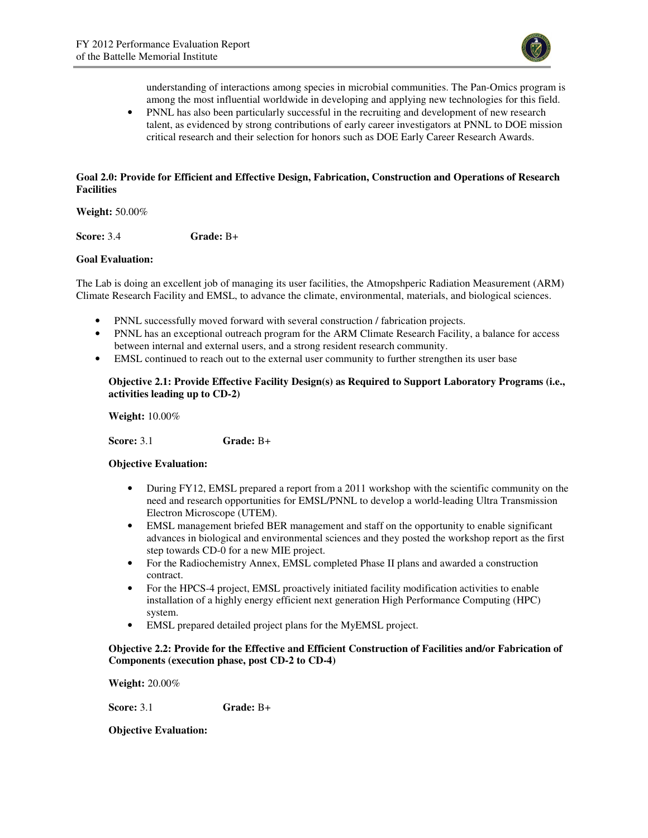

understanding of interactions among species in microbial communities. The Pan-Omics program is among the most influential worldwide in developing and applying new technologies for this field.

• PNNL has also been particularly successful in the recruiting and development of new research talent, as evidenced by strong contributions of early career investigators at PNNL to DOE mission critical research and their selection for honors such as DOE Early Career Research Awards.

# **Goal 2.0: Provide for Efficient and Effective Design, Fabrication, Construction and Operations of Research Facilities**

**Weight:** 50.00%

**Score:** 3.4 **Grade:** B+

## **Goal Evaluation:**

The Lab is doing an excellent job of managing its user facilities, the Atmopshperic Radiation Measurement (ARM) Climate Research Facility and EMSL, to advance the climate, environmental, materials, and biological sciences.

- PNNL successfully moved forward with several construction / fabrication projects.
- PNNL has an exceptional outreach program for the ARM Climate Research Facility, a balance for access between internal and external users, and a strong resident research community.
- EMSL continued to reach out to the external user community to further strengthen its user base

**Objective 2.1: Provide Effective Facility Design(s) as Required to Support Laboratory Programs (i.e., activities leading up to CD-2)**

**Weight:** 10.00%

**Score:** 3.1 **Grade:** B+

#### **Objective Evaluation:**

- During FY12, EMSL prepared a report from a 2011 workshop with the scientific community on the need and research opportunities for EMSL/PNNL to develop a world-leading Ultra Transmission Electron Microscope (UTEM).
- EMSL management briefed BER management and staff on the opportunity to enable significant advances in biological and environmental sciences and they posted the workshop report as the first step towards CD-0 for a new MIE project.
- For the Radiochemistry Annex, EMSL completed Phase II plans and awarded a construction contract.
- For the HPCS-4 project, EMSL proactively initiated facility modification activities to enable installation of a highly energy efficient next generation High Performance Computing (HPC) system.
- EMSL prepared detailed project plans for the MyEMSL project.

# **Objective 2.2: Provide for the Effective and Efficient Construction of Facilities and/or Fabrication of Components (execution phase, post CD-2 to CD-4)**

**Weight:** 20.00%

**Score:** 3.1 **Grade:** B+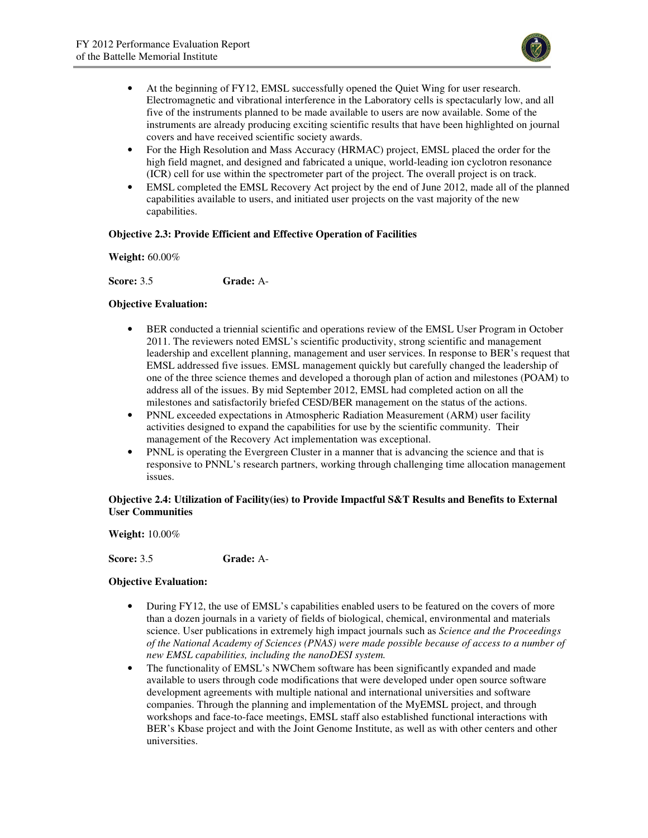

- At the beginning of FY12, EMSL successfully opened the Quiet Wing for user research. Electromagnetic and vibrational interference in the Laboratory cells is spectacularly low, and all five of the instruments planned to be made available to users are now available. Some of the instruments are already producing exciting scientific results that have been highlighted on journal covers and have received scientific society awards.
- For the High Resolution and Mass Accuracy (HRMAC) project, EMSL placed the order for the high field magnet, and designed and fabricated a unique, world-leading ion cyclotron resonance (ICR) cell for use within the spectrometer part of the project. The overall project is on track.
- EMSL completed the EMSL Recovery Act project by the end of June 2012, made all of the planned capabilities available to users, and initiated user projects on the vast majority of the new capabilities.

# **Objective 2.3: Provide Efficient and Effective Operation of Facilities**

**Weight:** 60.00%

**Score:** 3.5 **Grade:** A-

## **Objective Evaluation:**

- BER conducted a triennial scientific and operations review of the EMSL User Program in October 2011. The reviewers noted EMSL's scientific productivity, strong scientific and management leadership and excellent planning, management and user services. In response to BER's request that EMSL addressed five issues. EMSL management quickly but carefully changed the leadership of one of the three science themes and developed a thorough plan of action and milestones (POAM) to address all of the issues. By mid September 2012, EMSL had completed action on all the milestones and satisfactorily briefed CESD/BER management on the status of the actions.
- PNNL exceeded expectations in Atmospheric Radiation Measurement (ARM) user facility activities designed to expand the capabilities for use by the scientific community. Their management of the Recovery Act implementation was exceptional.
- PNNL is operating the Evergreen Cluster in a manner that is advancing the science and that is responsive to PNNL's research partners, working through challenging time allocation management issues.

# **Objective 2.4: Utilization of Facility(ies) to Provide Impactful S&T Results and Benefits to External User Communities**

**Weight:** 10.00%

**Score:** 3.5 **Grade:** A-

- During FY12, the use of EMSL's capabilities enabled users to be featured on the covers of more than a dozen journals in a variety of fields of biological, chemical, environmental and materials science. User publications in extremely high impact journals such as *Science and the Proceedings of the National Academy of Sciences (PNAS) were made possible because of access to a number of new EMSL capabilities, including the nanoDESI system.*
- The functionality of EMSL's NWChem software has been significantly expanded and made available to users through code modifications that were developed under open source software development agreements with multiple national and international universities and software companies. Through the planning and implementation of the MyEMSL project, and through workshops and face-to-face meetings, EMSL staff also established functional interactions with BER's Kbase project and with the Joint Genome Institute, as well as with other centers and other universities.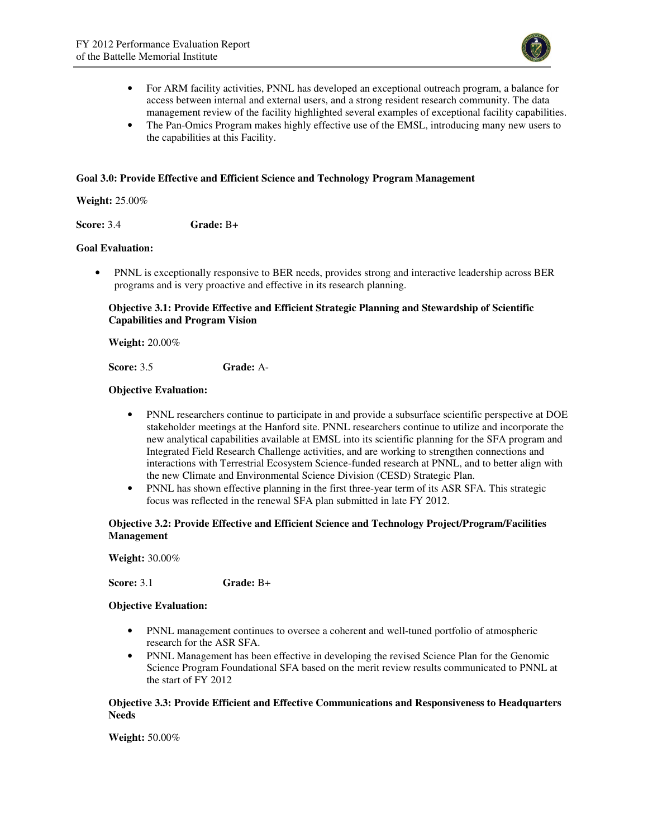

- For ARM facility activities, PNNL has developed an exceptional outreach program, a balance for access between internal and external users, and a strong resident research community. The data management review of the facility highlighted several examples of exceptional facility capabilities.
- The Pan-Omics Program makes highly effective use of the EMSL, introducing many new users to the capabilities at this Facility.

# **Goal 3.0: Provide Effective and Efficient Science and Technology Program Management**

**Weight:** 25.00%

**Score:** 3.4 **Grade:** B+

#### **Goal Evaluation:**

• PNNL is exceptionally responsive to BER needs, provides strong and interactive leadership across BER programs and is very proactive and effective in its research planning.

# **Objective 3.1: Provide Effective and Efficient Strategic Planning and Stewardship of Scientific Capabilities and Program Vision**

**Weight:** 20.00%

**Score:** 3.5 **Grade:** A-

## **Objective Evaluation:**

- PNNL researchers continue to participate in and provide a subsurface scientific perspective at DOE stakeholder meetings at the Hanford site. PNNL researchers continue to utilize and incorporate the new analytical capabilities available at EMSL into its scientific planning for the SFA program and Integrated Field Research Challenge activities, and are working to strengthen connections and interactions with Terrestrial Ecosystem Science-funded research at PNNL, and to better align with the new Climate and Environmental Science Division (CESD) Strategic Plan.
- PNNL has shown effective planning in the first three-year term of its ASR SFA. This strategic focus was reflected in the renewal SFA plan submitted in late FY 2012.

# **Objective 3.2: Provide Effective and Efficient Science and Technology Project/Program/Facilities Management**

**Weight:** 30.00%

**Score:** 3.1 **Grade:** B+

#### **Objective Evaluation:**

- PNNL management continues to oversee a coherent and well-tuned portfolio of atmospheric research for the ASR SFA.
- PNNL Management has been effective in developing the revised Science Plan for the Genomic Science Program Foundational SFA based on the merit review results communicated to PNNL at the start of FY 2012

#### **Objective 3.3: Provide Efficient and Effective Communications and Responsiveness to Headquarters Needs**

**Weight:** 50.00%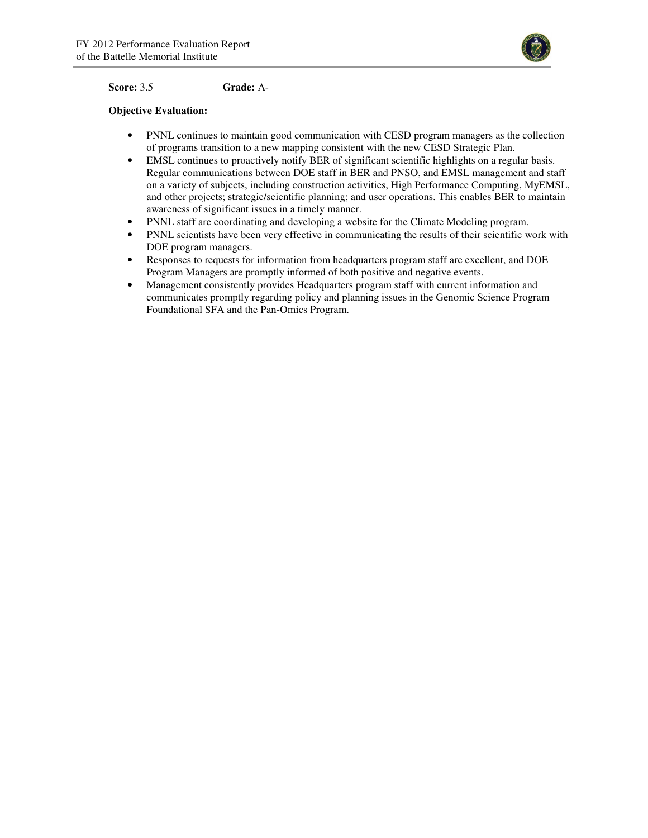

# **Score:** 3.5 **Grade:** A-

- PNNL continues to maintain good communication with CESD program managers as the collection of programs transition to a new mapping consistent with the new CESD Strategic Plan.
- EMSL continues to proactively notify BER of significant scientific highlights on a regular basis. Regular communications between DOE staff in BER and PNSO, and EMSL management and staff on a variety of subjects, including construction activities, High Performance Computing, MyEMSL, and other projects; strategic/scientific planning; and user operations. This enables BER to maintain awareness of significant issues in a timely manner.
- PNNL staff are coordinating and developing a website for the Climate Modeling program.
- PNNL scientists have been very effective in communicating the results of their scientific work with DOE program managers.
- Responses to requests for information from headquarters program staff are excellent, and DOE Program Managers are promptly informed of both positive and negative events.
- Management consistently provides Headquarters program staff with current information and communicates promptly regarding policy and planning issues in the Genomic Science Program Foundational SFA and the Pan-Omics Program.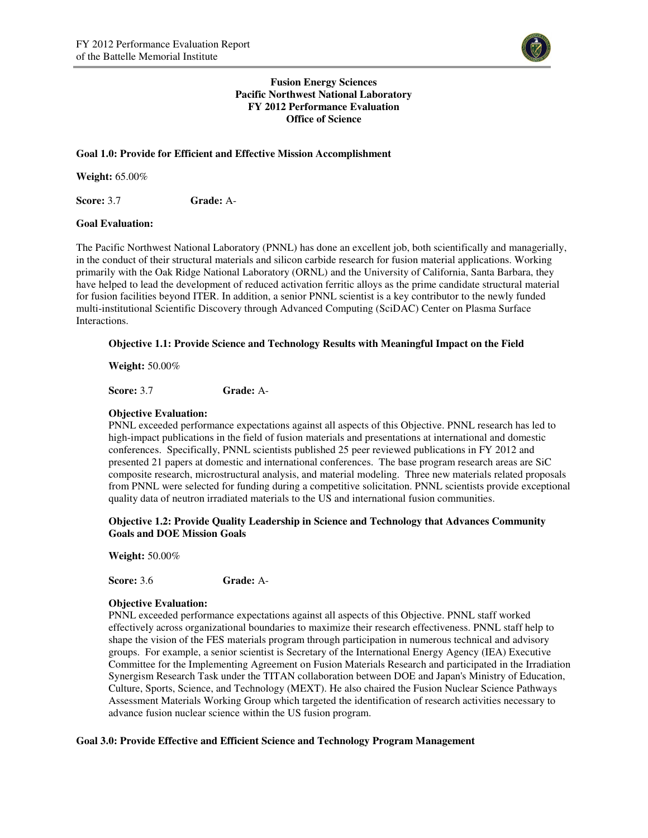

#### **Fusion Energy Sciences Pacific Northwest National Laboratory FY 2012 Performance Evaluation Office of Science**

# **Goal 1.0: Provide for Efficient and Effective Mission Accomplishment**

**Weight:** 65.00%

**Score:** 3.7 **Grade:** A-

## **Goal Evaluation:**

The Pacific Northwest National Laboratory (PNNL) has done an excellent job, both scientifically and managerially, in the conduct of their structural materials and silicon carbide research for fusion material applications. Working primarily with the Oak Ridge National Laboratory (ORNL) and the University of California, Santa Barbara, they have helped to lead the development of reduced activation ferritic alloys as the prime candidate structural material for fusion facilities beyond ITER. In addition, a senior PNNL scientist is a key contributor to the newly funded multi-institutional Scientific Discovery through Advanced Computing (SciDAC) Center on Plasma Surface Interactions.

# **Objective 1.1: Provide Science and Technology Results with Meaningful Impact on the Field**

**Weight:** 50.00%

**Score: 3.7 Grade: A-**

## **Objective Evaluation:**

PNNL exceeded performance expectations against all aspects of this Objective. PNNL research has led to high-impact publications in the field of fusion materials and presentations at international and domestic conferences. Specifically, PNNL scientists published 25 peer reviewed publications in FY 2012 and presented 21 papers at domestic and international conferences. The base program research areas are SiC composite research, microstructural analysis, and material modeling. Three new materials related proposals from PNNL were selected for funding during a competitive solicitation. PNNL scientists provide exceptional quality data of neutron irradiated materials to the US and international fusion communities.

## **Objective 1.2: Provide Quality Leadership in Science and Technology that Advances Community Goals and DOE Mission Goals**

**Weight:** 50.00%

**Score:** 3.6 **Grade:** A-

#### **Objective Evaluation:**

PNNL exceeded performance expectations against all aspects of this Objective. PNNL staff worked effectively across organizational boundaries to maximize their research effectiveness. PNNL staff help to shape the vision of the FES materials program through participation in numerous technical and advisory groups. For example, a senior scientist is Secretary of the International Energy Agency (IEA) Executive Committee for the Implementing Agreement on Fusion Materials Research and participated in the Irradiation Synergism Research Task under the TITAN collaboration between DOE and Japan's Ministry of Education, Culture, Sports, Science, and Technology (MEXT). He also chaired the Fusion Nuclear Science Pathways Assessment Materials Working Group which targeted the identification of research activities necessary to advance fusion nuclear science within the US fusion program.

#### **Goal 3.0: Provide Effective and Efficient Science and Technology Program Management**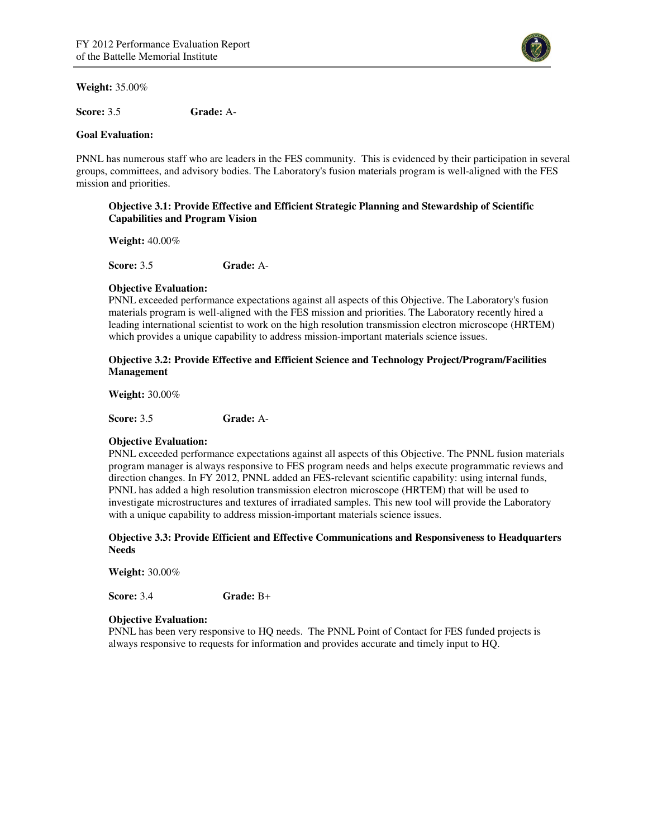

**Weight:** 35.00%

**Score:** 3.5 **Grade:** A-

# **Goal Evaluation:**

PNNL has numerous staff who are leaders in the FES community. This is evidenced by their participation in several groups, committees, and advisory bodies. The Laboratory's fusion materials program is well-aligned with the FES mission and priorities.

# **Objective 3.1: Provide Effective and Efficient Strategic Planning and Stewardship of Scientific Capabilities and Program Vision**

**Weight:** 40.00%

**Score:** 3.5 **Grade:** A-

## **Objective Evaluation:**

PNNL exceeded performance expectations against all aspects of this Objective. The Laboratory's fusion materials program is well-aligned with the FES mission and priorities. The Laboratory recently hired a leading international scientist to work on the high resolution transmission electron microscope (HRTEM) which provides a unique capability to address mission-important materials science issues.

## **Objective 3.2: Provide Effective and Efficient Science and Technology Project/Program/Facilities Management**

**Weight:** 30.00%

**Score:** 3.5 **Grade:** A-

#### **Objective Evaluation:**

PNNL exceeded performance expectations against all aspects of this Objective. The PNNL fusion materials program manager is always responsive to FES program needs and helps execute programmatic reviews and direction changes. In FY 2012, PNNL added an FES-relevant scientific capability: using internal funds, PNNL has added a high resolution transmission electron microscope (HRTEM) that will be used to investigate microstructures and textures of irradiated samples. This new tool will provide the Laboratory with a unique capability to address mission-important materials science issues.

## **Objective 3.3: Provide Efficient and Effective Communications and Responsiveness to Headquarters Needs**

**Weight:** 30.00%

**Score:** 3.4 **Grade:** B+

#### **Objective Evaluation:**

PNNL has been very responsive to HQ needs. The PNNL Point of Contact for FES funded projects is always responsive to requests for information and provides accurate and timely input to HQ.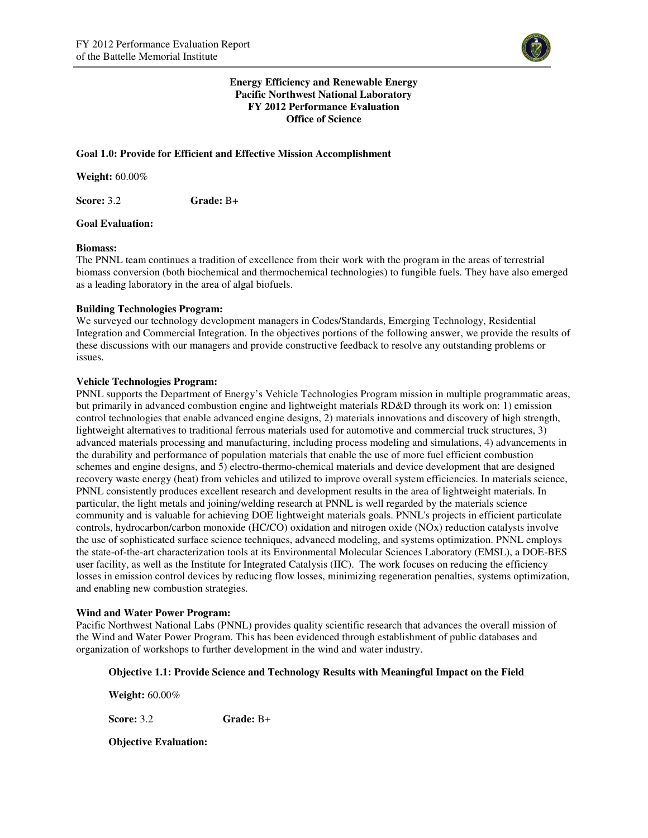

#### **Energy Efficiency and Renewable Energy Pacific Northwest National Laboratory FY 2012 Performance Evaluation Office of Science**

# **Goal 1.0: Provide for Efficient and Effective Mission Accomplishment**

**Weight:** 60.00%

**Score:** 3.2 **Grade:** B+

#### **Goal Evaluation:**

#### **Biomass:**

The PNNL team continues a tradition of excellence from their work with the program in the areas of terrestrial biomass conversion (both biochemical and thermochemical technologies) to fungible fuels. They have also emerged as a leading laboratory in the area of algal biofuels.

# **Building Technologies Program:**

We surveyed our technology development managers in Codes/Standards, Emerging Technology, Residential Integration and Commercial Integration. In the objectives portions of the following answer, we provide the results of these discussions with our managers and provide constructive feedback to resolve any outstanding problems or issues.

## **Vehicle Technologies Program:**

PNNL supports the Department of Energy's Vehicle Technologies Program mission in multiple programmatic areas, but primarily in advanced combustion engine and lightweight materials RD&D through its work on: 1) emission control technologies that enable advanced engine designs, 2) materials innovations and discovery of high strength, lightweight alternatives to traditional ferrous materials used for automotive and commercial truck structures, 3) advanced materials processing and manufacturing, including process modeling and simulations, 4) advancements in the durability and performance of population materials that enable the use of more fuel efficient combustion schemes and engine designs, and 5) electro-thermo-chemical materials and device development that are designed recovery waste energy (heat) from vehicles and utilized to improve overall system efficiencies. In materials science, PNNL consistently produces excellent research and development results in the area of lightweight materials. In particular, the light metals and joining/welding research at PNNL is well regarded by the materials science community and is valuable for achieving DOE lightweight materials goals. PNNL's projects in efficient particulate controls, hydrocarbon/carbon monoxide (HC/CO) oxidation and nitrogen oxide (NOx) reduction catalysts involve the use of sophisticated surface science techniques, advanced modeling, and systems optimization. PNNL employs the state-of-the-art characterization tools at its Environmental Molecular Sciences Laboratory (EMSL), a DOE-BES user facility, as well as the Institute for Integrated Catalysis (IIC). The work focuses on reducing the efficiency losses in emission control devices by reducing flow losses, minimizing regeneration penalties, systems optimization, and enabling new combustion strategies.

#### **Wind and Water Power Program:**

Pacific Northwest National Labs (PNNL) provides quality scientific research that advances the overall mission of the Wind and Water Power Program. This has been evidenced through establishment of public databases and organization of workshops to further development in the wind and water industry.

# **Objective 1.1: Provide Science and Technology Results with Meaningful Impact on the Field**

**Weight:** 60.00%

**Score:** 3.2 **Grade:** B+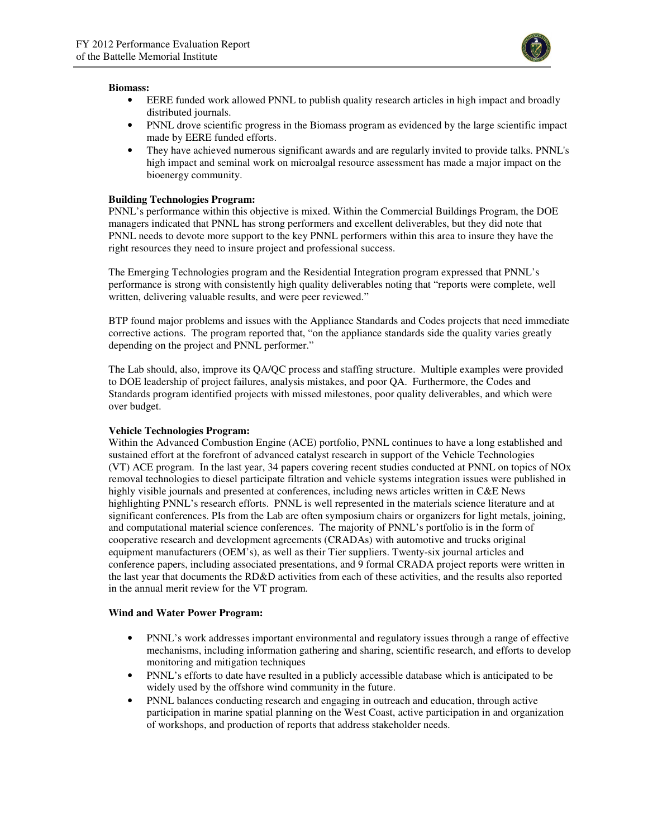

#### **Biomass:**

- EERE funded work allowed PNNL to publish quality research articles in high impact and broadly distributed journals.
- PNNL drove scientific progress in the Biomass program as evidenced by the large scientific impact made by EERE funded efforts.
- They have achieved numerous significant awards and are regularly invited to provide talks. PNNL's high impact and seminal work on microalgal resource assessment has made a major impact on the bioenergy community.

# **Building Technologies Program:**

PNNL's performance within this objective is mixed. Within the Commercial Buildings Program, the DOE managers indicated that PNNL has strong performers and excellent deliverables, but they did note that PNNL needs to devote more support to the key PNNL performers within this area to insure they have the right resources they need to insure project and professional success.

The Emerging Technologies program and the Residential Integration program expressed that PNNL's performance is strong with consistently high quality deliverables noting that "reports were complete, well written, delivering valuable results, and were peer reviewed."

BTP found major problems and issues with the Appliance Standards and Codes projects that need immediate corrective actions. The program reported that, "on the appliance standards side the quality varies greatly depending on the project and PNNL performer."

The Lab should, also, improve its QA/QC process and staffing structure. Multiple examples were provided to DOE leadership of project failures, analysis mistakes, and poor QA. Furthermore, the Codes and Standards program identified projects with missed milestones, poor quality deliverables, and which were over budget.

# **Vehicle Technologies Program:**

Within the Advanced Combustion Engine (ACE) portfolio, PNNL continues to have a long established and sustained effort at the forefront of advanced catalyst research in support of the Vehicle Technologies (VT) ACE program. In the last year, 34 papers covering recent studies conducted at PNNL on topics of NOx removal technologies to diesel participate filtration and vehicle systems integration issues were published in highly visible journals and presented at conferences, including news articles written in C&E News highlighting PNNL's research efforts. PNNL is well represented in the materials science literature and at significant conferences. PIs from the Lab are often symposium chairs or organizers for light metals, joining, and computational material science conferences. The majority of PNNL's portfolio is in the form of cooperative research and development agreements (CRADAs) with automotive and trucks original equipment manufacturers (OEM's), as well as their Tier suppliers. Twenty-six journal articles and conference papers, including associated presentations, and 9 formal CRADA project reports were written in the last year that documents the RD&D activities from each of these activities, and the results also reported in the annual merit review for the VT program.

#### **Wind and Water Power Program:**

- PNNL's work addresses important environmental and regulatory issues through a range of effective mechanisms, including information gathering and sharing, scientific research, and efforts to develop monitoring and mitigation techniques
- PNNL's efforts to date have resulted in a publicly accessible database which is anticipated to be widely used by the offshore wind community in the future.
- PNNL balances conducting research and engaging in outreach and education, through active participation in marine spatial planning on the West Coast, active participation in and organization of workshops, and production of reports that address stakeholder needs.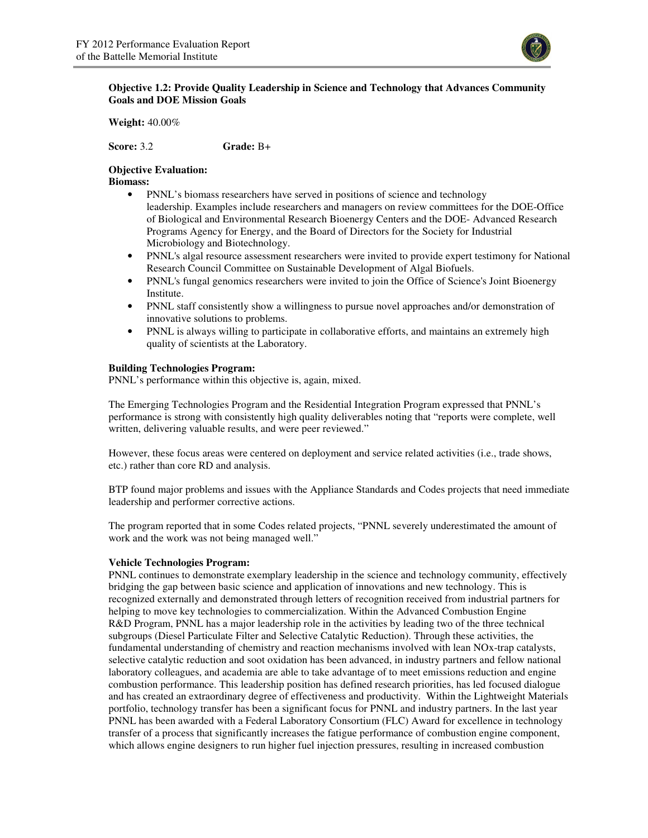

# **Objective 1.2: Provide Quality Leadership in Science and Technology that Advances Community Goals and DOE Mission Goals**

**Weight:** 40.00%

**Score:** 3.2 **Grade:** B+

## **Objective Evaluation:**

# **Biomass:**

- PNNL's biomass researchers have served in positions of science and technology leadership. Examples include researchers and managers on review committees for the DOE-Office of Biological and Environmental Research Bioenergy Centers and the DOE- Advanced Research Programs Agency for Energy, and the Board of Directors for the Society for Industrial Microbiology and Biotechnology.
- PNNL's algal resource assessment researchers were invited to provide expert testimony for National Research Council Committee on Sustainable Development of Algal Biofuels.
- PNNL's fungal genomics researchers were invited to join the Office of Science's Joint Bioenergy Institute.
- PNNL staff consistently show a willingness to pursue novel approaches and/or demonstration of innovative solutions to problems.
- PNNL is always willing to participate in collaborative efforts, and maintains an extremely high quality of scientists at the Laboratory.

#### **Building Technologies Program:**

PNNL's performance within this objective is, again, mixed.

The Emerging Technologies Program and the Residential Integration Program expressed that PNNL's performance is strong with consistently high quality deliverables noting that "reports were complete, well written, delivering valuable results, and were peer reviewed."

However, these focus areas were centered on deployment and service related activities (i.e., trade shows, etc.) rather than core RD and analysis.

BTP found major problems and issues with the Appliance Standards and Codes projects that need immediate leadership and performer corrective actions.

The program reported that in some Codes related projects, "PNNL severely underestimated the amount of work and the work was not being managed well."

# **Vehicle Technologies Program:**

PNNL continues to demonstrate exemplary leadership in the science and technology community, effectively bridging the gap between basic science and application of innovations and new technology. This is recognized externally and demonstrated through letters of recognition received from industrial partners for helping to move key technologies to commercialization. Within the Advanced Combustion Engine R&D Program, PNNL has a major leadership role in the activities by leading two of the three technical subgroups (Diesel Particulate Filter and Selective Catalytic Reduction). Through these activities, the fundamental understanding of chemistry and reaction mechanisms involved with lean NOx-trap catalysts, selective catalytic reduction and soot oxidation has been advanced, in industry partners and fellow national laboratory colleagues, and academia are able to take advantage of to meet emissions reduction and engine combustion performance. This leadership position has defined research priorities, has led focused dialogue and has created an extraordinary degree of effectiveness and productivity. Within the Lightweight Materials portfolio, technology transfer has been a significant focus for PNNL and industry partners. In the last year PNNL has been awarded with a Federal Laboratory Consortium (FLC) Award for excellence in technology transfer of a process that significantly increases the fatigue performance of combustion engine component, which allows engine designers to run higher fuel injection pressures, resulting in increased combustion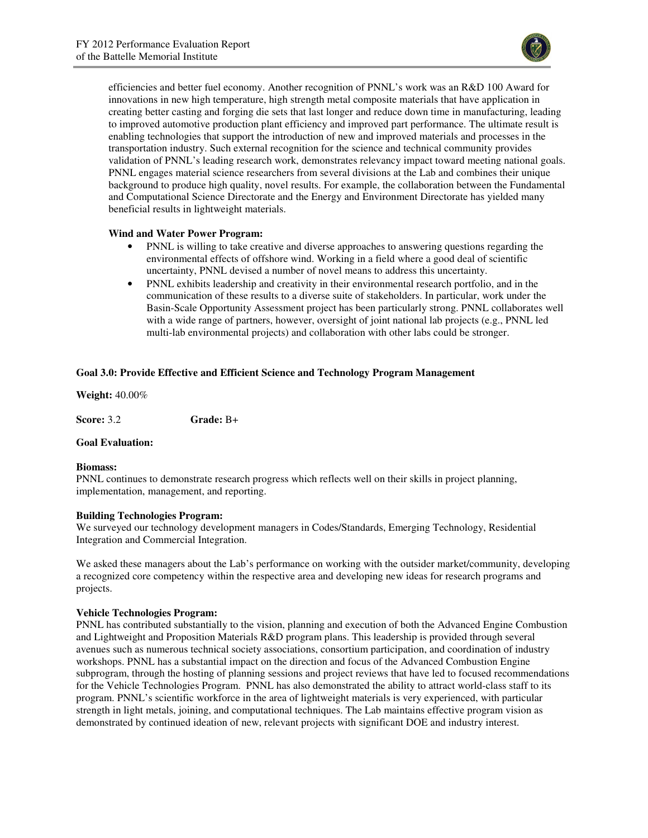

efficiencies and better fuel economy. Another recognition of PNNL's work was an R&D 100 Award for innovations in new high temperature, high strength metal composite materials that have application in creating better casting and forging die sets that last longer and reduce down time in manufacturing, leading to improved automotive production plant efficiency and improved part performance. The ultimate result is enabling technologies that support the introduction of new and improved materials and processes in the transportation industry. Such external recognition for the science and technical community provides validation of PNNL's leading research work, demonstrates relevancy impact toward meeting national goals. PNNL engages material science researchers from several divisions at the Lab and combines their unique background to produce high quality, novel results. For example, the collaboration between the Fundamental and Computational Science Directorate and the Energy and Environment Directorate has yielded many beneficial results in lightweight materials.

## **Wind and Water Power Program:**

- PNNL is willing to take creative and diverse approaches to answering questions regarding the environmental effects of offshore wind. Working in a field where a good deal of scientific uncertainty, PNNL devised a number of novel means to address this uncertainty.
- PNNL exhibits leadership and creativity in their environmental research portfolio, and in the communication of these results to a diverse suite of stakeholders. In particular, work under the Basin-Scale Opportunity Assessment project has been particularly strong. PNNL collaborates well with a wide range of partners, however, oversight of joint national lab projects (e.g., PNNL led multi-lab environmental projects) and collaboration with other labs could be stronger.

# **Goal 3.0: Provide Effective and Efficient Science and Technology Program Management**

**Weight:** 40.00%

**Score:** 3.2 **Grade:** B+

# **Goal Evaluation:**

#### **Biomass:**

PNNL continues to demonstrate research progress which reflects well on their skills in project planning, implementation, management, and reporting.

#### **Building Technologies Program:**

We surveyed our technology development managers in Codes/Standards, Emerging Technology, Residential Integration and Commercial Integration.

We asked these managers about the Lab's performance on working with the outsider market/community, developing a recognized core competency within the respective area and developing new ideas for research programs and projects.

#### **Vehicle Technologies Program:**

PNNL has contributed substantially to the vision, planning and execution of both the Advanced Engine Combustion and Lightweight and Proposition Materials R&D program plans. This leadership is provided through several avenues such as numerous technical society associations, consortium participation, and coordination of industry workshops. PNNL has a substantial impact on the direction and focus of the Advanced Combustion Engine subprogram, through the hosting of planning sessions and project reviews that have led to focused recommendations for the Vehicle Technologies Program. PNNL has also demonstrated the ability to attract world-class staff to its program. PNNL's scientific workforce in the area of lightweight materials is very experienced, with particular strength in light metals, joining, and computational techniques. The Lab maintains effective program vision as demonstrated by continued ideation of new, relevant projects with significant DOE and industry interest.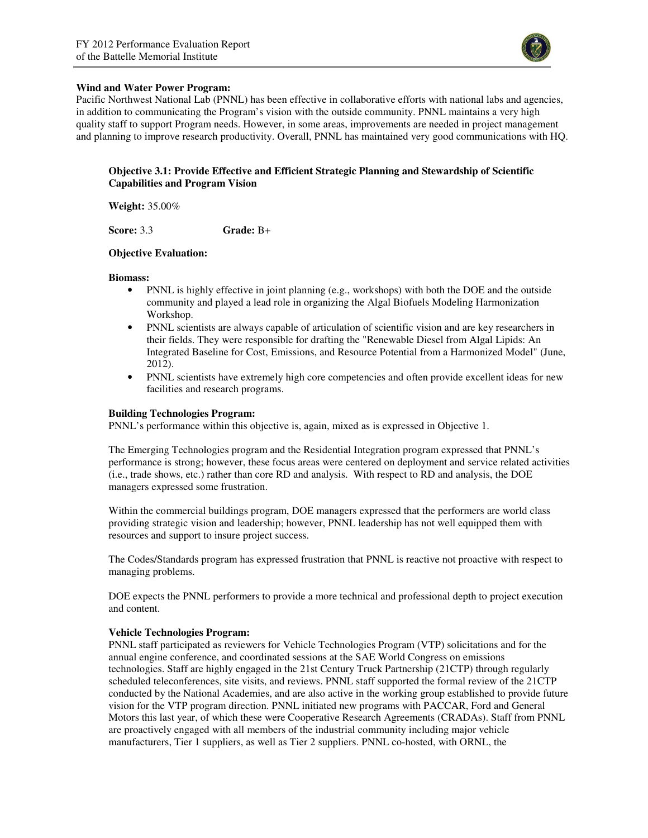

# **Wind and Water Power Program:**

Pacific Northwest National Lab (PNNL) has been effective in collaborative efforts with national labs and agencies, in addition to communicating the Program's vision with the outside community. PNNL maintains a very high quality staff to support Program needs. However, in some areas, improvements are needed in project management and planning to improve research productivity. Overall, PNNL has maintained very good communications with HQ.

# **Objective 3.1: Provide Effective and Efficient Strategic Planning and Stewardship of Scientific Capabilities and Program Vision**

**Weight:** 35.00%

**Score:** 3.3 **Grade:** B+

# **Objective Evaluation:**

# **Biomass:**

- PNNL is highly effective in joint planning (e.g., workshops) with both the DOE and the outside community and played a lead role in organizing the Algal Biofuels Modeling Harmonization Workshop.
- PNNL scientists are always capable of articulation of scientific vision and are key researchers in their fields. They were responsible for drafting the "Renewable Diesel from Algal Lipids: An Integrated Baseline for Cost, Emissions, and Resource Potential from a Harmonized Model" (June, 2012).
- PNNL scientists have extremely high core competencies and often provide excellent ideas for new facilities and research programs.

# **Building Technologies Program:**

PNNL's performance within this objective is, again, mixed as is expressed in Objective 1.

The Emerging Technologies program and the Residential Integration program expressed that PNNL's performance is strong; however, these focus areas were centered on deployment and service related activities (i.e., trade shows, etc.) rather than core RD and analysis. With respect to RD and analysis, the DOE managers expressed some frustration.

Within the commercial buildings program, DOE managers expressed that the performers are world class providing strategic vision and leadership; however, PNNL leadership has not well equipped them with resources and support to insure project success.

The Codes/Standards program has expressed frustration that PNNL is reactive not proactive with respect to managing problems.

DOE expects the PNNL performers to provide a more technical and professional depth to project execution and content.

# **Vehicle Technologies Program:**

PNNL staff participated as reviewers for Vehicle Technologies Program (VTP) solicitations and for the annual engine conference, and coordinated sessions at the SAE World Congress on emissions technologies. Staff are highly engaged in the 21st Century Truck Partnership (21CTP) through regularly scheduled teleconferences, site visits, and reviews. PNNL staff supported the formal review of the 21CTP conducted by the National Academies, and are also active in the working group established to provide future vision for the VTP program direction. PNNL initiated new programs with PACCAR, Ford and General Motors this last year, of which these were Cooperative Research Agreements (CRADAs). Staff from PNNL are proactively engaged with all members of the industrial community including major vehicle manufacturers, Tier 1 suppliers, as well as Tier 2 suppliers. PNNL co-hosted, with ORNL, the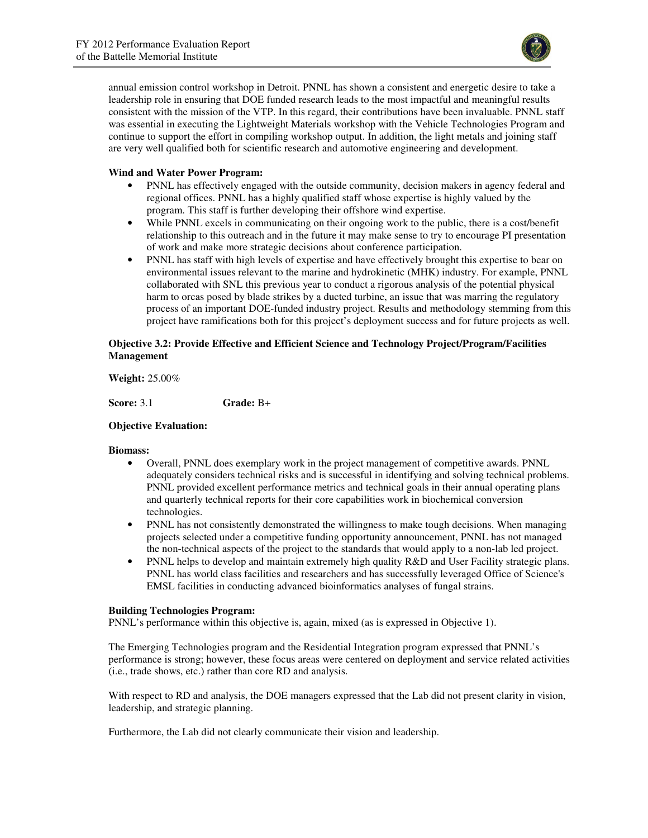

annual emission control workshop in Detroit. PNNL has shown a consistent and energetic desire to take a leadership role in ensuring that DOE funded research leads to the most impactful and meaningful results consistent with the mission of the VTP. In this regard, their contributions have been invaluable. PNNL staff was essential in executing the Lightweight Materials workshop with the Vehicle Technologies Program and continue to support the effort in compiling workshop output. In addition, the light metals and joining staff are very well qualified both for scientific research and automotive engineering and development.

# **Wind and Water Power Program:**

- PNNL has effectively engaged with the outside community, decision makers in agency federal and regional offices. PNNL has a highly qualified staff whose expertise is highly valued by the program. This staff is further developing their offshore wind expertise.
- While PNNL excels in communicating on their ongoing work to the public, there is a cost/benefit relationship to this outreach and in the future it may make sense to try to encourage PI presentation of work and make more strategic decisions about conference participation.
- PNNL has staff with high levels of expertise and have effectively brought this expertise to bear on environmental issues relevant to the marine and hydrokinetic (MHK) industry. For example, PNNL collaborated with SNL this previous year to conduct a rigorous analysis of the potential physical harm to orcas posed by blade strikes by a ducted turbine, an issue that was marring the regulatory process of an important DOE-funded industry project. Results and methodology stemming from this project have ramifications both for this project's deployment success and for future projects as well.

# **Objective 3.2: Provide Effective and Efficient Science and Technology Project/Program/Facilities Management**

**Weight:** 25.00%

**Score:** 3.1 **Grade:** B+

# **Objective Evaluation:**

#### **Biomass:**

- Overall, PNNL does exemplary work in the project management of competitive awards. PNNL adequately considers technical risks and is successful in identifying and solving technical problems. PNNL provided excellent performance metrics and technical goals in their annual operating plans and quarterly technical reports for their core capabilities work in biochemical conversion technologies.
- PNNL has not consistently demonstrated the willingness to make tough decisions. When managing projects selected under a competitive funding opportunity announcement, PNNL has not managed the non-technical aspects of the project to the standards that would apply to a non-lab led project.
- PNNL helps to develop and maintain extremely high quality R&D and User Facility strategic plans. PNNL has world class facilities and researchers and has successfully leveraged Office of Science's EMSL facilities in conducting advanced bioinformatics analyses of fungal strains.

#### **Building Technologies Program:**

PNNL's performance within this objective is, again, mixed (as is expressed in Objective 1).

The Emerging Technologies program and the Residential Integration program expressed that PNNL's performance is strong; however, these focus areas were centered on deployment and service related activities (i.e., trade shows, etc.) rather than core RD and analysis.

With respect to RD and analysis, the DOE managers expressed that the Lab did not present clarity in vision, leadership, and strategic planning.

Furthermore, the Lab did not clearly communicate their vision and leadership.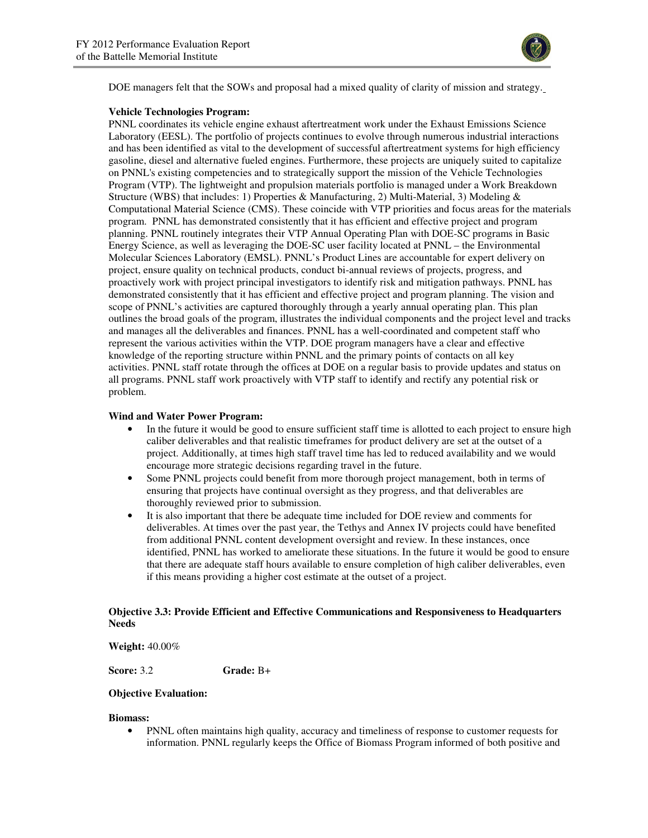

DOE managers felt that the SOWs and proposal had a mixed quality of clarity of mission and strategy.

#### **Vehicle Technologies Program:**

PNNL coordinates its vehicle engine exhaust aftertreatment work under the Exhaust Emissions Science Laboratory (EESL). The portfolio of projects continues to evolve through numerous industrial interactions and has been identified as vital to the development of successful aftertreatment systems for high efficiency gasoline, diesel and alternative fueled engines. Furthermore, these projects are uniquely suited to capitalize on PNNL's existing competencies and to strategically support the mission of the Vehicle Technologies Program (VTP). The lightweight and propulsion materials portfolio is managed under a Work Breakdown Structure (WBS) that includes: 1) Properties & Manufacturing, 2) Multi-Material, 3) Modeling & Computational Material Science (CMS). These coincide with VTP priorities and focus areas for the materials program. PNNL has demonstrated consistently that it has efficient and effective project and program planning. PNNL routinely integrates their VTP Annual Operating Plan with DOE-SC programs in Basic Energy Science, as well as leveraging the DOE-SC user facility located at PNNL – the Environmental Molecular Sciences Laboratory (EMSL). PNNL's Product Lines are accountable for expert delivery on project, ensure quality on technical products, conduct bi-annual reviews of projects, progress, and proactively work with project principal investigators to identify risk and mitigation pathways. PNNL has demonstrated consistently that it has efficient and effective project and program planning. The vision and scope of PNNL's activities are captured thoroughly through a yearly annual operating plan. This plan outlines the broad goals of the program, illustrates the individual components and the project level and tracks and manages all the deliverables and finances. PNNL has a well-coordinated and competent staff who represent the various activities within the VTP. DOE program managers have a clear and effective knowledge of the reporting structure within PNNL and the primary points of contacts on all key activities. PNNL staff rotate through the offices at DOE on a regular basis to provide updates and status on all programs. PNNL staff work proactively with VTP staff to identify and rectify any potential risk or problem.

#### **Wind and Water Power Program:**

- In the future it would be good to ensure sufficient staff time is allotted to each project to ensure high caliber deliverables and that realistic timeframes for product delivery are set at the outset of a project. Additionally, at times high staff travel time has led to reduced availability and we would encourage more strategic decisions regarding travel in the future.
- Some PNNL projects could benefit from more thorough project management, both in terms of ensuring that projects have continual oversight as they progress, and that deliverables are thoroughly reviewed prior to submission.
- It is also important that there be adequate time included for DOE review and comments for deliverables. At times over the past year, the Tethys and Annex IV projects could have benefited from additional PNNL content development oversight and review. In these instances, once identified, PNNL has worked to ameliorate these situations. In the future it would be good to ensure that there are adequate staff hours available to ensure completion of high caliber deliverables, even if this means providing a higher cost estimate at the outset of a project.

## **Objective 3.3: Provide Efficient and Effective Communications and Responsiveness to Headquarters Needs**

**Weight:** 40.00%

**Score:** 3.2 **Grade:** B+

# **Objective Evaluation:**

#### **Biomass:**

• PNNL often maintains high quality, accuracy and timeliness of response to customer requests for information. PNNL regularly keeps the Office of Biomass Program informed of both positive and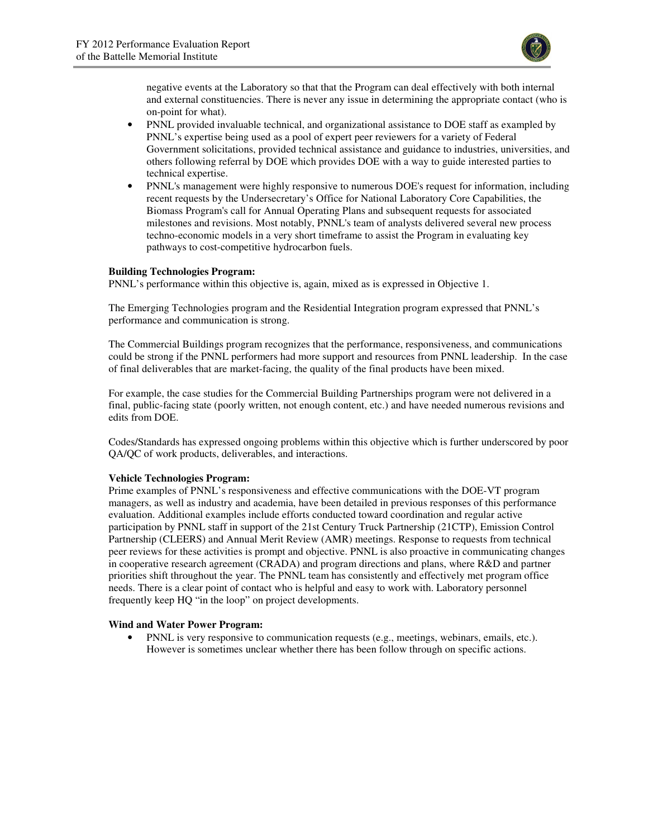

negative events at the Laboratory so that that the Program can deal effectively with both internal and external constituencies. There is never any issue in determining the appropriate contact (who is on-point for what).

- PNNL provided invaluable technical, and organizational assistance to DOE staff as exampled by PNNL's expertise being used as a pool of expert peer reviewers for a variety of Federal Government solicitations, provided technical assistance and guidance to industries, universities, and others following referral by DOE which provides DOE with a way to guide interested parties to technical expertise.
- PNNL's management were highly responsive to numerous DOE's request for information, including recent requests by the Undersecretary's Office for National Laboratory Core Capabilities, the Biomass Program's call for Annual Operating Plans and subsequent requests for associated milestones and revisions. Most notably, PNNL's team of analysts delivered several new process techno-economic models in a very short timeframe to assist the Program in evaluating key pathways to cost-competitive hydrocarbon fuels.

## **Building Technologies Program:**

PNNL's performance within this objective is, again, mixed as is expressed in Objective 1.

The Emerging Technologies program and the Residential Integration program expressed that PNNL's performance and communication is strong.

The Commercial Buildings program recognizes that the performance, responsiveness, and communications could be strong if the PNNL performers had more support and resources from PNNL leadership. In the case of final deliverables that are market-facing, the quality of the final products have been mixed.

For example, the case studies for the Commercial Building Partnerships program were not delivered in a final, public-facing state (poorly written, not enough content, etc.) and have needed numerous revisions and edits from DOE.

Codes/Standards has expressed ongoing problems within this objective which is further underscored by poor QA/QC of work products, deliverables, and interactions.

#### **Vehicle Technologies Program:**

Prime examples of PNNL's responsiveness and effective communications with the DOE-VT program managers, as well as industry and academia, have been detailed in previous responses of this performance evaluation. Additional examples include efforts conducted toward coordination and regular active participation by PNNL staff in support of the 21st Century Truck Partnership (21CTP), Emission Control Partnership (CLEERS) and Annual Merit Review (AMR) meetings. Response to requests from technical peer reviews for these activities is prompt and objective. PNNL is also proactive in communicating changes in cooperative research agreement (CRADA) and program directions and plans, where R&D and partner priorities shift throughout the year. The PNNL team has consistently and effectively met program office needs. There is a clear point of contact who is helpful and easy to work with. Laboratory personnel frequently keep HQ "in the loop" on project developments.

# **Wind and Water Power Program:**

• PNNL is very responsive to communication requests (e.g., meetings, webinars, emails, etc.). However is sometimes unclear whether there has been follow through on specific actions.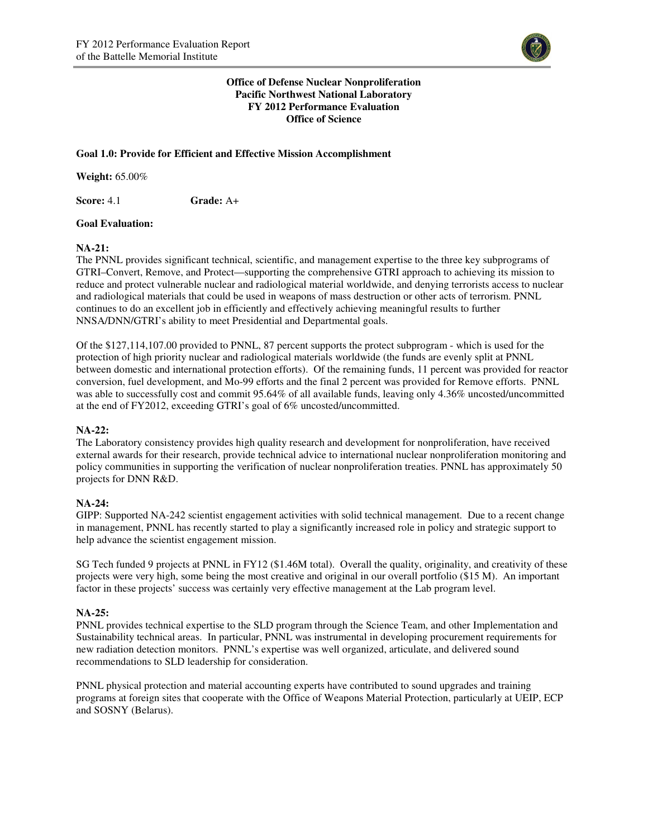

#### **Office of Defense Nuclear Nonproliferation Pacific Northwest National Laboratory FY 2012 Performance Evaluation Office of Science**

# **Goal 1.0: Provide for Efficient and Effective Mission Accomplishment**

**Weight:** 65.00%

**Score:** 4.1 **Grade:**  $A+$ 

## **Goal Evaluation:**

## **NA-21:**

The PNNL provides significant technical, scientific, and management expertise to the three key subprograms of GTRI–Convert, Remove, and Protect—supporting the comprehensive GTRI approach to achieving its mission to reduce and protect vulnerable nuclear and radiological material worldwide, and denying terrorists access to nuclear and radiological materials that could be used in weapons of mass destruction or other acts of terrorism. PNNL continues to do an excellent job in efficiently and effectively achieving meaningful results to further NNSA/DNN/GTRI's ability to meet Presidential and Departmental goals.

Of the \$127,114,107.00 provided to PNNL, 87 percent supports the protect subprogram - which is used for the protection of high priority nuclear and radiological materials worldwide (the funds are evenly split at PNNL between domestic and international protection efforts). Of the remaining funds, 11 percent was provided for reactor conversion, fuel development, and Mo-99 efforts and the final 2 percent was provided for Remove efforts. PNNL was able to successfully cost and commit 95.64% of all available funds, leaving only 4.36% uncosted/uncommitted at the end of FY2012, exceeding GTRI's goal of 6% uncosted/uncommitted.

#### **NA-22:**

The Laboratory consistency provides high quality research and development for nonproliferation, have received external awards for their research, provide technical advice to international nuclear nonproliferation monitoring and policy communities in supporting the verification of nuclear nonproliferation treaties. PNNL has approximately 50 projects for DNN R&D.

# **NA-24:**

GIPP: Supported NA-242 scientist engagement activities with solid technical management. Due to a recent change in management, PNNL has recently started to play a significantly increased role in policy and strategic support to help advance the scientist engagement mission.

SG Tech funded 9 projects at PNNL in FY12 (\$1.46M total). Overall the quality, originality, and creativity of these projects were very high, some being the most creative and original in our overall portfolio (\$15 M). An important factor in these projects' success was certainly very effective management at the Lab program level.

# **NA-25:**

PNNL provides technical expertise to the SLD program through the Science Team, and other Implementation and Sustainability technical areas. In particular, PNNL was instrumental in developing procurement requirements for new radiation detection monitors. PNNL's expertise was well organized, articulate, and delivered sound recommendations to SLD leadership for consideration.

PNNL physical protection and material accounting experts have contributed to sound upgrades and training programs at foreign sites that cooperate with the Office of Weapons Material Protection, particularly at UEIP, ECP and SOSNY (Belarus).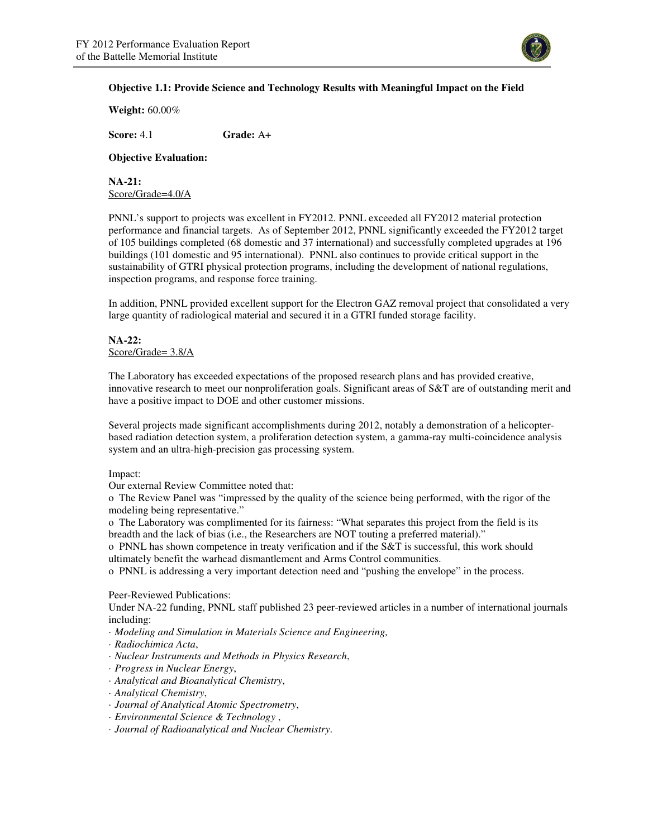

# **Objective 1.1: Provide Science and Technology Results with Meaningful Impact on the Field**

**Weight:** 60.00%

**Score:** 4.1 **Grade:** A+

**Objective Evaluation:** 

**NA-21:** Score/Grade=4.0/A

PNNL's support to projects was excellent in FY2012. PNNL exceeded all FY2012 material protection performance and financial targets. As of September 2012, PNNL significantly exceeded the FY2012 target of 105 buildings completed (68 domestic and 37 international) and successfully completed upgrades at 196 buildings (101 domestic and 95 international). PNNL also continues to provide critical support in the sustainability of GTRI physical protection programs, including the development of national regulations, inspection programs, and response force training.

In addition, PNNL provided excellent support for the Electron GAZ removal project that consolidated a very large quantity of radiological material and secured it in a GTRI funded storage facility.

**NA-22:** Score/Grade= 3.8/A

The Laboratory has exceeded expectations of the proposed research plans and has provided creative, innovative research to meet our nonproliferation goals. Significant areas of S&T are of outstanding merit and have a positive impact to DOE and other customer missions.

Several projects made significant accomplishments during 2012, notably a demonstration of a helicopterbased radiation detection system, a proliferation detection system, a gamma-ray multi-coincidence analysis system and an ultra-high-precision gas processing system.

Impact:

Our external Review Committee noted that:

o The Review Panel was "impressed by the quality of the science being performed, with the rigor of the modeling being representative."

o The Laboratory was complimented for its fairness: "What separates this project from the field is its breadth and the lack of bias (i.e., the Researchers are NOT touting a preferred material)."

o PNNL has shown competence in treaty verification and if the S&T is successful, this work should ultimately benefit the warhead dismantlement and Arms Control communities.

o PNNL is addressing a very important detection need and "pushing the envelope" in the process.

Peer-Reviewed Publications:

Under NA-22 funding, PNNL staff published 23 peer-reviewed articles in a number of international journals including:

- · *Modeling and Simulation in Materials Science and Engineering,*
- · *Radiochimica Acta*,
- · *Nuclear Instruments and Methods in Physics Research*,
- · *Progress in Nuclear Energy*,
- · *Analytical and Bioanalytical Chemistry*,
- · *Analytical Chemistry*,
- · *Journal of Analytical Atomic Spectrometry*,
- · *Environmental Science & Technology* ,
- · *Journal of Radioanalytical and Nuclear Chemistry*.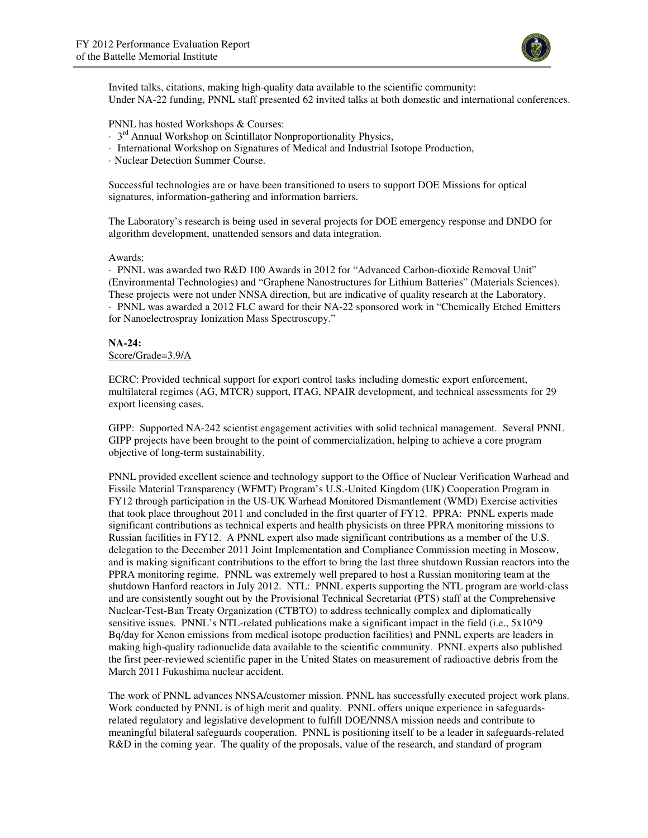

Invited talks, citations, making high-quality data available to the scientific community: Under NA-22 funding, PNNL staff presented 62 invited talks at both domestic and international conferences.

PNNL has hosted Workshops & Courses:

- · 3rd Annual Workshop on Scintillator Nonproportionality Physics,
- · International Workshop on Signatures of Medical and Industrial Isotope Production,
- · Nuclear Detection Summer Course.

Successful technologies are or have been transitioned to users to support DOE Missions for optical signatures, information-gathering and information barriers.

The Laboratory's research is being used in several projects for DOE emergency response and DNDO for algorithm development, unattended sensors and data integration.

Awards:

· PNNL was awarded two R&D 100 Awards in 2012 for "Advanced Carbon-dioxide Removal Unit" (Environmental Technologies) and "Graphene Nanostructures for Lithium Batteries" (Materials Sciences). These projects were not under NNSA direction, but are indicative of quality research at the Laboratory. · PNNL was awarded a 2012 FLC award for their NA-22 sponsored work in "Chemically Etched Emitters for Nanoelectrospray Ionization Mass Spectroscopy."

#### **NA-24:** Score/Grade=3.9/A

ECRC: Provided technical support for export control tasks including domestic export enforcement, multilateral regimes (AG, MTCR) support, ITAG, NPAIR development, and technical assessments for 29 export licensing cases.

GIPP: Supported NA-242 scientist engagement activities with solid technical management. Several PNNL GIPP projects have been brought to the point of commercialization, helping to achieve a core program objective of long-term sustainability.

PNNL provided excellent science and technology support to the Office of Nuclear Verification Warhead and Fissile Material Transparency (WFMT) Program's U.S.-United Kingdom (UK) Cooperation Program in FY12 through participation in the US-UK Warhead Monitored Dismantlement (WMD) Exercise activities that took place throughout 2011 and concluded in the first quarter of FY12. PPRA: PNNL experts made significant contributions as technical experts and health physicists on three PPRA monitoring missions to Russian facilities in FY12. A PNNL expert also made significant contributions as a member of the U.S. delegation to the December 2011 Joint Implementation and Compliance Commission meeting in Moscow, and is making significant contributions to the effort to bring the last three shutdown Russian reactors into the PPRA monitoring regime. PNNL was extremely well prepared to host a Russian monitoring team at the shutdown Hanford reactors in July 2012. NTL: PNNL experts supporting the NTL program are world-class and are consistently sought out by the Provisional Technical Secretariat (PTS) staff at the Comprehensive Nuclear-Test-Ban Treaty Organization (CTBTO) to address technically complex and diplomatically sensitive issues. PNNL's NTL-related publications make a significant impact in the field (i.e., 5x10^9) Bq/day for Xenon emissions from medical isotope production facilities) and PNNL experts are leaders in making high-quality radionuclide data available to the scientific community. PNNL experts also published the first peer-reviewed scientific paper in the United States on measurement of radioactive debris from the March 2011 Fukushima nuclear accident.

The work of PNNL advances NNSA/customer mission. PNNL has successfully executed project work plans. Work conducted by PNNL is of high merit and quality. PNNL offers unique experience in safeguardsrelated regulatory and legislative development to fulfill DOE/NNSA mission needs and contribute to meaningful bilateral safeguards cooperation. PNNL is positioning itself to be a leader in safeguards-related R&D in the coming year. The quality of the proposals, value of the research, and standard of program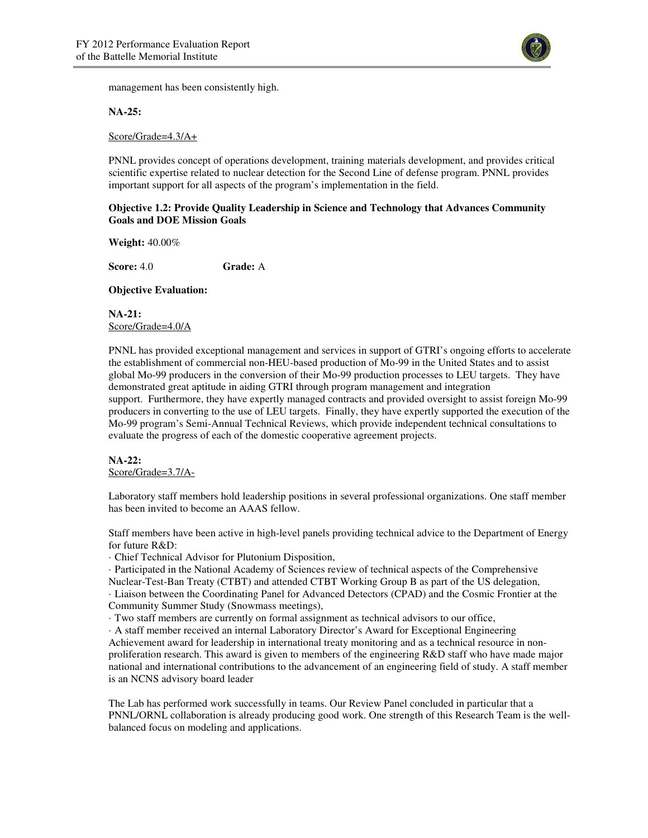

management has been consistently high.

**NA-25:**

Score/Grade=4.3/A+

PNNL provides concept of operations development, training materials development, and provides critical scientific expertise related to nuclear detection for the Second Line of defense program. PNNL provides important support for all aspects of the program's implementation in the field.

# **Objective 1.2: Provide Quality Leadership in Science and Technology that Advances Community Goals and DOE Mission Goals**

**Weight:** 40.00%

**Score:** 4.0 **Grade:** A

#### **Objective Evaluation:**

**NA-21:** Score/Grade=4.0/A

PNNL has provided exceptional management and services in support of GTRI's ongoing efforts to accelerate the establishment of commercial non-HEU-based production of Mo-99 in the United States and to assist global Mo-99 producers in the conversion of their Mo-99 production processes to LEU targets. They have demonstrated great aptitude in aiding GTRI through program management and integration support. Furthermore, they have expertly managed contracts and provided oversight to assist foreign Mo-99 producers in converting to the use of LEU targets. Finally, they have expertly supported the execution of the Mo-99 program's Semi-Annual Technical Reviews, which provide independent technical consultations to evaluate the progress of each of the domestic cooperative agreement projects.

**NA-22:** Score/Grade=3.7/A-

Laboratory staff members hold leadership positions in several professional organizations. One staff member has been invited to become an AAAS fellow.

Staff members have been active in high-level panels providing technical advice to the Department of Energy for future R&D:

· Chief Technical Advisor for Plutonium Disposition,

· Participated in the National Academy of Sciences review of technical aspects of the Comprehensive Nuclear-Test-Ban Treaty (CTBT) and attended CTBT Working Group B as part of the US delegation,

· Liaison between the Coordinating Panel for Advanced Detectors (CPAD) and the Cosmic Frontier at the Community Summer Study (Snowmass meetings),

· Two staff members are currently on formal assignment as technical advisors to our office,

· A staff member received an internal Laboratory Director's Award for Exceptional Engineering

Achievement award for leadership in international treaty monitoring and as a technical resource in nonproliferation research. This award is given to members of the engineering R&D staff who have made major national and international contributions to the advancement of an engineering field of study. A staff member is an NCNS advisory board leader

The Lab has performed work successfully in teams. Our Review Panel concluded in particular that a PNNL/ORNL collaboration is already producing good work. One strength of this Research Team is the wellbalanced focus on modeling and applications.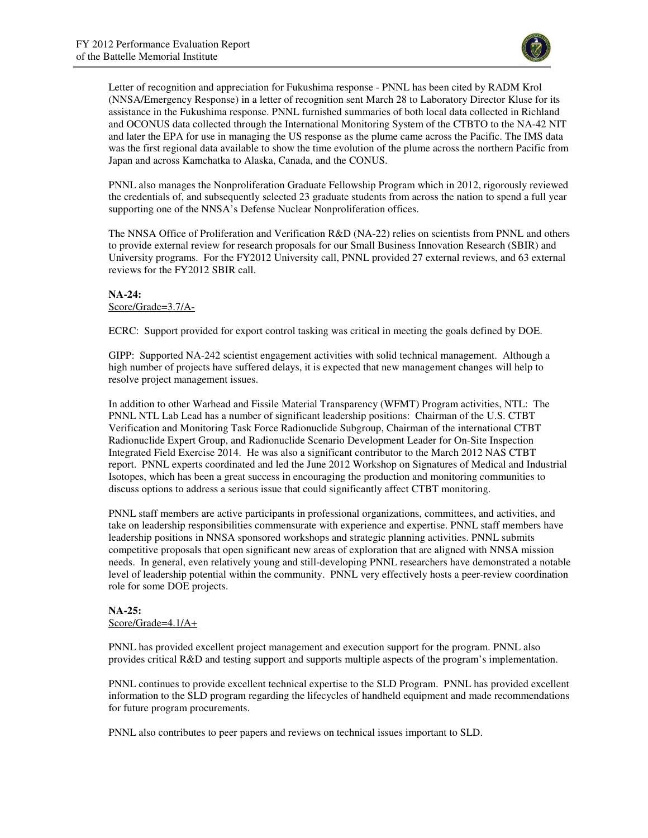

Letter of recognition and appreciation for Fukushima response - PNNL has been cited by RADM Krol (NNSA/Emergency Response) in a letter of recognition sent March 28 to Laboratory Director Kluse for its assistance in the Fukushima response. PNNL furnished summaries of both local data collected in Richland and OCONUS data collected through the International Monitoring System of the CTBTO to the NA-42 NIT and later the EPA for use in managing the US response as the plume came across the Pacific. The IMS data was the first regional data available to show the time evolution of the plume across the northern Pacific from Japan and across Kamchatka to Alaska, Canada, and the CONUS.

PNNL also manages the Nonproliferation Graduate Fellowship Program which in 2012, rigorously reviewed the credentials of, and subsequently selected 23 graduate students from across the nation to spend a full year supporting one of the NNSA's Defense Nuclear Nonproliferation offices.

The NNSA Office of Proliferation and Verification R&D (NA-22) relies on scientists from PNNL and others to provide external review for research proposals for our Small Business Innovation Research (SBIR) and University programs. For the FY2012 University call, PNNL provided 27 external reviews, and 63 external reviews for the FY2012 SBIR call.

#### **NA-24:** Score/Grade=3.7/A-

ECRC: Support provided for export control tasking was critical in meeting the goals defined by DOE.

GIPP: Supported NA-242 scientist engagement activities with solid technical management. Although a high number of projects have suffered delays, it is expected that new management changes will help to resolve project management issues.

In addition to other Warhead and Fissile Material Transparency (WFMT) Program activities, NTL: The PNNL NTL Lab Lead has a number of significant leadership positions: Chairman of the U.S. CTBT Verification and Monitoring Task Force Radionuclide Subgroup, Chairman of the international CTBT Radionuclide Expert Group, and Radionuclide Scenario Development Leader for On-Site Inspection Integrated Field Exercise 2014. He was also a significant contributor to the March 2012 NAS CTBT report. PNNL experts coordinated and led the June 2012 Workshop on Signatures of Medical and Industrial Isotopes, which has been a great success in encouraging the production and monitoring communities to discuss options to address a serious issue that could significantly affect CTBT monitoring.

PNNL staff members are active participants in professional organizations, committees, and activities, and take on leadership responsibilities commensurate with experience and expertise. PNNL staff members have leadership positions in NNSA sponsored workshops and strategic planning activities. PNNL submits competitive proposals that open significant new areas of exploration that are aligned with NNSA mission needs. In general, even relatively young and still-developing PNNL researchers have demonstrated a notable level of leadership potential within the community. PNNL very effectively hosts a peer-review coordination role for some DOE projects.

## **NA-25:** Score/Grade=4.1/A+

PNNL has provided excellent project management and execution support for the program. PNNL also provides critical R&D and testing support and supports multiple aspects of the program's implementation.

PNNL continues to provide excellent technical expertise to the SLD Program. PNNL has provided excellent information to the SLD program regarding the lifecycles of handheld equipment and made recommendations for future program procurements.

PNNL also contributes to peer papers and reviews on technical issues important to SLD.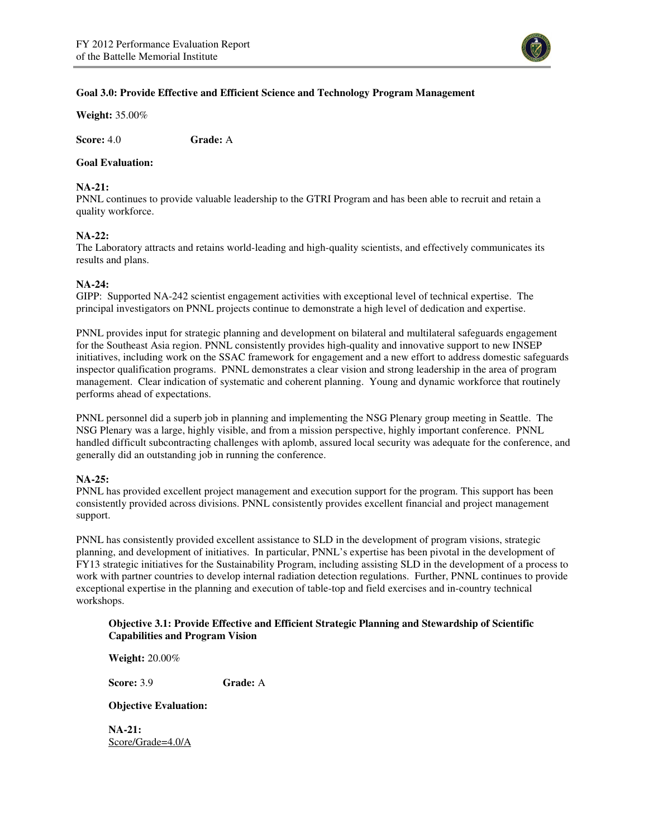

# **Goal 3.0: Provide Effective and Efficient Science and Technology Program Management**

**Weight:** 35.00%

**Score:** 4.0 **Grade:** A

# **Goal Evaluation:**

# **NA-21:**

PNNL continues to provide valuable leadership to the GTRI Program and has been able to recruit and retain a quality workforce.

## **NA-22:**

The Laboratory attracts and retains world-leading and high-quality scientists, and effectively communicates its results and plans.

## **NA-24:**

GIPP: Supported NA-242 scientist engagement activities with exceptional level of technical expertise. The principal investigators on PNNL projects continue to demonstrate a high level of dedication and expertise.

PNNL provides input for strategic planning and development on bilateral and multilateral safeguards engagement for the Southeast Asia region. PNNL consistently provides high-quality and innovative support to new INSEP initiatives, including work on the SSAC framework for engagement and a new effort to address domestic safeguards inspector qualification programs. PNNL demonstrates a clear vision and strong leadership in the area of program management. Clear indication of systematic and coherent planning. Young and dynamic workforce that routinely performs ahead of expectations.

PNNL personnel did a superb job in planning and implementing the NSG Plenary group meeting in Seattle. The NSG Plenary was a large, highly visible, and from a mission perspective, highly important conference. PNNL handled difficult subcontracting challenges with aplomb, assured local security was adequate for the conference, and generally did an outstanding job in running the conference.

# **NA-25:**

PNNL has provided excellent project management and execution support for the program. This support has been consistently provided across divisions. PNNL consistently provides excellent financial and project management support.

PNNL has consistently provided excellent assistance to SLD in the development of program visions, strategic planning, and development of initiatives. In particular, PNNL's expertise has been pivotal in the development of FY13 strategic initiatives for the Sustainability Program, including assisting SLD in the development of a process to work with partner countries to develop internal radiation detection regulations. Further, PNNL continues to provide exceptional expertise in the planning and execution of table-top and field exercises and in-country technical workshops.

#### **Objective 3.1: Provide Effective and Efficient Strategic Planning and Stewardship of Scientific Capabilities and Program Vision**

**Weight:** 20.00%

**Score:** 3.9 **Grade:** A

#### **Objective Evaluation:**

**NA-21:** Score/Grade=4.0/A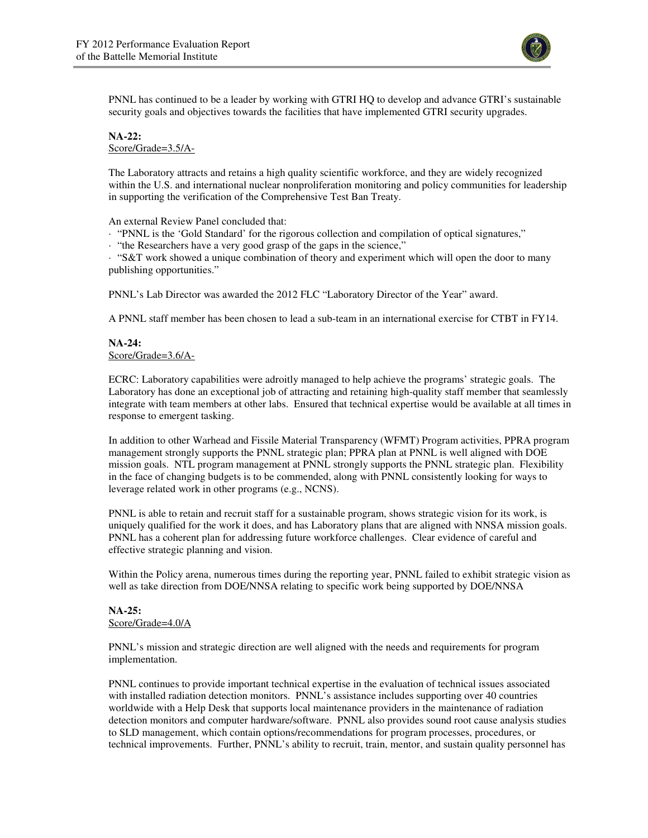

PNNL has continued to be a leader by working with GTRI HQ to develop and advance GTRI's sustainable security goals and objectives towards the facilities that have implemented GTRI security upgrades.

#### **NA-22:** Score/Grade=3.5/A-

The Laboratory attracts and retains a high quality scientific workforce, and they are widely recognized within the U.S. and international nuclear nonproliferation monitoring and policy communities for leadership in supporting the verification of the Comprehensive Test Ban Treaty.

An external Review Panel concluded that:

- · "PNNL is the 'Gold Standard' for the rigorous collection and compilation of optical signatures,"
- · "the Researchers have a very good grasp of the gaps in the science,"

· "S&T work showed a unique combination of theory and experiment which will open the door to many publishing opportunities."

PNNL's Lab Director was awarded the 2012 FLC "Laboratory Director of the Year" award.

A PNNL staff member has been chosen to lead a sub-team in an international exercise for CTBT in FY14.

## **NA-24:** Score/Grade=3.6/A-

ECRC: Laboratory capabilities were adroitly managed to help achieve the programs' strategic goals. The Laboratory has done an exceptional job of attracting and retaining high-quality staff member that seamlessly integrate with team members at other labs. Ensured that technical expertise would be available at all times in response to emergent tasking.

In addition to other Warhead and Fissile Material Transparency (WFMT) Program activities, PPRA program management strongly supports the PNNL strategic plan; PPRA plan at PNNL is well aligned with DOE mission goals. NTL program management at PNNL strongly supports the PNNL strategic plan. Flexibility in the face of changing budgets is to be commended, along with PNNL consistently looking for ways to leverage related work in other programs (e.g., NCNS).

PNNL is able to retain and recruit staff for a sustainable program, shows strategic vision for its work, is uniquely qualified for the work it does, and has Laboratory plans that are aligned with NNSA mission goals. PNNL has a coherent plan for addressing future workforce challenges. Clear evidence of careful and effective strategic planning and vision.

Within the Policy arena, numerous times during the reporting year, PNNL failed to exhibit strategic vision as well as take direction from DOE/NNSA relating to specific work being supported by DOE/NNSA

#### **NA-25:** Score/Grade=4.0/A

PNNL's mission and strategic direction are well aligned with the needs and requirements for program implementation.

PNNL continues to provide important technical expertise in the evaluation of technical issues associated with installed radiation detection monitors. PNNL's assistance includes supporting over 40 countries worldwide with a Help Desk that supports local maintenance providers in the maintenance of radiation detection monitors and computer hardware/software. PNNL also provides sound root cause analysis studies to SLD management, which contain options/recommendations for program processes, procedures, or technical improvements. Further, PNNL's ability to recruit, train, mentor, and sustain quality personnel has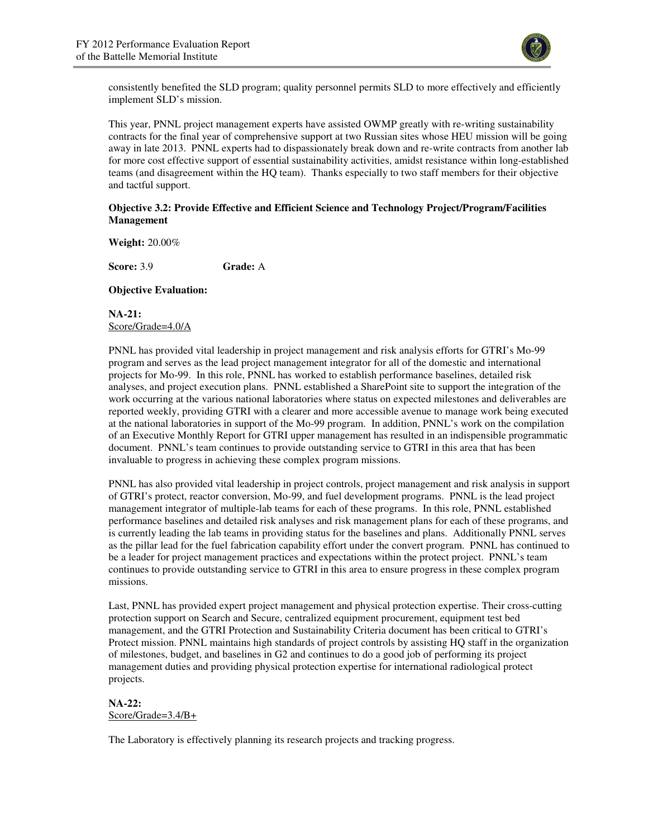

consistently benefited the SLD program; quality personnel permits SLD to more effectively and efficiently implement SLD's mission.

This year, PNNL project management experts have assisted OWMP greatly with re-writing sustainability contracts for the final year of comprehensive support at two Russian sites whose HEU mission will be going away in late 2013. PNNL experts had to dispassionately break down and re-write contracts from another lab for more cost effective support of essential sustainability activities, amidst resistance within long-established teams (and disagreement within the HQ team). Thanks especially to two staff members for their objective and tactful support.

# **Objective 3.2: Provide Effective and Efficient Science and Technology Project/Program/Facilities Management**

**Weight:** 20.00%

**Score:** 3.9 **Grade:** A

#### **Objective Evaluation:**

**NA-21:** Score/Grade=4.0/A

PNNL has provided vital leadership in project management and risk analysis efforts for GTRI's Mo-99 program and serves as the lead project management integrator for all of the domestic and international projects for Mo-99. In this role, PNNL has worked to establish performance baselines, detailed risk analyses, and project execution plans. PNNL established a SharePoint site to support the integration of the work occurring at the various national laboratories where status on expected milestones and deliverables are reported weekly, providing GTRI with a clearer and more accessible avenue to manage work being executed at the national laboratories in support of the Mo-99 program. In addition, PNNL's work on the compilation of an Executive Monthly Report for GTRI upper management has resulted in an indispensible programmatic document. PNNL's team continues to provide outstanding service to GTRI in this area that has been invaluable to progress in achieving these complex program missions.

PNNL has also provided vital leadership in project controls, project management and risk analysis in support of GTRI's protect, reactor conversion, Mo-99, and fuel development programs. PNNL is the lead project management integrator of multiple-lab teams for each of these programs. In this role, PNNL established performance baselines and detailed risk analyses and risk management plans for each of these programs, and is currently leading the lab teams in providing status for the baselines and plans. Additionally PNNL serves as the pillar lead for the fuel fabrication capability effort under the convert program. PNNL has continued to be a leader for project management practices and expectations within the protect project. PNNL's team continues to provide outstanding service to GTRI in this area to ensure progress in these complex program missions.

Last, PNNL has provided expert project management and physical protection expertise. Their cross-cutting protection support on Search and Secure, centralized equipment procurement, equipment test bed management, and the GTRI Protection and Sustainability Criteria document has been critical to GTRI's Protect mission. PNNL maintains high standards of project controls by assisting HQ staff in the organization of milestones, budget, and baselines in G2 and continues to do a good job of performing its project management duties and providing physical protection expertise for international radiological protect projects.

## **NA-22:** Score/Grade=3.4/B+

The Laboratory is effectively planning its research projects and tracking progress.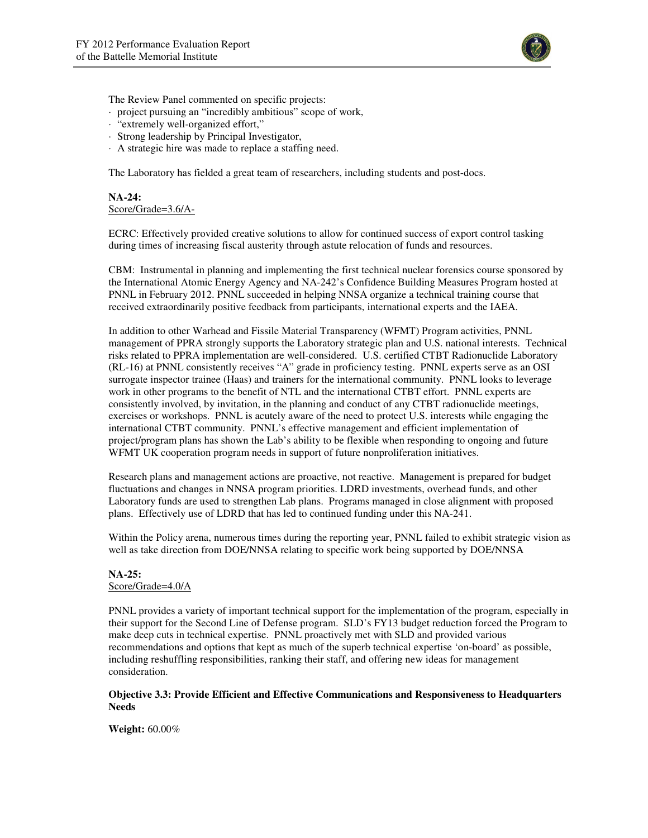

The Review Panel commented on specific projects:

- · project pursuing an "incredibly ambitious" scope of work,
- · "extremely well-organized effort,"
- · Strong leadership by Principal Investigator,
- · A strategic hire was made to replace a staffing need.

The Laboratory has fielded a great team of researchers, including students and post-docs.

# **NA-24:** Score/Grade=3.6/A-

ECRC: Effectively provided creative solutions to allow for continued success of export control tasking during times of increasing fiscal austerity through astute relocation of funds and resources.

CBM: Instrumental in planning and implementing the first technical nuclear forensics course sponsored by the International Atomic Energy Agency and NA-242's Confidence Building Measures Program hosted at PNNL in February 2012. PNNL succeeded in helping NNSA organize a technical training course that received extraordinarily positive feedback from participants, international experts and the IAEA.

In addition to other Warhead and Fissile Material Transparency (WFMT) Program activities, PNNL management of PPRA strongly supports the Laboratory strategic plan and U.S. national interests. Technical risks related to PPRA implementation are well-considered. U.S. certified CTBT Radionuclide Laboratory (RL-16) at PNNL consistently receives "A" grade in proficiency testing. PNNL experts serve as an OSI surrogate inspector trainee (Haas) and trainers for the international community. PNNL looks to leverage work in other programs to the benefit of NTL and the international CTBT effort. PNNL experts are consistently involved, by invitation, in the planning and conduct of any CTBT radionuclide meetings, exercises or workshops. PNNL is acutely aware of the need to protect U.S. interests while engaging the international CTBT community. PNNL's effective management and efficient implementation of project/program plans has shown the Lab's ability to be flexible when responding to ongoing and future WFMT UK cooperation program needs in support of future nonproliferation initiatives.

Research plans and management actions are proactive, not reactive. Management is prepared for budget fluctuations and changes in NNSA program priorities. LDRD investments, overhead funds, and other Laboratory funds are used to strengthen Lab plans. Programs managed in close alignment with proposed plans. Effectively use of LDRD that has led to continued funding under this NA-241.

Within the Policy arena, numerous times during the reporting year, PNNL failed to exhibit strategic vision as well as take direction from DOE/NNSA relating to specific work being supported by DOE/NNSA

## **NA-25:** Score/Grade=4.0/A

PNNL provides a variety of important technical support for the implementation of the program, especially in their support for the Second Line of Defense program. SLD's FY13 budget reduction forced the Program to make deep cuts in technical expertise. PNNL proactively met with SLD and provided various recommendations and options that kept as much of the superb technical expertise 'on-board' as possible, including reshuffling responsibilities, ranking their staff, and offering new ideas for management consideration.

## **Objective 3.3: Provide Efficient and Effective Communications and Responsiveness to Headquarters Needs**

**Weight:** 60.00%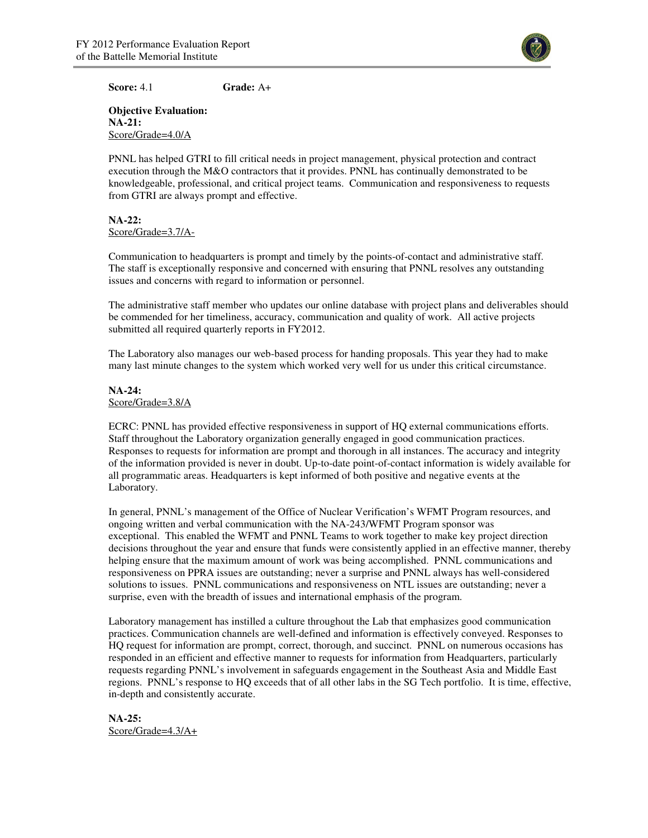

**Score:** 4.1 **Grade:**  $A+$ 

**Objective Evaluation: NA-21:** Score/Grade=4.0/A

PNNL has helped GTRI to fill critical needs in project management, physical protection and contract execution through the M&O contractors that it provides. PNNL has continually demonstrated to be knowledgeable, professional, and critical project teams. Communication and responsiveness to requests from GTRI are always prompt and effective.

# **NA-22:** Score/Grade=3.7/A-

Communication to headquarters is prompt and timely by the points-of-contact and administrative staff. The staff is exceptionally responsive and concerned with ensuring that PNNL resolves any outstanding issues and concerns with regard to information or personnel.

The administrative staff member who updates our online database with project plans and deliverables should be commended for her timeliness, accuracy, communication and quality of work. All active projects submitted all required quarterly reports in FY2012.

The Laboratory also manages our web-based process for handing proposals. This year they had to make many last minute changes to the system which worked very well for us under this critical circumstance.

# **NA-24:** Score/Grade=3.8/A

ECRC: PNNL has provided effective responsiveness in support of HQ external communications efforts. Staff throughout the Laboratory organization generally engaged in good communication practices. Responses to requests for information are prompt and thorough in all instances. The accuracy and integrity of the information provided is never in doubt. Up-to-date point-of-contact information is widely available for all programmatic areas. Headquarters is kept informed of both positive and negative events at the Laboratory.

In general, PNNL's management of the Office of Nuclear Verification's WFMT Program resources, and ongoing written and verbal communication with the NA-243/WFMT Program sponsor was exceptional. This enabled the WFMT and PNNL Teams to work together to make key project direction decisions throughout the year and ensure that funds were consistently applied in an effective manner, thereby helping ensure that the maximum amount of work was being accomplished. PNNL communications and responsiveness on PPRA issues are outstanding; never a surprise and PNNL always has well-considered solutions to issues. PNNL communications and responsiveness on NTL issues are outstanding; never a surprise, even with the breadth of issues and international emphasis of the program.

Laboratory management has instilled a culture throughout the Lab that emphasizes good communication practices. Communication channels are well-defined and information is effectively conveyed. Responses to HQ request for information are prompt, correct, thorough, and succinct. PNNL on numerous occasions has responded in an efficient and effective manner to requests for information from Headquarters, particularly requests regarding PNNL's involvement in safeguards engagement in the Southeast Asia and Middle East regions. PNNL's response to HQ exceeds that of all other labs in the SG Tech portfolio. It is time, effective, in-depth and consistently accurate.

**NA-25:** Score/Grade=4.3/A+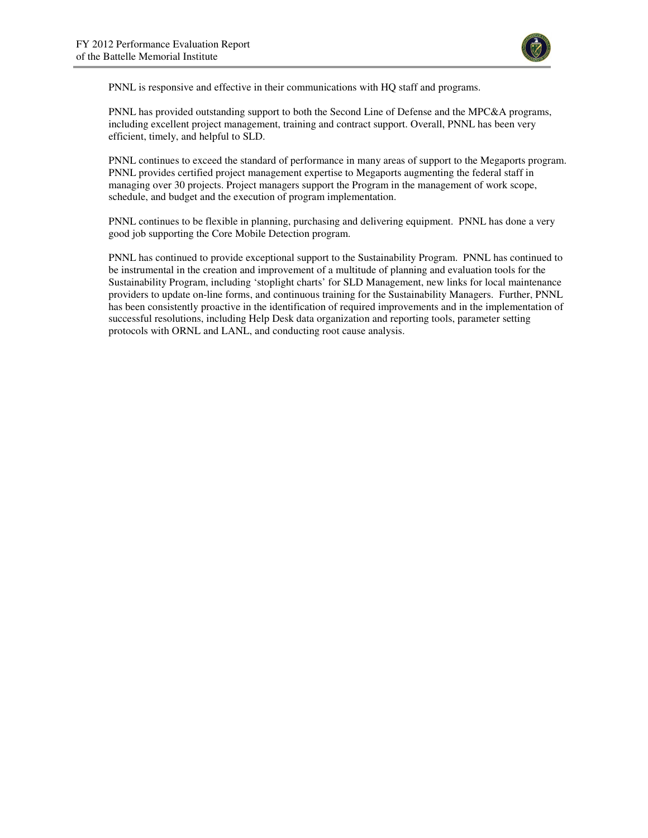

PNNL is responsive and effective in their communications with HQ staff and programs.

PNNL has provided outstanding support to both the Second Line of Defense and the MPC&A programs, including excellent project management, training and contract support. Overall, PNNL has been very efficient, timely, and helpful to SLD.

PNNL continues to exceed the standard of performance in many areas of support to the Megaports program. PNNL provides certified project management expertise to Megaports augmenting the federal staff in managing over 30 projects. Project managers support the Program in the management of work scope, schedule, and budget and the execution of program implementation.

PNNL continues to be flexible in planning, purchasing and delivering equipment. PNNL has done a very good job supporting the Core Mobile Detection program.

PNNL has continued to provide exceptional support to the Sustainability Program. PNNL has continued to be instrumental in the creation and improvement of a multitude of planning and evaluation tools for the Sustainability Program, including 'stoplight charts' for SLD Management, new links for local maintenance providers to update on-line forms, and continuous training for the Sustainability Managers. Further, PNNL has been consistently proactive in the identification of required improvements and in the implementation of successful resolutions, including Help Desk data organization and reporting tools, parameter setting protocols with ORNL and LANL, and conducting root cause analysis.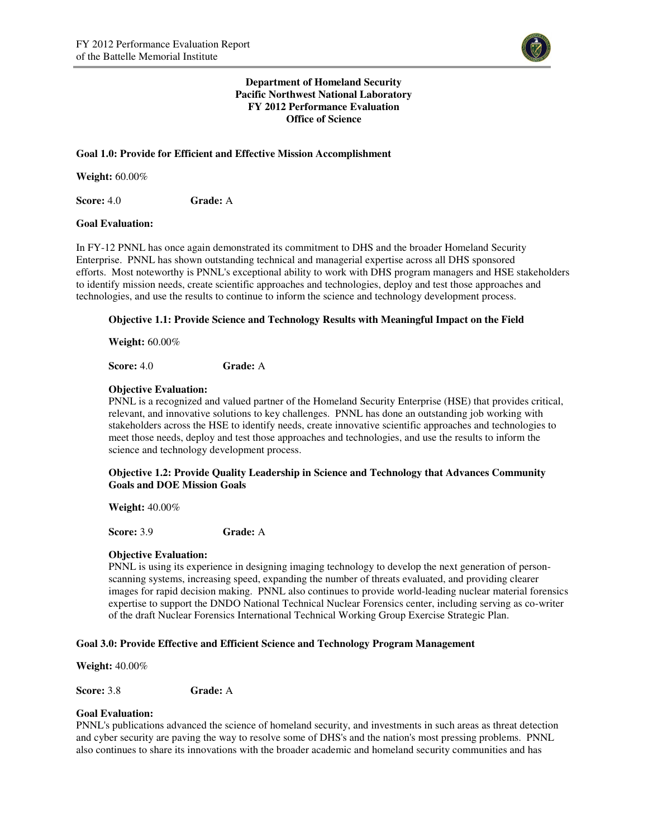

#### **Department of Homeland Security Pacific Northwest National Laboratory FY 2012 Performance Evaluation Office of Science**

# **Goal 1.0: Provide for Efficient and Effective Mission Accomplishment**

**Weight:** 60.00%

**Score:** 4.0 **Grade:** A

## **Goal Evaluation:**

In FY-12 PNNL has once again demonstrated its commitment to DHS and the broader Homeland Security Enterprise. PNNL has shown outstanding technical and managerial expertise across all DHS sponsored efforts. Most noteworthy is PNNL's exceptional ability to work with DHS program managers and HSE stakeholders to identify mission needs, create scientific approaches and technologies, deploy and test those approaches and technologies, and use the results to continue to inform the science and technology development process.

## **Objective 1.1: Provide Science and Technology Results with Meaningful Impact on the Field**

**Weight:** 60.00%

**Score:** 4.0 **Grade:** A

# **Objective Evaluation:**

PNNL is a recognized and valued partner of the Homeland Security Enterprise (HSE) that provides critical, relevant, and innovative solutions to key challenges. PNNL has done an outstanding job working with stakeholders across the HSE to identify needs, create innovative scientific approaches and technologies to meet those needs, deploy and test those approaches and technologies, and use the results to inform the science and technology development process.

# **Objective 1.2: Provide Quality Leadership in Science and Technology that Advances Community Goals and DOE Mission Goals**

**Weight:** 40.00%

**Score:** 3.9 **Grade:** A

#### **Objective Evaluation:**

PNNL is using its experience in designing imaging technology to develop the next generation of personscanning systems, increasing speed, expanding the number of threats evaluated, and providing clearer images for rapid decision making. PNNL also continues to provide world-leading nuclear material forensics expertise to support the DNDO National Technical Nuclear Forensics center, including serving as co-writer of the draft Nuclear Forensics International Technical Working Group Exercise Strategic Plan.

#### **Goal 3.0: Provide Effective and Efficient Science and Technology Program Management**

**Weight:** 40.00%

**Score:** 3.8 **Grade:** A

#### **Goal Evaluation:**

PNNL's publications advanced the science of homeland security, and investments in such areas as threat detection and cyber security are paving the way to resolve some of DHS's and the nation's most pressing problems. PNNL also continues to share its innovations with the broader academic and homeland security communities and has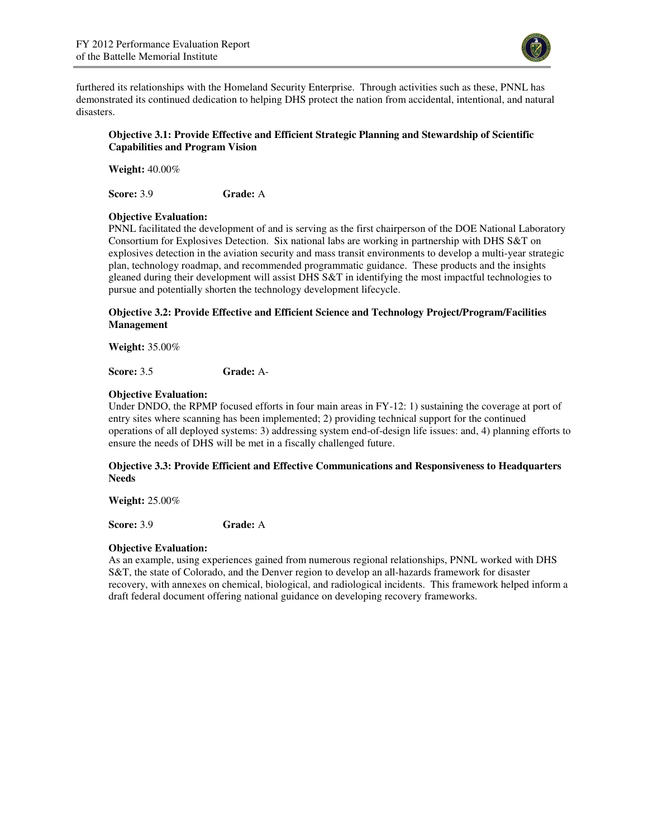

furthered its relationships with the Homeland Security Enterprise. Through activities such as these, PNNL has demonstrated its continued dedication to helping DHS protect the nation from accidental, intentional, and natural disasters.

# **Objective 3.1: Provide Effective and Efficient Strategic Planning and Stewardship of Scientific Capabilities and Program Vision**

**Weight:** 40.00%

**Score:** 3.9 **Grade:** A

# **Objective Evaluation:**

PNNL facilitated the development of and is serving as the first chairperson of the DOE National Laboratory Consortium for Explosives Detection. Six national labs are working in partnership with DHS S&T on explosives detection in the aviation security and mass transit environments to develop a multi-year strategic plan, technology roadmap, and recommended programmatic guidance. These products and the insights gleaned during their development will assist DHS S&T in identifying the most impactful technologies to pursue and potentially shorten the technology development lifecycle.

# **Objective 3.2: Provide Effective and Efficient Science and Technology Project/Program/Facilities Management**

**Weight:** 35.00%

**Score:** 3.5 **Grade:** A-

# **Objective Evaluation:**

Under DNDO, the RPMP focused efforts in four main areas in FY-12: 1) sustaining the coverage at port of entry sites where scanning has been implemented; 2) providing technical support for the continued operations of all deployed systems: 3) addressing system end-of-design life issues: and, 4) planning efforts to ensure the needs of DHS will be met in a fiscally challenged future.

# **Objective 3.3: Provide Efficient and Effective Communications and Responsiveness to Headquarters Needs**

**Weight:** 25.00%

**Score:** 3.9 **Grade:** A

# **Objective Evaluation:**

As an example, using experiences gained from numerous regional relationships, PNNL worked with DHS S&T, the state of Colorado, and the Denver region to develop an all-hazards framework for disaster recovery, with annexes on chemical, biological, and radiological incidents. This framework helped inform a draft federal document offering national guidance on developing recovery frameworks.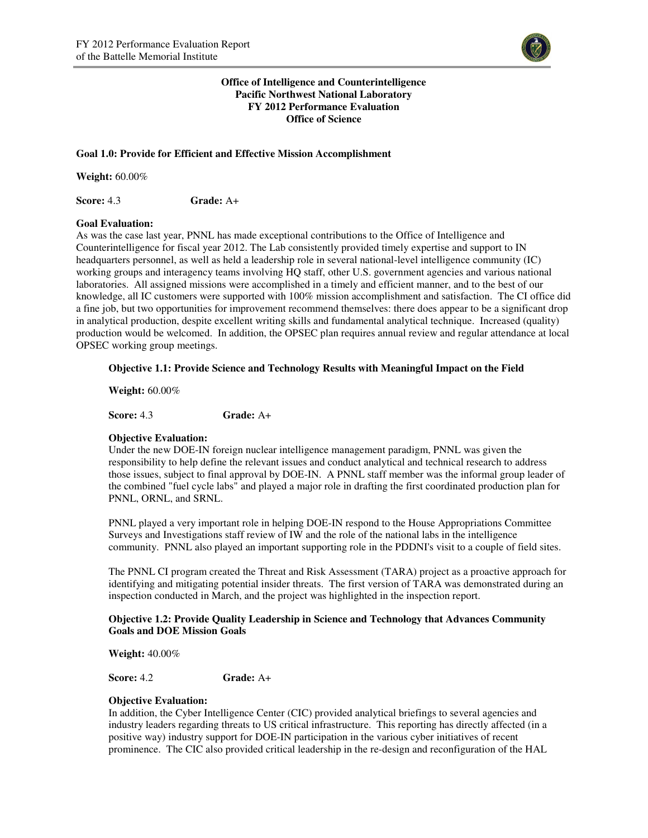

#### **Office of Intelligence and Counterintelligence Pacific Northwest National Laboratory FY 2012 Performance Evaluation Office of Science**

# **Goal 1.0: Provide for Efficient and Effective Mission Accomplishment**

**Weight:** 60.00%

**Score:** 4.3 **Grade:**  $A+$ 

#### **Goal Evaluation:**

As was the case last year, PNNL has made exceptional contributions to the Office of Intelligence and Counterintelligence for fiscal year 2012. The Lab consistently provided timely expertise and support to IN headquarters personnel, as well as held a leadership role in several national-level intelligence community (IC) working groups and interagency teams involving HQ staff, other U.S. government agencies and various national laboratories. All assigned missions were accomplished in a timely and efficient manner, and to the best of our knowledge, all IC customers were supported with 100% mission accomplishment and satisfaction. The CI office did a fine job, but two opportunities for improvement recommend themselves: there does appear to be a significant drop in analytical production, despite excellent writing skills and fundamental analytical technique. Increased (quality) production would be welcomed. In addition, the OPSEC plan requires annual review and regular attendance at local OPSEC working group meetings.

# **Objective 1.1: Provide Science and Technology Results with Meaningful Impact on the Field**

**Weight:** 60.00%

**Score:** 4.3 **Grade:** A+

#### **Objective Evaluation:**

Under the new DOE-IN foreign nuclear intelligence management paradigm, PNNL was given the responsibility to help define the relevant issues and conduct analytical and technical research to address those issues, subject to final approval by DOE-IN. A PNNL staff member was the informal group leader of the combined "fuel cycle labs" and played a major role in drafting the first coordinated production plan for PNNL, ORNL, and SRNL.

PNNL played a very important role in helping DOE-IN respond to the House Appropriations Committee Surveys and Investigations staff review of IW and the role of the national labs in the intelligence community. PNNL also played an important supporting role in the PDDNI's visit to a couple of field sites.

The PNNL CI program created the Threat and Risk Assessment (TARA) project as a proactive approach for identifying and mitigating potential insider threats. The first version of TARA was demonstrated during an inspection conducted in March, and the project was highlighted in the inspection report.

# **Objective 1.2: Provide Quality Leadership in Science and Technology that Advances Community Goals and DOE Mission Goals**

**Weight:** 40.00%

**Score:** 4.2 **Grade:**  $A+$ 

#### **Objective Evaluation:**

In addition, the Cyber Intelligence Center (CIC) provided analytical briefings to several agencies and industry leaders regarding threats to US critical infrastructure. This reporting has directly affected (in a positive way) industry support for DOE-IN participation in the various cyber initiatives of recent prominence. The CIC also provided critical leadership in the re-design and reconfiguration of the HAL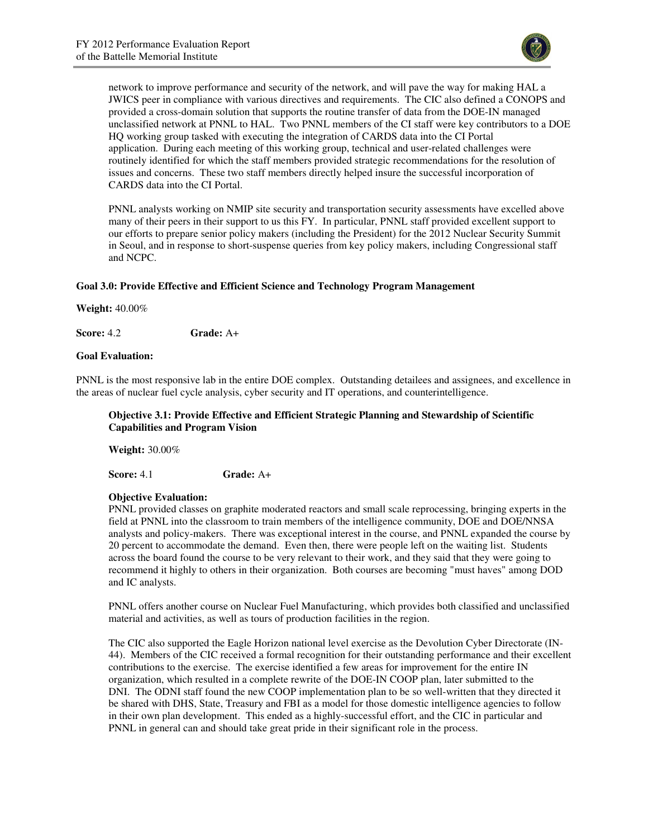

network to improve performance and security of the network, and will pave the way for making HAL a JWICS peer in compliance with various directives and requirements. The CIC also defined a CONOPS and provided a cross-domain solution that supports the routine transfer of data from the DOE-IN managed unclassified network at PNNL to HAL. Two PNNL members of the CI staff were key contributors to a DOE HQ working group tasked with executing the integration of CARDS data into the CI Portal application. During each meeting of this working group, technical and user-related challenges were routinely identified for which the staff members provided strategic recommendations for the resolution of issues and concerns. These two staff members directly helped insure the successful incorporation of CARDS data into the CI Portal.

PNNL analysts working on NMIP site security and transportation security assessments have excelled above many of their peers in their support to us this FY. In particular, PNNL staff provided excellent support to our efforts to prepare senior policy makers (including the President) for the 2012 Nuclear Security Summit in Seoul, and in response to short-suspense queries from key policy makers, including Congressional staff and NCPC.

## **Goal 3.0: Provide Effective and Efficient Science and Technology Program Management**

**Weight:** 40.00%

**Score:** 4.2 **Grade:** A+

#### **Goal Evaluation:**

PNNL is the most responsive lab in the entire DOE complex. Outstanding detailees and assignees, and excellence in the areas of nuclear fuel cycle analysis, cyber security and IT operations, and counterintelligence.

## **Objective 3.1: Provide Effective and Efficient Strategic Planning and Stewardship of Scientific Capabilities and Program Vision**

**Weight:** 30.00%

**Score:** 4.1 **Grade:**  $A+$ 

#### **Objective Evaluation:**

PNNL provided classes on graphite moderated reactors and small scale reprocessing, bringing experts in the field at PNNL into the classroom to train members of the intelligence community, DOE and DOE/NNSA analysts and policy-makers. There was exceptional interest in the course, and PNNL expanded the course by 20 percent to accommodate the demand. Even then, there were people left on the waiting list. Students across the board found the course to be very relevant to their work, and they said that they were going to recommend it highly to others in their organization. Both courses are becoming "must haves" among DOD and IC analysts.

PNNL offers another course on Nuclear Fuel Manufacturing, which provides both classified and unclassified material and activities, as well as tours of production facilities in the region.

The CIC also supported the Eagle Horizon national level exercise as the Devolution Cyber Directorate (IN-44). Members of the CIC received a formal recognition for their outstanding performance and their excellent contributions to the exercise. The exercise identified a few areas for improvement for the entire IN organization, which resulted in a complete rewrite of the DOE-IN COOP plan, later submitted to the DNI. The ODNI staff found the new COOP implementation plan to be so well-written that they directed it be shared with DHS, State, Treasury and FBI as a model for those domestic intelligence agencies to follow in their own plan development. This ended as a highly-successful effort, and the CIC in particular and PNNL in general can and should take great pride in their significant role in the process.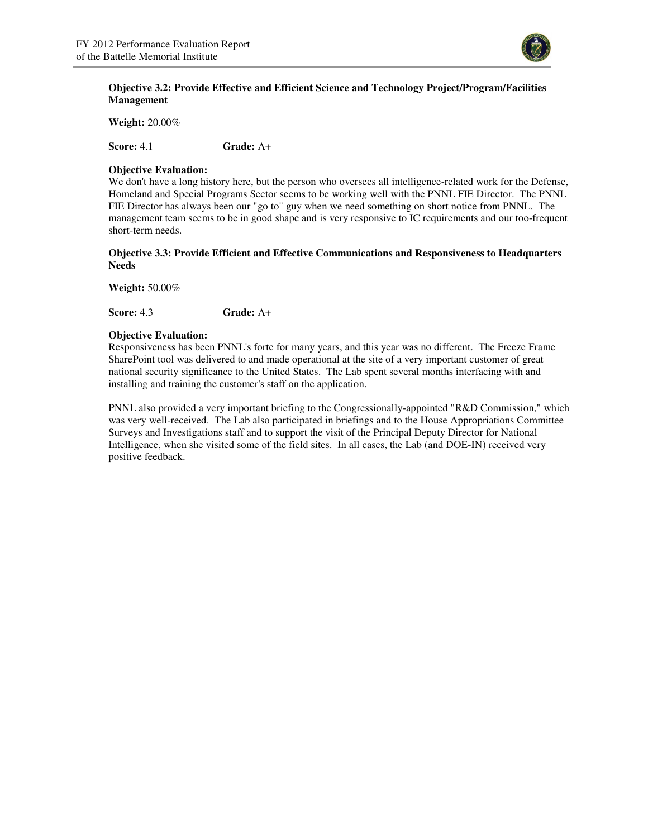

# **Objective 3.2: Provide Effective and Efficient Science and Technology Project/Program/Facilities Management**

**Weight:** 20.00%

**Score:** 4.1 **Grade:**  $A+$ 

## **Objective Evaluation:**

We don't have a long history here, but the person who oversees all intelligence-related work for the Defense, Homeland and Special Programs Sector seems to be working well with the PNNL FIE Director. The PNNL FIE Director has always been our "go to" guy when we need something on short notice from PNNL. The management team seems to be in good shape and is very responsive to IC requirements and our too-frequent short-term needs.

## **Objective 3.3: Provide Efficient and Effective Communications and Responsiveness to Headquarters Needs**

**Weight:** 50.00%

**Score:** 4.3 **Grade:**  $A+$ 

#### **Objective Evaluation:**

Responsiveness has been PNNL's forte for many years, and this year was no different. The Freeze Frame SharePoint tool was delivered to and made operational at the site of a very important customer of great national security significance to the United States. The Lab spent several months interfacing with and installing and training the customer's staff on the application.

PNNL also provided a very important briefing to the Congressionally-appointed "R&D Commission," which was very well-received. The Lab also participated in briefings and to the House Appropriations Committee Surveys and Investigations staff and to support the visit of the Principal Deputy Director for National Intelligence, when she visited some of the field sites. In all cases, the Lab (and DOE-IN) received very positive feedback.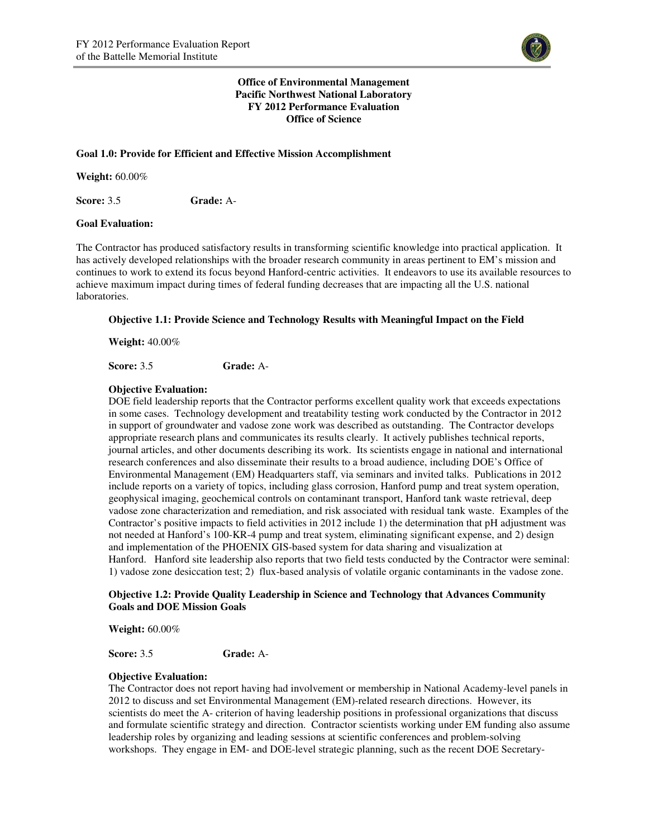

#### **Office of Environmental Management Pacific Northwest National Laboratory FY 2012 Performance Evaluation Office of Science**

# **Goal 1.0: Provide for Efficient and Effective Mission Accomplishment**

**Weight:** 60.00%

**Score:** 3.5 **Grade:** A-

#### **Goal Evaluation:**

The Contractor has produced satisfactory results in transforming scientific knowledge into practical application. It has actively developed relationships with the broader research community in areas pertinent to EM's mission and continues to work to extend its focus beyond Hanford-centric activities. It endeavors to use its available resources to achieve maximum impact during times of federal funding decreases that are impacting all the U.S. national laboratories.

# **Objective 1.1: Provide Science and Technology Results with Meaningful Impact on the Field**

**Weight:** 40.00%

**Score:** 3.5 **Grade:** A-

# **Objective Evaluation:**

DOE field leadership reports that the Contractor performs excellent quality work that exceeds expectations in some cases. Technology development and treatability testing work conducted by the Contractor in 2012 in support of groundwater and vadose zone work was described as outstanding. The Contractor develops appropriate research plans and communicates its results clearly. It actively publishes technical reports, journal articles, and other documents describing its work. Its scientists engage in national and international research conferences and also disseminate their results to a broad audience, including DOE's Office of Environmental Management (EM) Headquarters staff, via seminars and invited talks. Publications in 2012 include reports on a variety of topics, including glass corrosion, Hanford pump and treat system operation, geophysical imaging, geochemical controls on contaminant transport, Hanford tank waste retrieval, deep vadose zone characterization and remediation, and risk associated with residual tank waste. Examples of the Contractor's positive impacts to field activities in 2012 include 1) the determination that pH adjustment was not needed at Hanford's 100-KR-4 pump and treat system, eliminating significant expense, and 2) design and implementation of the PHOENIX GIS-based system for data sharing and visualization at Hanford. Hanford site leadership also reports that two field tests conducted by the Contractor were seminal: 1) vadose zone desiccation test; 2) flux-based analysis of volatile organic contaminants in the vadose zone.

## **Objective 1.2: Provide Quality Leadership in Science and Technology that Advances Community Goals and DOE Mission Goals**

**Weight:** 60.00%

**Score:** 3.5 **Grade:** A-

#### **Objective Evaluation:**

The Contractor does not report having had involvement or membership in National Academy-level panels in 2012 to discuss and set Environmental Management (EM)-related research directions. However, its scientists do meet the A- criterion of having leadership positions in professional organizations that discuss and formulate scientific strategy and direction. Contractor scientists working under EM funding also assume leadership roles by organizing and leading sessions at scientific conferences and problem-solving workshops. They engage in EM- and DOE-level strategic planning, such as the recent DOE Secretary-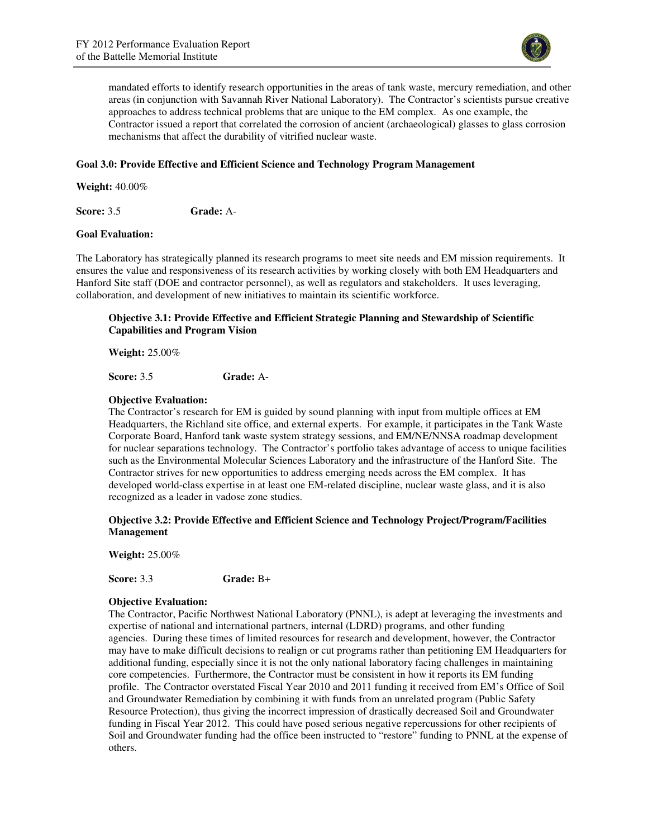

mandated efforts to identify research opportunities in the areas of tank waste, mercury remediation, and other areas (in conjunction with Savannah River National Laboratory). The Contractor's scientists pursue creative approaches to address technical problems that are unique to the EM complex. As one example, the Contractor issued a report that correlated the corrosion of ancient (archaeological) glasses to glass corrosion mechanisms that affect the durability of vitrified nuclear waste.

# **Goal 3.0: Provide Effective and Efficient Science and Technology Program Management**

**Weight:** 40.00%

**Score:** 3.5 **Grade:** A-

#### **Goal Evaluation:**

The Laboratory has strategically planned its research programs to meet site needs and EM mission requirements. It ensures the value and responsiveness of its research activities by working closely with both EM Headquarters and Hanford Site staff (DOE and contractor personnel), as well as regulators and stakeholders. It uses leveraging, collaboration, and development of new initiatives to maintain its scientific workforce.

## **Objective 3.1: Provide Effective and Efficient Strategic Planning and Stewardship of Scientific Capabilities and Program Vision**

**Weight:** 25.00%

**Score:** 3.5 **Grade:** A-

#### **Objective Evaluation:**

The Contractor's research for EM is guided by sound planning with input from multiple offices at EM Headquarters, the Richland site office, and external experts. For example, it participates in the Tank Waste Corporate Board, Hanford tank waste system strategy sessions, and EM/NE/NNSA roadmap development for nuclear separations technology. The Contractor's portfolio takes advantage of access to unique facilities such as the Environmental Molecular Sciences Laboratory and the infrastructure of the Hanford Site. The Contractor strives for new opportunities to address emerging needs across the EM complex. It has developed world-class expertise in at least one EM-related discipline, nuclear waste glass, and it is also recognized as a leader in vadose zone studies.

## **Objective 3.2: Provide Effective and Efficient Science and Technology Project/Program/Facilities Management**

**Weight:** 25.00%

**Score:** 3.3 **Grade:** B+

#### **Objective Evaluation:**

The Contractor, Pacific Northwest National Laboratory (PNNL), is adept at leveraging the investments and expertise of national and international partners, internal (LDRD) programs, and other funding agencies. During these times of limited resources for research and development, however, the Contractor may have to make difficult decisions to realign or cut programs rather than petitioning EM Headquarters for additional funding, especially since it is not the only national laboratory facing challenges in maintaining core competencies. Furthermore, the Contractor must be consistent in how it reports its EM funding profile. The Contractor overstated Fiscal Year 2010 and 2011 funding it received from EM's Office of Soil and Groundwater Remediation by combining it with funds from an unrelated program (Public Safety Resource Protection), thus giving the incorrect impression of drastically decreased Soil and Groundwater funding in Fiscal Year 2012. This could have posed serious negative repercussions for other recipients of Soil and Groundwater funding had the office been instructed to "restore" funding to PNNL at the expense of others.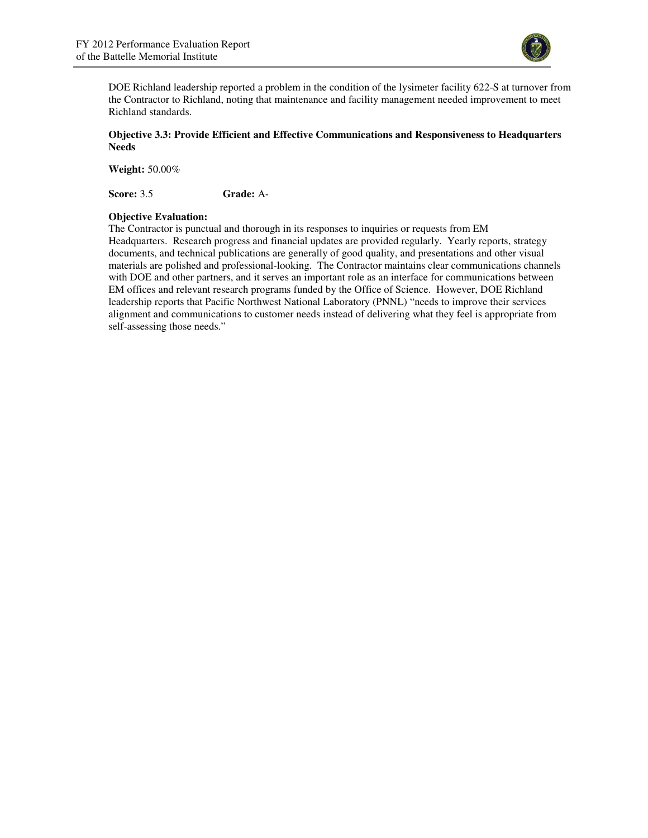

DOE Richland leadership reported a problem in the condition of the lysimeter facility 622-S at turnover from the Contractor to Richland, noting that maintenance and facility management needed improvement to meet Richland standards.

## **Objective 3.3: Provide Efficient and Effective Communications and Responsiveness to Headquarters Needs**

**Weight:** 50.00%

**Score: 3.5 Grade: A-**

## **Objective Evaluation:**

The Contractor is punctual and thorough in its responses to inquiries or requests from EM Headquarters. Research progress and financial updates are provided regularly. Yearly reports, strategy documents, and technical publications are generally of good quality, and presentations and other visual materials are polished and professional-looking. The Contractor maintains clear communications channels with DOE and other partners, and it serves an important role as an interface for communications between EM offices and relevant research programs funded by the Office of Science. However, DOE Richland leadership reports that Pacific Northwest National Laboratory (PNNL) "needs to improve their services alignment and communications to customer needs instead of delivering what they feel is appropriate from self-assessing those needs."